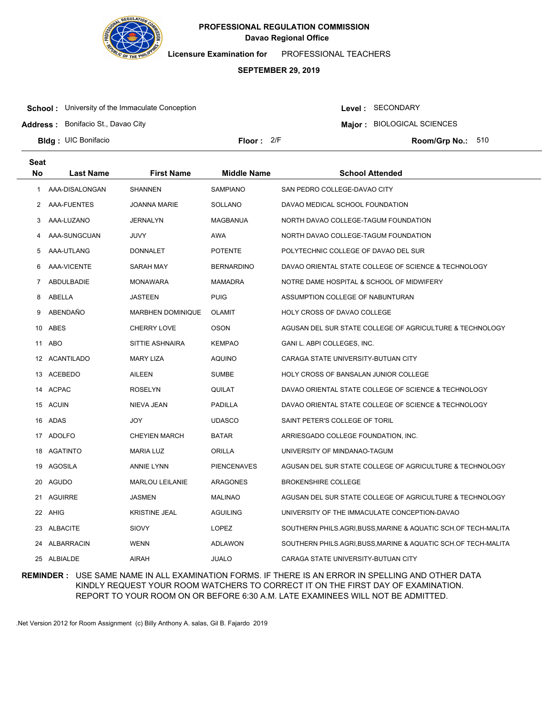

**Licensure Examination for**  PROFESSIONAL TEACHERS

### **SEPTEMBER 29, 2019**

**School:** University of the Immaculate Conception

**Address :** Bonifacio St., Davao City

Level : SECONDARY

**Major : BIOLOGICAL SCIENCES** 

**Bldg : Floor : Room/Grp No.:** UIC Bonifacio

Floor: 2/F Room/Grp No.: 510

| <b>Seat</b> |                  |                          |                    |                                                              |
|-------------|------------------|--------------------------|--------------------|--------------------------------------------------------------|
| <b>No</b>   | <b>Last Name</b> | <b>First Name</b>        | <b>Middle Name</b> | <b>School Attended</b>                                       |
| 1           | AAA-DISALONGAN   | <b>SHANNEN</b>           | <b>SAMPIANO</b>    | SAN PEDRO COLLEGE-DAVAO CITY                                 |
| 2           | AAA-FUENTES      | <b>JOANNA MARIE</b>      | <b>SOLLANO</b>     | DAVAO MEDICAL SCHOOL FOUNDATION                              |
| 3           | AAA-LUZANO       | <b>JERNALYN</b>          | <b>MAGBANUA</b>    | NORTH DAVAO COLLEGE-TAGUM FOUNDATION                         |
| 4           | AAA-SUNGCUAN     | <b>JUVY</b>              | AWA                | NORTH DAVAO COLLEGE-TAGUM FOUNDATION                         |
| 5           | AAA-UTLANG       | <b>DONNALET</b>          | <b>POTENTE</b>     | POLYTECHNIC COLLEGE OF DAVAO DEL SUR                         |
| 6           | AAA-VICENTE      | SARAH MAY                | <b>BERNARDINO</b>  | DAVAO ORIENTAL STATE COLLEGE OF SCIENCE & TECHNOLOGY         |
| 7           | ABDULBADIE       | <b>MONAWARA</b>          | <b>MAMADRA</b>     | NOTRE DAME HOSPITAL & SCHOOL OF MIDWIFERY                    |
| 8           | ABELLA           | <b>JASTEEN</b>           | <b>PUIG</b>        | ASSUMPTION COLLEGE OF NABUNTURAN                             |
| 9           | ABENDAÑO         | <b>MARBHEN DOMINIQUE</b> | <b>OLAMIT</b>      | HOLY CROSS OF DAVAO COLLEGE                                  |
| 10          | ABES             | <b>CHERRY LOVE</b>       | <b>OSON</b>        | AGUSAN DEL SUR STATE COLLEGE OF AGRICULTURE & TECHNOLOGY     |
| 11          | ABO              | SITTIE ASHNAIRA          | <b>KEMPAO</b>      | GANI L. ABPI COLLEGES, INC.                                  |
|             | 12 ACANTILADO    | <b>MARY LIZA</b>         | <b>AQUINO</b>      | CARAGA STATE UNIVERSITY-BUTUAN CITY                          |
| 13          | ACEBEDO          | <b>AILEEN</b>            | <b>SUMBE</b>       | HOLY CROSS OF BANSALAN JUNIOR COLLEGE                        |
|             | 14 ACPAC         | <b>ROSELYN</b>           | QUILAT             | DAVAO ORIENTAL STATE COLLEGE OF SCIENCE & TECHNOLOGY         |
|             | 15 ACUIN         | NIEVA JEAN               | <b>PADILLA</b>     | DAVAO ORIENTAL STATE COLLEGE OF SCIENCE & TECHNOLOGY         |
| 16          | ADAS             | JOY                      | <b>UDASCO</b>      | SAINT PETER'S COLLEGE OF TORIL                               |
|             | 17 ADOLFO        | <b>CHEYIEN MARCH</b>     | <b>BATAR</b>       | ARRIESGADO COLLEGE FOUNDATION, INC.                          |
| 18          | AGATINTO         | <b>MARIA LUZ</b>         | ORILLA             | UNIVERSITY OF MINDANAO-TAGUM                                 |
| 19          | <b>AGOSILA</b>   | <b>ANNIE LYNN</b>        | <b>PIENCENAVES</b> | AGUSAN DEL SUR STATE COLLEGE OF AGRICULTURE & TECHNOLOGY     |
| 20          | AGUDO            | <b>MARLOU LEILANIE</b>   | ARAGONES           | <b>BROKENSHIRE COLLEGE</b>                                   |
| 21          | <b>AGUIRRE</b>   | <b>JASMEN</b>            | <b>MALINAO</b>     | AGUSAN DEL SUR STATE COLLEGE OF AGRICULTURE & TECHNOLOGY     |
|             | 22 AHIG          | <b>KRISTINE JEAL</b>     | <b>AGUILING</b>    | UNIVERSITY OF THE IMMACULATE CONCEPTION-DAVAO                |
| 23          | ALBACITE         | SIOVY                    | <b>LOPEZ</b>       | SOUTHERN PHILS.AGRI,BUSS,MARINE & AQUATIC SCH.OF TECH-MALITA |
|             | 24 ALBARRACIN    | <b>WENN</b>              | ADLAWON            | SOUTHERN PHILS.AGRI,BUSS,MARINE & AQUATIC SCH.OF TECH-MALITA |
|             | 25 ALBIALDE      | <b>AIRAH</b>             | <b>JUALO</b>       | CARAGA STATE UNIVERSITY-BUTUAN CITY                          |

**REMINDER :** USE SAME NAME IN ALL EXAMINATION FORMS. IF THERE IS AN ERROR IN SPELLING AND OTHER DATA KINDLY REQUEST YOUR ROOM WATCHERS TO CORRECT IT ON THE FIRST DAY OF EXAMINATION. REPORT TO YOUR ROOM ON OR BEFORE 6:30 A.M. LATE EXAMINEES WILL NOT BE ADMITTED.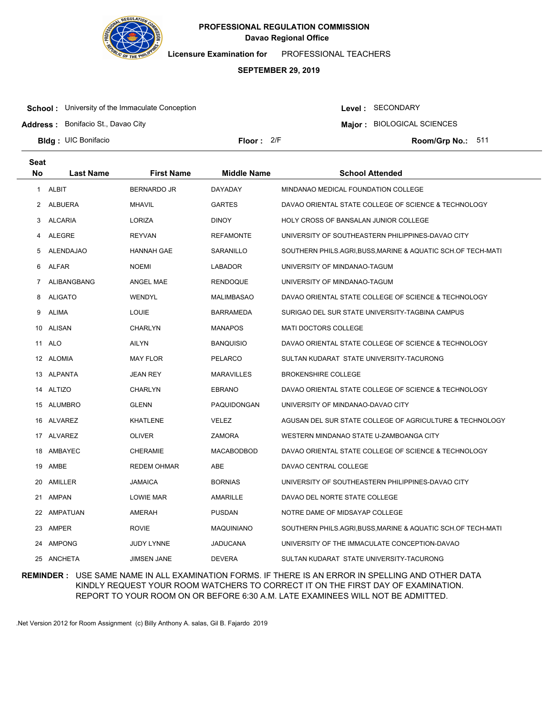

**Licensure Examination for**  PROFESSIONAL TEACHERS

### **SEPTEMBER 29, 2019**

**School:** University of the Immaculate Conception

Level : SECONDARY

**Major : BIOLOGICAL SCIENCES** 

**Address :** Bonifacio St., Davao City

**Bldg : Floor : Room/Grp No.:** UIC Bonifacio

Floor: 2/F Room/Grp No.: 511

| Seat<br><b>No</b> | <b>Last Name</b> | <b>First Name</b>  | <b>Middle Name</b> | <b>School Attended</b>                                       |
|-------------------|------------------|--------------------|--------------------|--------------------------------------------------------------|
| $\mathbf{1}$      | ALBIT            | <b>BERNARDO JR</b> | DAYADAY            | MINDANAO MEDICAL FOUNDATION COLLEGE                          |
| 2                 | ALBUERA          | <b>MHAVIL</b>      | <b>GARTES</b>      | DAVAO ORIENTAL STATE COLLEGE OF SCIENCE & TECHNOLOGY         |
| 3                 | ALCARIA          | <b>LORIZA</b>      | <b>DINOY</b>       | <b>HOLY CROSS OF BANSALAN JUNIOR COLLEGE</b>                 |
| 4                 | ALEGRE           | <b>REYVAN</b>      | <b>REFAMONTE</b>   | UNIVERSITY OF SOUTHEASTERN PHILIPPINES-DAVAO CITY            |
| 5                 | <b>ALENDAJAO</b> | HANNAH GAE         | SARANILLO          | SOUTHERN PHILS.AGRI, BUSS, MARINE & AQUATIC SCH.OF TECH-MATI |
|                   |                  |                    |                    |                                                              |
| 6                 | ALFAR            | <b>NOEMI</b>       | LABADOR            | UNIVERSITY OF MINDANAO-TAGUM                                 |
| 7                 | ALIBANGBANG      | ANGEL MAE          | <b>RENDOQUE</b>    | UNIVERSITY OF MINDANAO-TAGUM                                 |
| 8                 | <b>ALIGATO</b>   | WENDYL             | MALIMBASAO         | DAVAO ORIENTAL STATE COLLEGE OF SCIENCE & TECHNOLOGY         |
| 9                 | ALIMA            | <b>LOUIE</b>       | <b>BARRAMEDA</b>   | SURIGAO DEL SUR STATE UNIVERSITY-TAGBINA CAMPUS              |
|                   | 10 ALISAN        | <b>CHARLYN</b>     | <b>MANAPOS</b>     | <b>MATI DOCTORS COLLEGE</b>                                  |
|                   | 11 ALO           | <b>AILYN</b>       | <b>BANQUISIO</b>   | DAVAO ORIENTAL STATE COLLEGE OF SCIENCE & TECHNOLOGY         |
|                   | 12 ALOMIA        | <b>MAY FLOR</b>    | PELARCO            | SULTAN KUDARAT STATE UNIVERSITY-TACURONG                     |
| 13                | ALPANTA          | <b>JEAN REY</b>    | <b>MARAVILLES</b>  | <b>BROKENSHIRE COLLEGE</b>                                   |
| 14                | <b>ALTIZO</b>    | <b>CHARLYN</b>     | <b>EBRANO</b>      | DAVAO ORIENTAL STATE COLLEGE OF SCIENCE & TECHNOLOGY         |
|                   | 15 ALUMBRO       | <b>GLENN</b>       | PAQUIDONGAN        | UNIVERSITY OF MINDANAO-DAVAO CITY                            |
|                   | 16 ALVAREZ       | <b>KHATLENE</b>    | <b>VELEZ</b>       | AGUSAN DEL SUR STATE COLLEGE OF AGRICULTURE & TECHNOLOGY     |
|                   | 17 ALVAREZ       | <b>OLIVER</b>      | ZAMORA             | WESTERN MINDANAO STATE U-ZAMBOANGA CITY                      |
| 18                | AMBAYEC          | <b>CHERAMIE</b>    | <b>MACABODBOD</b>  | DAVAO ORIENTAL STATE COLLEGE OF SCIENCE & TECHNOLOGY         |
| 19                | AMBE             | <b>REDEM OHMAR</b> | <b>ABE</b>         | DAVAO CENTRAL COLLEGE                                        |
|                   | 20 AMILLER       | <b>JAMAICA</b>     | <b>BORNIAS</b>     | UNIVERSITY OF SOUTHEASTERN PHILIPPINES-DAVAO CITY            |
| 21                | AMPAN            | LOWIE MAR          | AMARILLE           | DAVAO DEL NORTE STATE COLLEGE                                |
|                   | 22 AMPATUAN      | AMERAH             | <b>PUSDAN</b>      | NOTRE DAME OF MIDSAYAP COLLEGE                               |
| 23                | AMPER            | <b>ROVIE</b>       | MAQUINIANO         | SOUTHERN PHILS.AGRI,BUSS,MARINE & AQUATIC SCH.OF TECH-MATI   |
| 24                | AMPONG           | <b>JUDY LYNNE</b>  | <b>JADUCANA</b>    | UNIVERSITY OF THE IMMACULATE CONCEPTION-DAVAO                |
|                   | 25 ANCHETA       | <b>JIMSEN JANE</b> | <b>DEVERA</b>      | SULTAN KUDARAT STATE UNIVERSITY-TACURONG                     |

**REMINDER :** USE SAME NAME IN ALL EXAMINATION FORMS. IF THERE IS AN ERROR IN SPELLING AND OTHER DATA KINDLY REQUEST YOUR ROOM WATCHERS TO CORRECT IT ON THE FIRST DAY OF EXAMINATION. REPORT TO YOUR ROOM ON OR BEFORE 6:30 A.M. LATE EXAMINEES WILL NOT BE ADMITTED.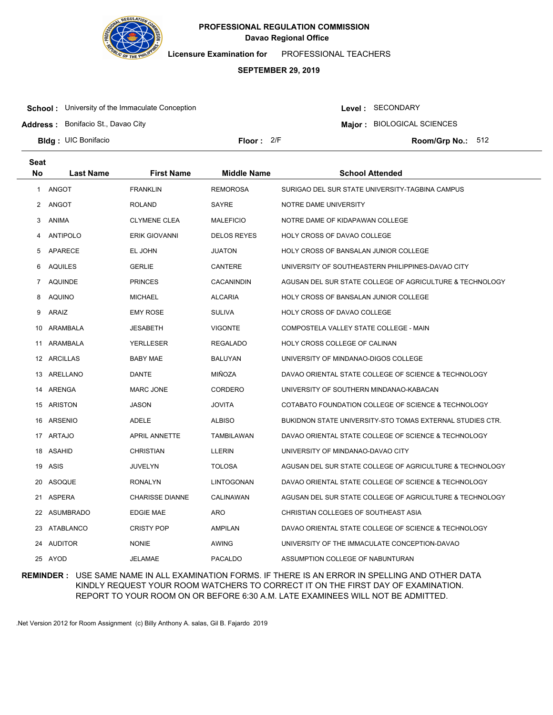

**Licensure Examination for**  PROFESSIONAL TEACHERS

### **SEPTEMBER 29, 2019**

**School:** University of the Immaculate Conception

**Address :** Bonifacio St., Davao City

Level : SECONDARY

**Major : BIOLOGICAL SCIENCES** 

**Bldg : Floor : Room/Grp No.:** UIC Bonifacio

Floor: 2/F Room/Grp No.: 512

| Seat           |                  |                        |                    |                                                           |
|----------------|------------------|------------------------|--------------------|-----------------------------------------------------------|
| No             | <b>Last Name</b> | <b>First Name</b>      | <b>Middle Name</b> | <b>School Attended</b>                                    |
| 1              | ANGOT            | <b>FRANKLIN</b>        | <b>REMOROSA</b>    | SURIGAO DEL SUR STATE UNIVERSITY-TAGBINA CAMPUS           |
| 2              | ANGOT            | <b>ROLAND</b>          | <b>SAYRE</b>       | NOTRE DAME UNIVERSITY                                     |
| 3              | ANIMA            | <b>CLYMENE CLEA</b>    | <b>MALEFICIO</b>   | NOTRE DAME OF KIDAPAWAN COLLEGE                           |
| 4              | <b>ANTIPOLO</b>  | <b>ERIK GIOVANNI</b>   | <b>DELOS REYES</b> | <b>HOLY CROSS OF DAVAO COLLEGE</b>                        |
| 5              | APARECE          | EL JOHN                | <b>JUATON</b>      | HOLY CROSS OF BANSALAN JUNIOR COLLEGE                     |
| 6              | <b>AQUILES</b>   | <b>GERLIE</b>          | CANTERE            | UNIVERSITY OF SOUTHEASTERN PHILIPPINES-DAVAO CITY         |
| $\overline{7}$ | <b>AQUINDE</b>   | <b>PRINCES</b>         | CACANINDIN         | AGUSAN DEL SUR STATE COLLEGE OF AGRICULTURE & TECHNOLOGY  |
| 8              | AQUINO           | <b>MICHAEL</b>         | <b>ALCARIA</b>     | HOLY CROSS OF BANSALAN JUNIOR COLLEGE                     |
| 9              | ARAIZ            | <b>EMY ROSE</b>        | <b>SULIVA</b>      | HOLY CROSS OF DAVAO COLLEGE                               |
| 10             | ARAMBALA         | <b>JESABETH</b>        | <b>VIGONTE</b>     | COMPOSTELA VALLEY STATE COLLEGE - MAIN                    |
| 11             | ARAMBALA         | <b>YERLLESER</b>       | <b>REGALADO</b>    | HOLY CROSS COLLEGE OF CALINAN                             |
|                | 12 ARCILLAS      | <b>BABY MAE</b>        | <b>BALUYAN</b>     | UNIVERSITY OF MINDANAO-DIGOS COLLEGE                      |
|                | 13 ARELLANO      | <b>DANTE</b>           | MIÑOZA             | DAVAO ORIENTAL STATE COLLEGE OF SCIENCE & TECHNOLOGY      |
|                | 14 ARENGA        | <b>MARC JONE</b>       | <b>CORDERO</b>     | UNIVERSITY OF SOUTHERN MINDANAO-KABACAN                   |
| 15             | ARISTON          | <b>JASON</b>           | <b>JOVITA</b>      | COTABATO FOUNDATION COLLEGE OF SCIENCE & TECHNOLOGY       |
| 16             | ARSENIO          | <b>ADELE</b>           | <b>ALBISO</b>      | BUKIDNON STATE UNIVERSITY-STO TOMAS EXTERNAL STUDIES CTR. |
|                | 17 ARTAJO        | <b>APRIL ANNETTE</b>   | <b>TAMBILAWAN</b>  | DAVAO ORIENTAL STATE COLLEGE OF SCIENCE & TECHNOLOGY      |
|                | 18 ASAHID        | <b>CHRISTIAN</b>       | <b>LLERIN</b>      | UNIVERSITY OF MINDANAO-DAVAO CITY                         |
|                | 19 ASIS          | <b>JUVELYN</b>         | <b>TOLOSA</b>      | AGUSAN DEL SUR STATE COLLEGE OF AGRICULTURE & TECHNOLOGY  |
| 20             | ASOQUE           | <b>RONALYN</b>         | LINTOGONAN         | DAVAO ORIENTAL STATE COLLEGE OF SCIENCE & TECHNOLOGY      |
| 21             | <b>ASPERA</b>    | <b>CHARISSE DIANNE</b> | CALINAWAN          | AGUSAN DEL SUR STATE COLLEGE OF AGRICULTURE & TECHNOLOGY  |
| 22             | ASUMBRADO        | <b>EDGIE MAE</b>       | <b>ARO</b>         | CHRISTIAN COLLEGES OF SOUTHEAST ASIA                      |
| 23             | ATABLANCO        | <b>CRISTY POP</b>      | <b>AMPILAN</b>     | DAVAO ORIENTAL STATE COLLEGE OF SCIENCE & TECHNOLOGY      |
| 24             | AUDITOR          | <b>NONIE</b>           | <b>AWING</b>       | UNIVERSITY OF THE IMMACULATE CONCEPTION-DAVAO             |
|                | 25 AYOD          | <b>JELAMAE</b>         | <b>PACALDO</b>     | ASSUMPTION COLLEGE OF NABUNTURAN                          |

**REMINDER :** USE SAME NAME IN ALL EXAMINATION FORMS. IF THERE IS AN ERROR IN SPELLING AND OTHER DATA KINDLY REQUEST YOUR ROOM WATCHERS TO CORRECT IT ON THE FIRST DAY OF EXAMINATION. REPORT TO YOUR ROOM ON OR BEFORE 6:30 A.M. LATE EXAMINEES WILL NOT BE ADMITTED.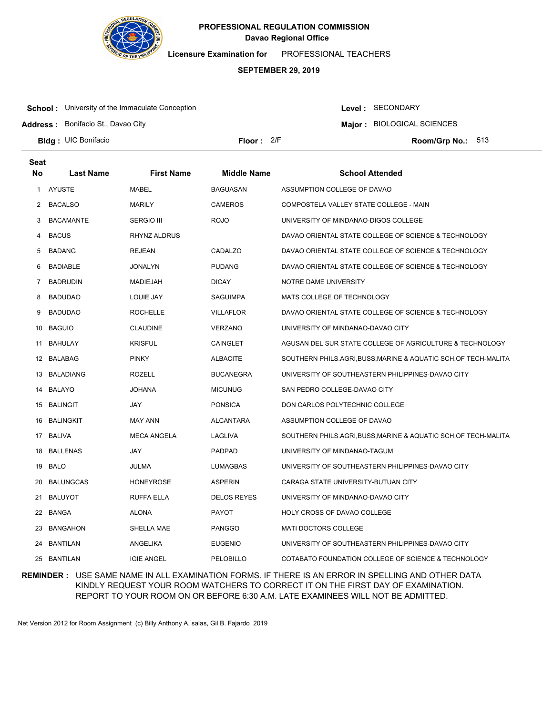

**Licensure Examination for**  PROFESSIONAL TEACHERS

### **SEPTEMBER 29, 2019**

**School:** University of the Immaculate Conception

Level : SECONDARY

**Major : BIOLOGICAL SCIENCES** 

**Address :** Bonifacio St., Davao City

**Bldg : Floor : Room/Grp No.:** UIC Bonifacio Floor: 2/F Room/Grp No.: 513

| <b>Seat</b> |                  |                     |                    |                                                              |
|-------------|------------------|---------------------|--------------------|--------------------------------------------------------------|
| <b>No</b>   | <b>Last Name</b> | <b>First Name</b>   | <b>Middle Name</b> | <b>School Attended</b>                                       |
| 1           | <b>AYUSTE</b>    | <b>MABEL</b>        | <b>BAGUASAN</b>    | ASSUMPTION COLLEGE OF DAVAO                                  |
| 2           | BACALSO          | MARILY              | <b>CAMEROS</b>     | COMPOSTELA VALLEY STATE COLLEGE - MAIN                       |
| 3           | BACAMANTE        | <b>SERGIO III</b>   | <b>ROJO</b>        | UNIVERSITY OF MINDANAO-DIGOS COLLEGE                         |
| 4           | <b>BACUS</b>     | <b>RHYNZ ALDRUS</b> |                    | DAVAO ORIENTAL STATE COLLEGE OF SCIENCE & TECHNOLOGY         |
| 5           | BADANG           | <b>REJEAN</b>       | CADALZO            | DAVAO ORIENTAL STATE COLLEGE OF SCIENCE & TECHNOLOGY         |
| 6           | <b>BADIABLE</b>  | <b>JONALYN</b>      | <b>PUDANG</b>      | DAVAO ORIENTAL STATE COLLEGE OF SCIENCE & TECHNOLOGY         |
| 7           | <b>BADRUDIN</b>  | <b>MADIEJAH</b>     | <b>DICAY</b>       | NOTRE DAME UNIVERSITY                                        |
| 8           | BADUDAO          | LOUIE JAY           | SAGUIMPA           | MATS COLLEGE OF TECHNOLOGY                                   |
| 9           | <b>BADUDAO</b>   | <b>ROCHELLE</b>     | <b>VILLAFLOR</b>   | DAVAO ORIENTAL STATE COLLEGE OF SCIENCE & TECHNOLOGY         |
| 10          | <b>BAGUIO</b>    | <b>CLAUDINE</b>     | <b>VERZANO</b>     | UNIVERSITY OF MINDANAO-DAVAO CITY                            |
|             | 11 BAHULAY       | <b>KRISFUL</b>      | CAINGLET           | AGUSAN DEL SUR STATE COLLEGE OF AGRICULTURE & TECHNOLOGY     |
| 12          | BALABAG          | <b>PINKY</b>        | <b>ALBACITE</b>    | SOUTHERN PHILS.AGRI,BUSS,MARINE & AQUATIC SCH.OF TECH-MALITA |
| 13          | BALADIANG        | ROZELL              | <b>BUCANEGRA</b>   | UNIVERSITY OF SOUTHEASTERN PHILIPPINES-DAVAO CITY            |
| 14          | BALAYO           | <b>JOHANA</b>       | <b>MICUNUG</b>     | SAN PEDRO COLLEGE-DAVAO CITY                                 |
| 15          | BALINGIT         | JAY                 | <b>PONSICA</b>     | DON CARLOS POLYTECHNIC COLLEGE                               |
| 16          | BALINGKIT        | <b>MAY ANN</b>      | <b>ALCANTARA</b>   | ASSUMPTION COLLEGE OF DAVAO                                  |
|             | 17 BALIVA        | <b>MECA ANGELA</b>  | LAGLIVA            | SOUTHERN PHILS.AGRI,BUSS,MARINE & AQUATIC SCH.OF TECH-MALITA |
| 18          | BALLENAS         | JAY                 | <b>PADPAD</b>      | UNIVERSITY OF MINDANAO-TAGUM                                 |
| 19          | BALO             | JULMA               | <b>LUMAGBAS</b>    | UNIVERSITY OF SOUTHEASTERN PHILIPPINES-DAVAO CITY            |
| 20          | <b>BALUNGCAS</b> | <b>HONEYROSE</b>    | <b>ASPERIN</b>     | CARAGA STATE UNIVERSITY-BUTUAN CITY                          |
|             | 21 BALUYOT       | RUFFA ELLA          | <b>DELOS REYES</b> | UNIVERSITY OF MINDANAO-DAVAO CITY                            |
| 22          | BANGA            | <b>ALONA</b>        | <b>PAYOT</b>       | <b>HOLY CROSS OF DAVAO COLLEGE</b>                           |
| 23          | <b>BANGAHON</b>  | SHELLA MAE          | <b>PANGGO</b>      | <b>MATI DOCTORS COLLEGE</b>                                  |
| 24          | BANTILAN         | ANGELIKA            | <b>EUGENIO</b>     | UNIVERSITY OF SOUTHEASTERN PHILIPPINES-DAVAO CITY            |
| 25          | BANTILAN         | <b>IGIE ANGEL</b>   | PELOBILLO          | COTABATO FOUNDATION COLLEGE OF SCIENCE & TECHNOLOGY          |

**REMINDER :** USE SAME NAME IN ALL EXAMINATION FORMS. IF THERE IS AN ERROR IN SPELLING AND OTHER DATA KINDLY REQUEST YOUR ROOM WATCHERS TO CORRECT IT ON THE FIRST DAY OF EXAMINATION. REPORT TO YOUR ROOM ON OR BEFORE 6:30 A.M. LATE EXAMINEES WILL NOT BE ADMITTED.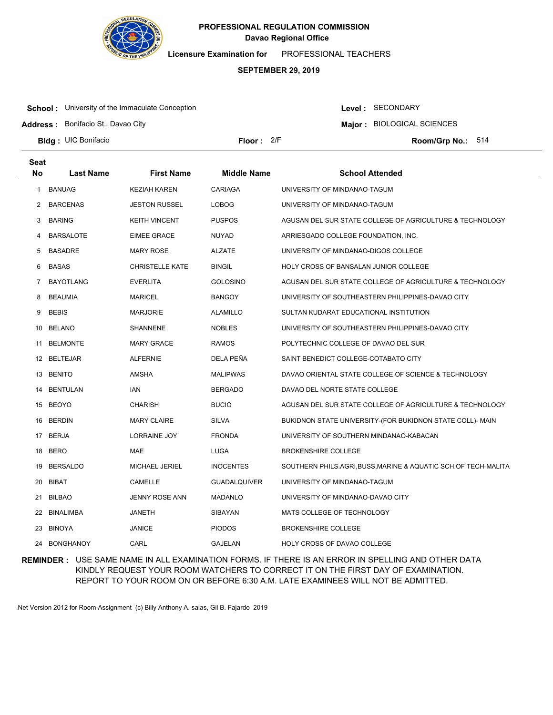

**Licensure Examination for**  PROFESSIONAL TEACHERS

### **SEPTEMBER 29, 2019**

**School:** University of the Immaculate Conception

**Address :** Bonifacio St., Davao City

**Major : BIOLOGICAL SCIENCES** 

Level : SECONDARY

**Bldg : Floor : Room/Grp No.:** UIC Bonifacio Floor: 2/F Room/Grp No.: 514

| <b>Seat</b> |                  |                        |                     |                                                              |
|-------------|------------------|------------------------|---------------------|--------------------------------------------------------------|
| No          | <b>Last Name</b> | <b>First Name</b>      | <b>Middle Name</b>  | <b>School Attended</b>                                       |
| -1          | <b>BANUAG</b>    | <b>KEZIAH KAREN</b>    | <b>CARIAGA</b>      | UNIVERSITY OF MINDANAO-TAGUM                                 |
| 2           | <b>BARCENAS</b>  | <b>JESTON RUSSEL</b>   | <b>LOBOG</b>        | UNIVERSITY OF MINDANAO-TAGUM                                 |
| 3           | <b>BARING</b>    | <b>KEITH VINCENT</b>   | <b>PUSPOS</b>       | AGUSAN DEL SUR STATE COLLEGE OF AGRICULTURE & TECHNOLOGY     |
| 4           | <b>BARSALOTE</b> | <b>EIMEE GRACE</b>     | <b>NUYAD</b>        | ARRIESGADO COLLEGE FOUNDATION, INC.                          |
| 5           | <b>BASADRE</b>   | <b>MARY ROSE</b>       | <b>ALZATE</b>       | UNIVERSITY OF MINDANAO-DIGOS COLLEGE                         |
| 6           | <b>BASAS</b>     | <b>CHRISTELLE KATE</b> | <b>BINGIL</b>       | HOLY CROSS OF BANSALAN JUNIOR COLLEGE                        |
| 7           | <b>BAYOTLANG</b> | <b>EVERLITA</b>        | <b>GOLOSINO</b>     | AGUSAN DEL SUR STATE COLLEGE OF AGRICULTURE & TECHNOLOGY     |
| 8           | <b>BEAUMIA</b>   | <b>MARICEL</b>         | <b>BANGOY</b>       | UNIVERSITY OF SOUTHEASTERN PHILIPPINES-DAVAO CITY            |
| 9           | <b>BEBIS</b>     | <b>MARJORIE</b>        | <b>ALAMILLO</b>     | SULTAN KUDARAT EDUCATIONAL INSTITUTION                       |
| 10          | <b>BELANO</b>    | SHANNENE               | <b>NOBLES</b>       | UNIVERSITY OF SOUTHEASTERN PHILIPPINES-DAVAO CITY            |
| 11          | <b>BELMONTE</b>  | <b>MARY GRACE</b>      | <b>RAMOS</b>        | POLYTECHNIC COLLEGE OF DAVAO DEL SUR                         |
|             | 12 BELTEJAR      | <b>ALFERNIE</b>        | DELA PEÑA           | SAINT BENEDICT COLLEGE-COTABATO CITY                         |
|             | 13 BENITO        | AMSHA                  | <b>MALIPWAS</b>     | DAVAO ORIENTAL STATE COLLEGE OF SCIENCE & TECHNOLOGY         |
| 14          | <b>BENTULAN</b>  | IAN                    | <b>BERGADO</b>      | DAVAO DEL NORTE STATE COLLEGE                                |
|             | 15 BEOYO         | CHARISH                | <b>BUCIO</b>        | AGUSAN DEL SUR STATE COLLEGE OF AGRICULTURE & TECHNOLOGY     |
| 16          | <b>BERDIN</b>    | <b>MARY CLAIRE</b>     | <b>SILVA</b>        | BUKIDNON STATE UNIVERSITY-(FOR BUKIDNON STATE COLL)- MAIN    |
| 17          | BERJA            | LORRAINE JOY           | <b>FRONDA</b>       | UNIVERSITY OF SOUTHERN MINDANAO-KABACAN                      |
| 18          | <b>BERO</b>      | <b>MAE</b>             | <b>LUGA</b>         | <b>BROKENSHIRE COLLEGE</b>                                   |
| 19          | <b>BERSALDO</b>  | MICHAEL JERIEL         | <b>INOCENTES</b>    | SOUTHERN PHILS.AGRI,BUSS,MARINE & AQUATIC SCH.OF TECH-MALITA |
| 20          | <b>BIBAT</b>     | CAMELLE                | <b>GUADALQUIVER</b> | UNIVERSITY OF MINDANAO-TAGUM                                 |
| 21          | <b>BILBAO</b>    | JENNY ROSE ANN         | <b>MADANLO</b>      | UNIVERSITY OF MINDANAO-DAVAO CITY                            |
| 22          | BINALIMBA        | JANETH                 | SIBAYAN             | MATS COLLEGE OF TECHNOLOGY                                   |
| 23          | <b>BINOYA</b>    | JANICE                 | <b>PIODOS</b>       | <b>BROKENSHIRE COLLEGE</b>                                   |
| 24          | <b>BONGHANOY</b> | CARL                   | <b>GAJELAN</b>      | HOLY CROSS OF DAVAO COLLEGE                                  |

**REMINDER :** USE SAME NAME IN ALL EXAMINATION FORMS. IF THERE IS AN ERROR IN SPELLING AND OTHER DATA KINDLY REQUEST YOUR ROOM WATCHERS TO CORRECT IT ON THE FIRST DAY OF EXAMINATION. REPORT TO YOUR ROOM ON OR BEFORE 6:30 A.M. LATE EXAMINEES WILL NOT BE ADMITTED.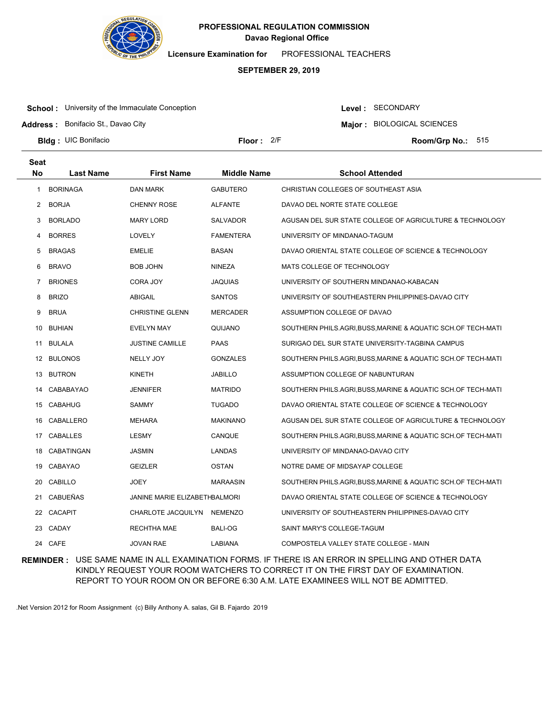

**Licensure Examination for**  PROFESSIONAL TEACHERS

### **SEPTEMBER 29, 2019**

**School:** University of the Immaculate Conception

**Address :** Bonifacio St., Davao City

Level : SECONDARY

**Major : BIOLOGICAL SCIENCES** 

**Bldg : Floor : Room/Grp No.:** UIC Bonifacio

**Seat**

Floor: 2/F Room/Grp No.: 515

| συαι |                  |                               |                    |                                                              |
|------|------------------|-------------------------------|--------------------|--------------------------------------------------------------|
| No   | <b>Last Name</b> | <b>First Name</b>             | <b>Middle Name</b> | <b>School Attended</b>                                       |
| 1    | <b>BORINAGA</b>  | DAN MARK                      | <b>GABUTERO</b>    | CHRISTIAN COLLEGES OF SOUTHEAST ASIA                         |
| 2    | <b>BORJA</b>     | <b>CHENNY ROSE</b>            | <b>ALFANTE</b>     | DAVAO DEL NORTE STATE COLLEGE                                |
| 3    | <b>BORLADO</b>   | <b>MARY LORD</b>              | <b>SALVADOR</b>    | AGUSAN DEL SUR STATE COLLEGE OF AGRICULTURE & TECHNOLOGY     |
| 4    | <b>BORRES</b>    | LOVELY                        | <b>FAMENTERA</b>   | UNIVERSITY OF MINDANAO-TAGUM                                 |
| 5    | <b>BRAGAS</b>    | <b>EMELIE</b>                 | <b>BASAN</b>       | DAVAO ORIENTAL STATE COLLEGE OF SCIENCE & TECHNOLOGY         |
| 6    | <b>BRAVO</b>     | BOB JOHN                      | NINEZA             | MATS COLLEGE OF TECHNOLOGY                                   |
| 7    | <b>BRIONES</b>   | CORA JOY                      | <b>JAQUIAS</b>     | UNIVERSITY OF SOUTHERN MINDANAO-KABACAN                      |
| 8    | <b>BRIZO</b>     | ABIGAIL                       | <b>SANTOS</b>      | UNIVERSITY OF SOUTHEASTERN PHILIPPINES-DAVAO CITY            |
| 9    | <b>BRUA</b>      | <b>CHRISTINE GLENN</b>        | <b>MERCADER</b>    | ASSUMPTION COLLEGE OF DAVAO                                  |
|      | 10 BUHIAN        | EVELYN MAY                    | QUIJANO            | SOUTHERN PHILS.AGRI,BUSS,MARINE & AQUATIC SCH.OF TECH-MATI   |
|      | 11 BULALA        | <b>JUSTINE CAMILLE</b>        | PAAS               | SURIGAO DEL SUR STATE UNIVERSITY-TAGBINA CAMPUS              |
|      | 12 BULONOS       | NELLY JOY                     | <b>GONZALES</b>    | SOUTHERN PHILS.AGRI,BUSS,MARINE & AQUATIC SCH.OF TECH-MATI   |
|      | 13 BUTRON        | <b>KINETH</b>                 | <b>JABILLO</b>     | ASSUMPTION COLLEGE OF NABUNTURAN                             |
|      | 14 CABABAYAO     | <b>JENNIFER</b>               | <b>MATRIDO</b>     | SOUTHERN PHILS.AGRI,BUSS,MARINE & AQUATIC SCH.OF TECH-MATI   |
|      | 15 CABAHUG       | SAMMY                         | <b>TUGADO</b>      | DAVAO ORIENTAL STATE COLLEGE OF SCIENCE & TECHNOLOGY         |
|      | 16 CABALLERO     | <b>MEHARA</b>                 | <b>MAKINANO</b>    | AGUSAN DEL SUR STATE COLLEGE OF AGRICULTURE & TECHNOLOGY     |
|      | 17 CABALLES      | <b>LESMY</b>                  | CANQUE             | SOUTHERN PHILS.AGRI,BUSS,MARINE & AQUATIC SCH.OF TECH-MATI   |
|      | 18 CABATINGAN    | JASMIN                        | <b>LANDAS</b>      | UNIVERSITY OF MINDANAO-DAVAO CITY                            |
| 19   | CABAYAO          | <b>GEIZLER</b>                | <b>OSTAN</b>       | NOTRE DAME OF MIDSAYAP COLLEGE                               |
|      | 20 CABILLO       | JOEY                          | <b>MARAASIN</b>    | SOUTHERN PHILS.AGRI, BUSS, MARINE & AQUATIC SCH.OF TECH-MATI |
| 21   | CABUEÑAS         | JANINE MARIE ELIZABETHBALMORI |                    | DAVAO ORIENTAL STATE COLLEGE OF SCIENCE & TECHNOLOGY         |
|      | 22 CACAPIT       | CHARLOTE JACQUILYN            | NEMENZO            | UNIVERSITY OF SOUTHEASTERN PHILIPPINES-DAVAO CITY            |
| 23   | CADAY            | <b>RECHTHA MAE</b>            | BALI-OG            | SAINT MARY'S COLLEGE-TAGUM                                   |
|      | 24 CAFE          | JOVAN RAE                     | <b>LABIANA</b>     | COMPOSTELA VALLEY STATE COLLEGE - MAIN                       |
|      |                  |                               |                    |                                                              |

**REMINDER :** USE SAME NAME IN ALL EXAMINATION FORMS. IF THERE IS AN ERROR IN SPELLING AND OTHER DATA KINDLY REQUEST YOUR ROOM WATCHERS TO CORRECT IT ON THE FIRST DAY OF EXAMINATION. REPORT TO YOUR ROOM ON OR BEFORE 6:30 A.M. LATE EXAMINEES WILL NOT BE ADMITTED.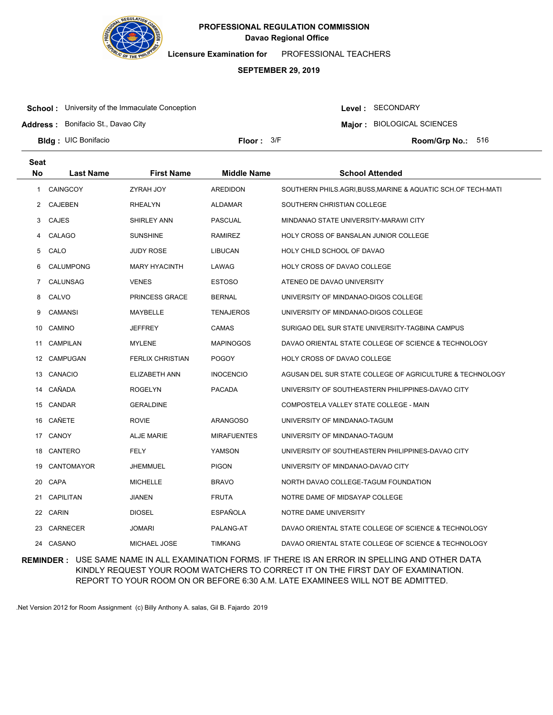

**Licensure Examination for**  PROFESSIONAL TEACHERS

### **SEPTEMBER 29, 2019**

**School:** University of the Immaculate Conception

Level : SECONDARY

**Major : BIOLOGICAL SCIENCES** 

**Address :** Bonifacio St., Davao City

**Bldg : Floor : Room/Grp No.:** UIC Bonifacio

Floor:  $3/F$  Room/Grp No.: 516

| <b>Seat</b><br>No |                  |                         | <b>Middle Name</b> | <b>School Attended</b>                                     |
|-------------------|------------------|-------------------------|--------------------|------------------------------------------------------------|
|                   | <b>Last Name</b> | <b>First Name</b>       |                    |                                                            |
| 1                 | <b>CAINGCOY</b>  | ZYRAH JOY               | <b>AREDIDON</b>    | SOUTHERN PHILS.AGRI,BUSS,MARINE & AQUATIC SCH.OF TECH-MATI |
| $\mathbf{2}$      | CAJEBEN          | RHEALYN                 | ALDAMAR            | SOUTHERN CHRISTIAN COLLEGE                                 |
| 3                 | <b>CAJES</b>     | <b>SHIRLEY ANN</b>      | <b>PASCUAL</b>     | MINDANAO STATE UNIVERSITY-MARAWI CITY                      |
| 4                 | CALAGO           | <b>SUNSHINE</b>         | <b>RAMIREZ</b>     | HOLY CROSS OF BANSALAN JUNIOR COLLEGE                      |
| 5                 | CALO             | <b>JUDY ROSE</b>        | <b>LIBUCAN</b>     | HOLY CHILD SCHOOL OF DAVAO                                 |
| 6                 | <b>CALUMPONG</b> | <b>MARY HYACINTH</b>    | LAWAG              | HOLY CROSS OF DAVAO COLLEGE                                |
| 7                 | CALUNSAG         | <b>VENES</b>            | <b>ESTOSO</b>      | ATENEO DE DAVAO UNIVERSITY                                 |
| 8                 | CALVO            | <b>PRINCESS GRACE</b>   | <b>BERNAL</b>      | UNIVERSITY OF MINDANAO-DIGOS COLLEGE                       |
| 9                 | <b>CAMANSI</b>   | MAYBELLE                | <b>TENAJEROS</b>   | UNIVERSITY OF MINDANAO-DIGOS COLLEGE                       |
| 10                | <b>CAMINO</b>    | JEFFREY                 | <b>CAMAS</b>       | SURIGAO DEL SUR STATE UNIVERSITY-TAGBINA CAMPUS            |
| 11                | <b>CAMPILAN</b>  | <b>MYLENE</b>           | <b>MAPINOGOS</b>   | DAVAO ORIENTAL STATE COLLEGE OF SCIENCE & TECHNOLOGY       |
| 12                | CAMPUGAN         | <b>FERLIX CHRISTIAN</b> | <b>POGOY</b>       | HOLY CROSS OF DAVAO COLLEGE                                |
|                   | 13 CANACIO       | ELIZABETH ANN           | <b>INOCENCIO</b>   | AGUSAN DEL SUR STATE COLLEGE OF AGRICULTURE & TECHNOLOGY   |
| 14                | CAÑADA           | <b>ROGELYN</b>          | <b>PACADA</b>      | UNIVERSITY OF SOUTHEASTERN PHILIPPINES-DAVAO CITY          |
|                   | 15 CANDAR        | <b>GERALDINE</b>        |                    | COMPOSTELA VALLEY STATE COLLEGE - MAIN                     |
|                   | 16 CAÑETE        | <b>ROVIE</b>            | <b>ARANGOSO</b>    | UNIVERSITY OF MINDANAO-TAGUM                               |
|                   | 17 CANOY         | <b>ALJE MARIE</b>       | <b>MIRAFUENTES</b> | UNIVERSITY OF MINDANAO-TAGUM                               |
| 18                | CANTERO          | FELY                    | <b>YAMSON</b>      | UNIVERSITY OF SOUTHEASTERN PHILIPPINES-DAVAO CITY          |
| 19                | CANTOMAYOR       | JHEMMUEL                | <b>PIGON</b>       | UNIVERSITY OF MINDANAO-DAVAO CITY                          |
| 20                | CAPA             | <b>MICHELLE</b>         | <b>BRAVO</b>       | NORTH DAVAO COLLEGE-TAGUM FOUNDATION                       |
| 21                | <b>CAPILITAN</b> | JIANEN                  | <b>FRUTA</b>       | NOTRE DAME OF MIDSAYAP COLLEGE                             |
| 22                | CARIN            | <b>DIOSEL</b>           | <b>ESPAÑOLA</b>    | NOTRE DAME UNIVERSITY                                      |
| 23                | CARNECER         | JOMARI                  | PALANG-AT          | DAVAO ORIENTAL STATE COLLEGE OF SCIENCE & TECHNOLOGY       |
|                   | 24 CASANO        | MICHAEL JOSE            | <b>TIMKANG</b>     | DAVAO ORIENTAL STATE COLLEGE OF SCIENCE & TECHNOLOGY       |

**REMINDER :** USE SAME NAME IN ALL EXAMINATION FORMS. IF THERE IS AN ERROR IN SPELLING AND OTHER DATA KINDLY REQUEST YOUR ROOM WATCHERS TO CORRECT IT ON THE FIRST DAY OF EXAMINATION. REPORT TO YOUR ROOM ON OR BEFORE 6:30 A.M. LATE EXAMINEES WILL NOT BE ADMITTED.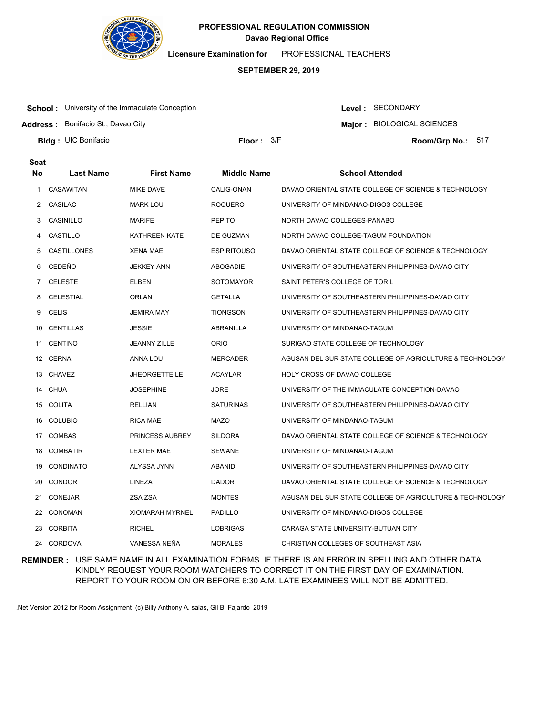

**Licensure Examination for**  PROFESSIONAL TEACHERS

### **SEPTEMBER 29, 2019**

**School:** University of the Immaculate Conception

**Address :** Bonifacio St., Davao City

Level : SECONDARY

**Major : BIOLOGICAL SCIENCES** 

**Bldg : Floor : Room/Grp No.:** UIC Bonifacio

**Seat**

Floor:  $3/F$  Room/Grp No.: 517

| συαι           |                  |                        |                    |                                                          |
|----------------|------------------|------------------------|--------------------|----------------------------------------------------------|
| <b>No</b>      | <b>Last Name</b> | <b>First Name</b>      | <b>Middle Name</b> | <b>School Attended</b>                                   |
| 1              | CASAWITAN        | MIKE DAVE              | CALIG-ONAN         | DAVAO ORIENTAL STATE COLLEGE OF SCIENCE & TECHNOLOGY     |
| 2              | CASILAC          | <b>MARK LOU</b>        | ROQUERO            | UNIVERSITY OF MINDANAO-DIGOS COLLEGE                     |
| 3              | CASINILLO        | MARIFE                 | <b>PEPITO</b>      | NORTH DAVAO COLLEGES-PANABO                              |
| 4              | CASTILLO         | <b>KATHREEN KATE</b>   | DE GUZMAN          | NORTH DAVAO COLLEGE-TAGUM FOUNDATION                     |
| 5              | CASTILLONES      | XENA MAE               | <b>ESPIRITOUSO</b> | DAVAO ORIENTAL STATE COLLEGE OF SCIENCE & TECHNOLOGY     |
| 6              | CEDEÑO           | <b>JEKKEY ANN</b>      | ABOGADIE           | UNIVERSITY OF SOUTHEASTERN PHILIPPINES-DAVAO CITY        |
| $\overline{7}$ | <b>CELESTE</b>   | ELBEN                  | SOTOMAYOR          | SAINT PETER'S COLLEGE OF TORIL                           |
| 8              | <b>CELESTIAL</b> | ORLAN                  | <b>GETALLA</b>     | UNIVERSITY OF SOUTHEASTERN PHILIPPINES-DAVAO CITY        |
| 9              | <b>CELIS</b>     | <b>JEMIRA MAY</b>      | <b>TIONGSON</b>    | UNIVERSITY OF SOUTHEASTERN PHILIPPINES-DAVAO CITY        |
| 10             | <b>CENTILLAS</b> | <b>JESSIE</b>          | ABRANILLA          | UNIVERSITY OF MINDANAO-TAGUM                             |
| 11             | <b>CENTINO</b>   | <b>JEANNY ZILLE</b>    | <b>ORIO</b>        | SURIGAO STATE COLLEGE OF TECHNOLOGY                      |
|                | 12 CERNA         | ANNA LOU               | MERCADER           | AGUSAN DEL SUR STATE COLLEGE OF AGRICULTURE & TECHNOLOGY |
|                | 13 CHAVEZ        | <b>JHEORGETTE LEI</b>  | ACAYLAR            | HOLY CROSS OF DAVAO COLLEGE                              |
| 14             | CHUA             | <b>JOSEPHINE</b>       | <b>JORE</b>        | UNIVERSITY OF THE IMMACULATE CONCEPTION-DAVAO            |
| 15             | COLITA           | <b>RELLIAN</b>         | <b>SATURINAS</b>   | UNIVERSITY OF SOUTHEASTERN PHILIPPINES-DAVAO CITY        |
| 16             | <b>COLUBIO</b>   | RICA MAE               | <b>MAZO</b>        | UNIVERSITY OF MINDANAO-TAGUM                             |
| 17             | COMBAS           | PRINCESS AUBREY        | <b>SILDORA</b>     | DAVAO ORIENTAL STATE COLLEGE OF SCIENCE & TECHNOLOGY     |
| 18             | <b>COMBATIR</b>  | <b>LEXTER MAE</b>      | <b>SEWANE</b>      | UNIVERSITY OF MINDANAO-TAGUM                             |
| 19             | CONDINATO        | ALYSSA JYNN            | ABANID             | UNIVERSITY OF SOUTHEASTERN PHILIPPINES-DAVAO CITY        |
| 20             | <b>CONDOR</b>    | LINEZA                 | <b>DADOR</b>       | DAVAO ORIENTAL STATE COLLEGE OF SCIENCE & TECHNOLOGY     |
| 21             | CONEJAR          | ZSA ZSA                | <b>MONTES</b>      | AGUSAN DEL SUR STATE COLLEGE OF AGRICULTURE & TECHNOLOGY |
| 22             | CONOMAN          | <b>XIOMARAH MYRNEL</b> | <b>PADILLO</b>     | UNIVERSITY OF MINDANAO-DIGOS COLLEGE                     |
| 23             | <b>CORBITA</b>   | <b>RICHEL</b>          | <b>LOBRIGAS</b>    | CARAGA STATE UNIVERSITY-BUTUAN CITY                      |
|                | 24 CORDOVA       | VANESSA NEÑA           | <b>MORALES</b>     | CHRISTIAN COLLEGES OF SOUTHEAST ASIA                     |

**REMINDER :** USE SAME NAME IN ALL EXAMINATION FORMS. IF THERE IS AN ERROR IN SPELLING AND OTHER DATA KINDLY REQUEST YOUR ROOM WATCHERS TO CORRECT IT ON THE FIRST DAY OF EXAMINATION. REPORT TO YOUR ROOM ON OR BEFORE 6:30 A.M. LATE EXAMINEES WILL NOT BE ADMITTED.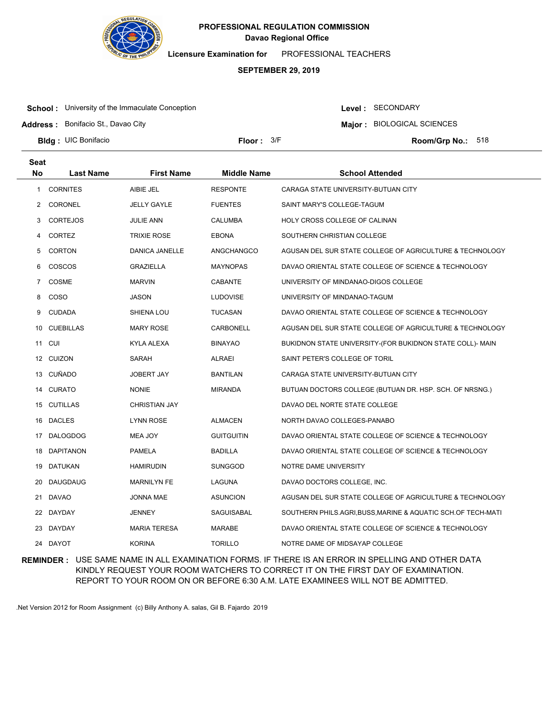

**Licensure Examination for**  PROFESSIONAL TEACHERS

### **SEPTEMBER 29, 2019**

**School:** University of the Immaculate Conception

**Address :** Bonifacio St., Davao City

Level : SECONDARY

**Major : BIOLOGICAL SCIENCES** 

**Bldg : Floor : Room/Grp No.:** UIC Bonifacio

**Seat**

Floor:  $3/F$  Room/Grp No.: 518

| υσαι<br>No | <b>Last Name</b> | <b>First Name</b>  | <b>Middle Name</b> | <b>School Attended</b>                                       |
|------------|------------------|--------------------|--------------------|--------------------------------------------------------------|
| 1          | <b>CORNITES</b>  | AIBIE JEL          | <b>RESPONTE</b>    | CARAGA STATE UNIVERSITY-BUTUAN CITY                          |
| 2          | <b>CORONEL</b>   | <b>JELLY GAYLE</b> | <b>FUENTES</b>     | SAINT MARY'S COLLEGE-TAGUM                                   |
| 3          | <b>CORTEJOS</b>  | JULIE ANN          | <b>CALUMBA</b>     | HOLY CROSS COLLEGE OF CALINAN                                |
| 4          | <b>CORTEZ</b>    | <b>TRIXIE ROSE</b> | <b>EBONA</b>       | SOUTHERN CHRISTIAN COLLEGE                                   |
| 5          | <b>CORTON</b>    | DANICA JANELLE     | ANGCHANGCO         | AGUSAN DEL SUR STATE COLLEGE OF AGRICULTURE & TECHNOLOGY     |
| 6          | <b>COSCOS</b>    | <b>GRAZIELLA</b>   | <b>MAYNOPAS</b>    | DAVAO ORIENTAL STATE COLLEGE OF SCIENCE & TECHNOLOGY         |
| 7          | COSME            | <b>MARVIN</b>      | <b>CABANTE</b>     | UNIVERSITY OF MINDANAO-DIGOS COLLEGE                         |
| 8          | <b>COSO</b>      | JASON              | <b>LUDOVISE</b>    | UNIVERSITY OF MINDANAO-TAGUM                                 |
| 9          | <b>CUDADA</b>    | SHIENA LOU         | <b>TUCASAN</b>     | DAVAO ORIENTAL STATE COLLEGE OF SCIENCE & TECHNOLOGY         |
| 10         | <b>CUEBILLAS</b> | MARY ROSE          | CARBONELL          | AGUSAN DEL SUR STATE COLLEGE OF AGRICULTURE & TECHNOLOGY     |
|            | 11 CUI           | KYLA ALEXA         | <b>BINAYAO</b>     | BUKIDNON STATE UNIVERSITY-(FOR BUKIDNON STATE COLL)- MAIN    |
|            | 12 CUIZON        | SARAH              | ALRAEI             | SAINT PETER'S COLLEGE OF TORIL                               |
| 13         | CUÑADO           | <b>JOBERT JAY</b>  | <b>BANTILAN</b>    | CARAGA STATE UNIVERSITY-BUTUAN CITY                          |
|            | 14 CURATO        | <b>NONIE</b>       | <b>MIRANDA</b>     | BUTUAN DOCTORS COLLEGE (BUTUAN DR. HSP. SCH. OF NRSNG.)      |
| 15         | CUTILLAS         | CHRISTIAN JAY      |                    | DAVAO DEL NORTE STATE COLLEGE                                |
| 16         | DACLES           | LYNN ROSE          | <b>ALMACEN</b>     | NORTH DAVAO COLLEGES-PANABO                                  |
| 17         | DALOGDOG         | MEA JOY            | <b>GUITGUITIN</b>  | DAVAO ORIENTAL STATE COLLEGE OF SCIENCE & TECHNOLOGY         |
| 18         | DAPITANON        | PAMELA             | <b>BADILLA</b>     | DAVAO ORIENTAL STATE COLLEGE OF SCIENCE & TECHNOLOGY         |
| 19         | DATUKAN          | <b>HAMIRUDIN</b>   | <b>SUNGGOD</b>     | NOTRE DAME UNIVERSITY                                        |
| 20         | DAUGDAUG         | <b>MARNILYN FE</b> | LAGUNA             | DAVAO DOCTORS COLLEGE, INC.                                  |
|            | 21 DAVAO         | JONNA MAE          | <b>ASUNCION</b>    | AGUSAN DEL SUR STATE COLLEGE OF AGRICULTURE & TECHNOLOGY     |
|            | 22 DAYDAY        | JENNEY             | SAGUISABAL         | SOUTHERN PHILS.AGRI, BUSS, MARINE & AQUATIC SCH.OF TECH-MATI |
|            | 23 DAYDAY        | MARIA TERESA       | MARABE             | DAVAO ORIENTAL STATE COLLEGE OF SCIENCE & TECHNOLOGY         |
|            | 24 DAYOT         | <b>KORINA</b>      | <b>TORILLO</b>     | NOTRE DAME OF MIDSAYAP COLLEGE                               |

**REMINDER :** USE SAME NAME IN ALL EXAMINATION FORMS. IF THERE IS AN ERROR IN SPELLING AND OTHER DATA KINDLY REQUEST YOUR ROOM WATCHERS TO CORRECT IT ON THE FIRST DAY OF EXAMINATION. REPORT TO YOUR ROOM ON OR BEFORE 6:30 A.M. LATE EXAMINEES WILL NOT BE ADMITTED.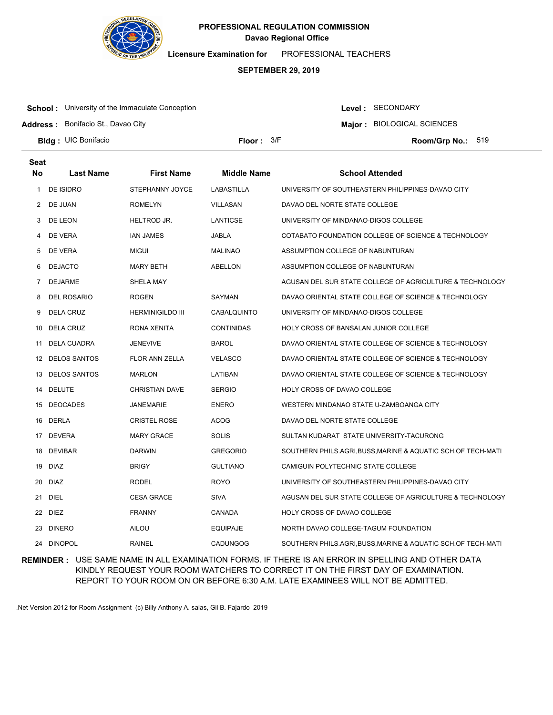

**Licensure Examination for**  PROFESSIONAL TEACHERS

### **SEPTEMBER 29, 2019**

**School:** University of the Immaculate Conception

**Address :** Bonifacio St., Davao City

Level : SECONDARY

**Major : BIOLOGICAL SCIENCES** 

**Bldg : Floor : Room/Grp No.:** UIC Bonifacio

Floor:  $3/F$  Room/Grp No.: 519

| <b>Seat</b> |                     |                         |                    |                                                            |
|-------------|---------------------|-------------------------|--------------------|------------------------------------------------------------|
| <b>No</b>   | Last Name           | <b>First Name</b>       | <b>Middle Name</b> | <b>School Attended</b>                                     |
| 1           | <b>DE ISIDRO</b>    | STEPHANNY JOYCE         | <b>LABASTILLA</b>  | UNIVERSITY OF SOUTHEASTERN PHILIPPINES-DAVAO CITY          |
| 2           | DE JUAN             | <b>ROMELYN</b>          | <b>VILLASAN</b>    | DAVAO DEL NORTE STATE COLLEGE                              |
| 3           | DE LEON             | HELTROD JR.             | LANTICSE           | UNIVERSITY OF MINDANAO-DIGOS COLLEGE                       |
| 4           | DE VERA             | IAN JAMES               | JABLA              | COTABATO FOUNDATION COLLEGE OF SCIENCE & TECHNOLOGY        |
| 5           | DE VERA             | <b>MIGUI</b>            | <b>MALINAO</b>     | ASSUMPTION COLLEGE OF NABUNTURAN                           |
| 6           | <b>DEJACTO</b>      | <b>MARY BETH</b>        | ABELLON            | ASSUMPTION COLLEGE OF NABUNTURAN                           |
| 7           | <b>DEJARME</b>      | SHELA MAY               |                    | AGUSAN DEL SUR STATE COLLEGE OF AGRICULTURE & TECHNOLOGY   |
| 8           | <b>DEL ROSARIO</b>  | <b>ROGEN</b>            | SAYMAN             | DAVAO ORIENTAL STATE COLLEGE OF SCIENCE & TECHNOLOGY       |
| 9           | <b>DELA CRUZ</b>    | <b>HERMINIGILDO III</b> | CABALQUINTO        | UNIVERSITY OF MINDANAO-DIGOS COLLEGE                       |
| 10          | DELA CRUZ           | RONA XENITA             | <b>CONTINIDAS</b>  | HOLY CROSS OF BANSALAN JUNIOR COLLEGE                      |
| 11          | DELA CUADRA         | <b>JENEVIVE</b>         | <b>BAROL</b>       | DAVAO ORIENTAL STATE COLLEGE OF SCIENCE & TECHNOLOGY       |
| 12          | <b>DELOS SANTOS</b> | <b>FLOR ANN ZELLA</b>   | <b>VELASCO</b>     | DAVAO ORIENTAL STATE COLLEGE OF SCIENCE & TECHNOLOGY       |
| 13          | <b>DELOS SANTOS</b> | <b>MARLON</b>           | LATIBAN            | DAVAO ORIENTAL STATE COLLEGE OF SCIENCE & TECHNOLOGY       |
| 14          | <b>DELUTE</b>       | <b>CHRISTIAN DAVE</b>   | <b>SERGIO</b>      | HOLY CROSS OF DAVAO COLLEGE                                |
|             | 15 DEOCADES         | JANEMARIE               | ENERO              | WESTERN MINDANAO STATE U-ZAMBOANGA CITY                    |
|             | 16 DERLA            | <b>CRISTEL ROSE</b>     | <b>ACOG</b>        | DAVAO DEL NORTE STATE COLLEGE                              |
|             | 17 DEVERA           | <b>MARY GRACE</b>       | <b>SOLIS</b>       | SULTAN KUDARAT STATE UNIVERSITY-TACURONG                   |
|             | 18 DEVIBAR          | <b>DARWIN</b>           | <b>GREGORIO</b>    | SOUTHERN PHILS.AGRI,BUSS,MARINE & AQUATIC SCH.OF TECH-MATI |
|             | 19 DIAZ             | <b>BRIGY</b>            | <b>GULTIANO</b>    | CAMIGUIN POLYTECHNIC STATE COLLEGE                         |
| 20          | DIAZ                | <b>RODEL</b>            | ROYO               | UNIVERSITY OF SOUTHEASTERN PHILIPPINES-DAVAO CITY          |
| 21          | DIEL                | <b>CESA GRACE</b>       | SIVA               | AGUSAN DEL SUR STATE COLLEGE OF AGRICULTURE & TECHNOLOGY   |
| 22          | <b>DIEZ</b>         | <b>FRANNY</b>           | CANADA             | HOLY CROSS OF DAVAO COLLEGE                                |
| 23          | <b>DINERO</b>       | AILOU                   | EQUIPAJE           | NORTH DAVAO COLLEGE-TAGUM FOUNDATION                       |
| 24          | <b>DINOPOL</b>      | <b>RAINEL</b>           | <b>CADUNGOG</b>    | SOUTHERN PHILS.AGRI,BUSS,MARINE & AQUATIC SCH.OF TECH-MATI |

**REMINDER :** USE SAME NAME IN ALL EXAMINATION FORMS. IF THERE IS AN ERROR IN SPELLING AND OTHER DATA KINDLY REQUEST YOUR ROOM WATCHERS TO CORRECT IT ON THE FIRST DAY OF EXAMINATION. REPORT TO YOUR ROOM ON OR BEFORE 6:30 A.M. LATE EXAMINEES WILL NOT BE ADMITTED.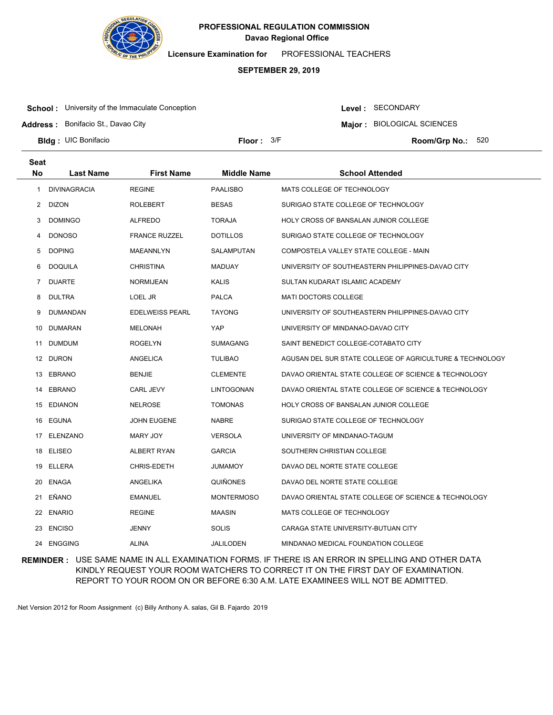

**Licensure Examination for**  PROFESSIONAL TEACHERS

### **SEPTEMBER 29, 2019**

**School:** University of the Immaculate Conception

**Address :** Bonifacio St., Davao City

Level : SECONDARY

**Major : BIOLOGICAL SCIENCES** 

**Bldg : Floor : Room/Grp No.:** UIC Bonifacio

Floor:  $3/F$  Room/Grp No.: 520

| <b>Seat</b>    |                     |                        |                    |                                                          |
|----------------|---------------------|------------------------|--------------------|----------------------------------------------------------|
| No             | <b>Last Name</b>    | <b>First Name</b>      | <b>Middle Name</b> | <b>School Attended</b>                                   |
| 1              | <b>DIVINAGRACIA</b> | <b>REGINE</b>          | <b>PAALISBO</b>    | MATS COLLEGE OF TECHNOLOGY                               |
| $\overline{2}$ | DIZON               | <b>ROLEBERT</b>        | <b>BESAS</b>       | SURIGAO STATE COLLEGE OF TECHNOLOGY                      |
| 3              | <b>DOMINGO</b>      | <b>ALFREDO</b>         | <b>TORAJA</b>      | HOLY CROSS OF BANSALAN JUNIOR COLLEGE                    |
| 4              | <b>DONOSO</b>       | <b>FRANCE RUZZEL</b>   | <b>DOTILLOS</b>    | SURIGAO STATE COLLEGE OF TECHNOLOGY                      |
| 5              | <b>DOPING</b>       | MAEANNLYN              | SALAMPUTAN         | COMPOSTELA VALLEY STATE COLLEGE - MAIN                   |
| 6              | DOQUILA             | <b>CHRISTINA</b>       | <b>MADUAY</b>      | UNIVERSITY OF SOUTHEASTERN PHILIPPINES-DAVAO CITY        |
| 7              | <b>DUARTE</b>       | <b>NORMIJEAN</b>       | <b>KALIS</b>       | SULTAN KUDARAT ISLAMIC ACADEMY                           |
| 8              | <b>DULTRA</b>       | LOEL JR                | <b>PALCA</b>       | <b>MATI DOCTORS COLLEGE</b>                              |
| 9              | DUMANDAN            | <b>EDELWEISS PEARL</b> | <b>TAYONG</b>      | UNIVERSITY OF SOUTHEASTERN PHILIPPINES-DAVAO CITY        |
| 10             | DUMARAN             | <b>MELONAH</b>         | YAP                | UNIVERSITY OF MINDANAO-DAVAO CITY                        |
| 11             | DUMDUM              | <b>ROGELYN</b>         | <b>SUMAGANG</b>    | SAINT BENEDICT COLLEGE-COTABATO CITY                     |
|                | 12 DURON            | ANGELICA               | <b>TULIBAO</b>     | AGUSAN DEL SUR STATE COLLEGE OF AGRICULTURE & TECHNOLOGY |
|                | 13 EBRANO           | <b>BENJIE</b>          | <b>CLEMENTE</b>    | DAVAO ORIENTAL STATE COLLEGE OF SCIENCE & TECHNOLOGY     |
|                | 14 EBRANO           | <b>CARL JEVY</b>       | LINTOGONAN         | DAVAO ORIENTAL STATE COLLEGE OF SCIENCE & TECHNOLOGY     |
|                | 15 EDIANON          | <b>NELROSE</b>         | <b>TOMONAS</b>     | HOLY CROSS OF BANSALAN JUNIOR COLLEGE                    |
|                | 16 EGUNA            | <b>JOHN EUGENE</b>     | <b>NABRE</b>       | SURIGAO STATE COLLEGE OF TECHNOLOGY                      |
|                | 17 ELENZANO         | MARY JOY               | <b>VERSOLA</b>     | UNIVERSITY OF MINDANAO-TAGUM                             |
| 18             | <b>ELISEO</b>       | ALBERT RYAN            | <b>GARCIA</b>      | SOUTHERN CHRISTIAN COLLEGE                               |
| 19             | ELLERA              | CHRIS-EDETH            | <b>JUMAMOY</b>     | DAVAO DEL NORTE STATE COLLEGE                            |
| 20             | <b>ENAGA</b>        | ANGELIKA               | <b>QUIÑONES</b>    | DAVAO DEL NORTE STATE COLLEGE                            |
| 21             | EÑANO               | <b>EMANUEL</b>         | <b>MONTERMOSO</b>  | DAVAO ORIENTAL STATE COLLEGE OF SCIENCE & TECHNOLOGY     |
|                | 22 ENARIO           | <b>REGINE</b>          | <b>MAASIN</b>      | MATS COLLEGE OF TECHNOLOGY                               |
| 23             | <b>ENCISO</b>       | <b>JENNY</b>           | <b>SOLIS</b>       | CARAGA STATE UNIVERSITY-BUTUAN CITY                      |
|                | 24 ENGGING          | <b>ALINA</b>           | <b>JALILODEN</b>   | MINDANAO MEDICAL FOUNDATION COLLEGE                      |

**REMINDER :** USE SAME NAME IN ALL EXAMINATION FORMS. IF THERE IS AN ERROR IN SPELLING AND OTHER DATA KINDLY REQUEST YOUR ROOM WATCHERS TO CORRECT IT ON THE FIRST DAY OF EXAMINATION. REPORT TO YOUR ROOM ON OR BEFORE 6:30 A.M. LATE EXAMINEES WILL NOT BE ADMITTED.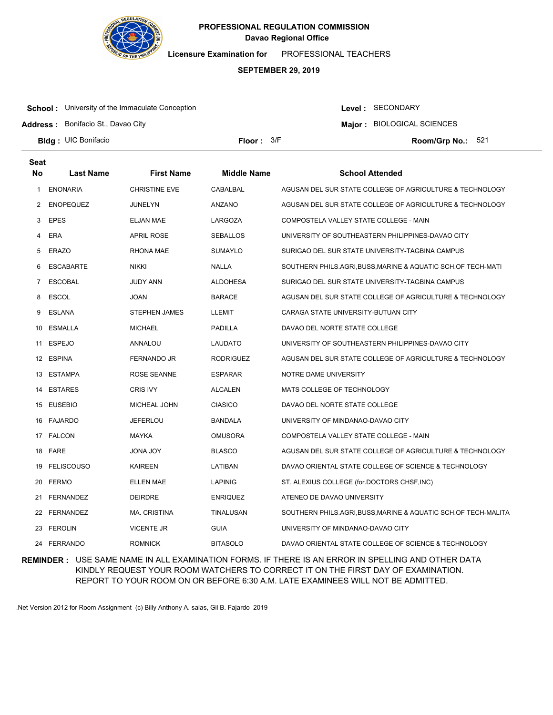

**Licensure Examination for**  PROFESSIONAL TEACHERS

### **SEPTEMBER 29, 2019**

**School:** University of the Immaculate Conception

**Address :** Bonifacio St., Davao City

Level : SECONDARY

**Major : BIOLOGICAL SCIENCES** 

**Bldg : Floor : Room/Grp No.:** UIC Bonifacio

Floor:  $3/F$  Room/Grp No.: 521

| <b>Seat</b> |                   |                      |                    |                                                                |
|-------------|-------------------|----------------------|--------------------|----------------------------------------------------------------|
| <b>No</b>   | <b>Last Name</b>  | <b>First Name</b>    | <b>Middle Name</b> | <b>School Attended</b>                                         |
| -1          | <b>ENONARIA</b>   | <b>CHRISTINE EVE</b> | CABALBAL           | AGUSAN DEL SUR STATE COLLEGE OF AGRICULTURE & TECHNOLOGY       |
| 2           | <b>ENOPEQUEZ</b>  | <b>JUNELYN</b>       | <b>ANZANO</b>      | AGUSAN DEL SUR STATE COLLEGE OF AGRICULTURE & TECHNOLOGY       |
| 3           | <b>EPES</b>       | <b>ELJAN MAE</b>     | LARGOZA            | COMPOSTELA VALLEY STATE COLLEGE - MAIN                         |
| 4           | ERA               | <b>APRIL ROSE</b>    | <b>SEBALLOS</b>    | UNIVERSITY OF SOUTHEASTERN PHILIPPINES-DAVAO CITY              |
| 5           | <b>ERAZO</b>      | <b>RHONA MAE</b>     | <b>SUMAYLO</b>     | SURIGAO DEL SUR STATE UNIVERSITY-TAGBINA CAMPUS                |
| 6           | <b>ESCABARTE</b>  | <b>NIKKI</b>         | <b>NALLA</b>       | SOUTHERN PHILS.AGRI,BUSS,MARINE & AQUATIC SCH.OF TECH-MATI     |
| 7           | <b>ESCOBAL</b>    | JUDY ANN             | ALDOHESA           | SURIGAO DEL SUR STATE UNIVERSITY-TAGBINA CAMPUS                |
| 8           | <b>ESCOL</b>      | JOAN                 | <b>BARACE</b>      | AGUSAN DEL SUR STATE COLLEGE OF AGRICULTURE & TECHNOLOGY       |
| 9           | <b>ESLANA</b>     | <b>STEPHEN JAMES</b> | <b>LLEMIT</b>      | CARAGA STATE UNIVERSITY-BUTUAN CITY                            |
| 10          | ESMALLA           | <b>MICHAEL</b>       | PADILLA            | DAVAO DEL NORTE STATE COLLEGE                                  |
| 11          | <b>ESPEJO</b>     | ANNALOU              | LAUDATO            | UNIVERSITY OF SOUTHEASTERN PHILIPPINES-DAVAO CITY              |
| 12          | <b>ESPINA</b>     | FERNANDO JR          | <b>RODRIGUEZ</b>   | AGUSAN DEL SUR STATE COLLEGE OF AGRICULTURE & TECHNOLOGY       |
| 13          | <b>ESTAMPA</b>    | <b>ROSE SEANNE</b>   | <b>ESPARAR</b>     | NOTRE DAME UNIVERSITY                                          |
| 14          | <b>ESTARES</b>    | <b>CRIS IVY</b>      | <b>ALCALEN</b>     | MATS COLLEGE OF TECHNOLOGY                                     |
| 15          | EUSEBIO           | MICHEAL JOHN         | <b>CIASICO</b>     | DAVAO DEL NORTE STATE COLLEGE                                  |
| 16          | FAJARDO           | <b>JEFERLOU</b>      | <b>BANDALA</b>     | UNIVERSITY OF MINDANAO-DAVAO CITY                              |
|             | 17 FALCON         | <b>MAYKA</b>         | <b>OMUSORA</b>     | COMPOSTELA VALLEY STATE COLLEGE - MAIN                         |
| 18          | FARE              | JONA JOY             | <b>BLASCO</b>      | AGUSAN DEL SUR STATE COLLEGE OF AGRICULTURE & TECHNOLOGY       |
| 19          | <b>FELISCOUSO</b> | KAIREEN              | LATIBAN            | DAVAO ORIENTAL STATE COLLEGE OF SCIENCE & TECHNOLOGY           |
|             | 20 FERMO          | <b>ELLEN MAE</b>     | <b>LAPINIG</b>     | ST. ALEXIUS COLLEGE (for.DOCTORS CHSF, INC)                    |
|             | 21 FERNANDEZ      | <b>DEIRDRE</b>       | <b>ENRIQUEZ</b>    | ATENEO DE DAVAO UNIVERSITY                                     |
|             | 22 FERNANDEZ      | <b>MA. CRISTINA</b>  | TINALUSAN          | SOUTHERN PHILS.AGRI, BUSS, MARINE & AQUATIC SCH.OF TECH-MALITA |
| 23          | FEROLIN           | <b>VICENTE JR</b>    | <b>GUIA</b>        | UNIVERSITY OF MINDANAO-DAVAO CITY                              |
|             | 24 FERRANDO       | <b>ROMNICK</b>       | <b>BITASOLO</b>    | DAVAO ORIENTAL STATE COLLEGE OF SCIENCE & TECHNOLOGY           |

**REMINDER :** USE SAME NAME IN ALL EXAMINATION FORMS. IF THERE IS AN ERROR IN SPELLING AND OTHER DATA KINDLY REQUEST YOUR ROOM WATCHERS TO CORRECT IT ON THE FIRST DAY OF EXAMINATION. REPORT TO YOUR ROOM ON OR BEFORE 6:30 A.M. LATE EXAMINEES WILL NOT BE ADMITTED.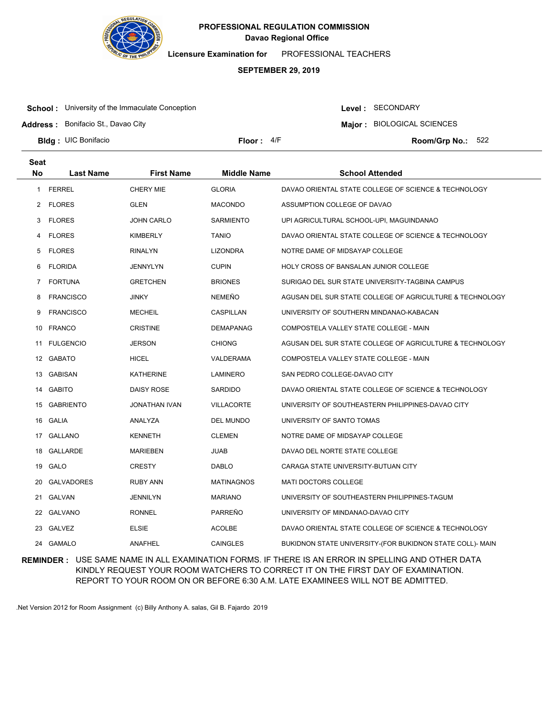

**Licensure Examination for**  PROFESSIONAL TEACHERS

### **SEPTEMBER 29, 2019**

**School:** University of the Immaculate Conception

Level : SECONDARY

**Major : BIOLOGICAL SCIENCES** 

**Address :** Bonifacio St., Davao City

**Bldg : Floor : Room/Grp No.:** UIC Bonifacio

Floor:  $4/F$  Room/Grp No.: 522

| <b>Seat</b>  |                   |                      |                    |                                                           |
|--------------|-------------------|----------------------|--------------------|-----------------------------------------------------------|
| <b>No</b>    | Last Name         | <b>First Name</b>    | <b>Middle Name</b> | <b>School Attended</b>                                    |
| $\mathbf{1}$ | <b>FERREL</b>     | <b>CHERY MIE</b>     | <b>GLORIA</b>      | DAVAO ORIENTAL STATE COLLEGE OF SCIENCE & TECHNOLOGY      |
| 2            | FLORES            | GLEN                 | <b>MACONDO</b>     | ASSUMPTION COLLEGE OF DAVAO                               |
| 3            | <b>FLORES</b>     | <b>JOHN CARLO</b>    | <b>SARMIENTO</b>   | UPI AGRICULTURAL SCHOOL-UPI, MAGUINDANAO                  |
| 4            | <b>FLORES</b>     | KIMBERLY             | <b>TANIO</b>       | DAVAO ORIENTAL STATE COLLEGE OF SCIENCE & TECHNOLOGY      |
| 5            | <b>FLORES</b>     | <b>RINALYN</b>       | <b>LIZONDRA</b>    | NOTRE DAME OF MIDSAYAP COLLEGE                            |
| 6            | <b>FLORIDA</b>    | JENNYLYN             | <b>CUPIN</b>       | HOLY CROSS OF BANSALAN JUNIOR COLLEGE                     |
| 7            | <b>FORTUNA</b>    | <b>GRETCHEN</b>      | <b>BRIONES</b>     | SURIGAO DEL SUR STATE UNIVERSITY-TAGBINA CAMPUS           |
| 8            | <b>FRANCISCO</b>  | <b>JINKY</b>         | <b>NEMEÑO</b>      | AGUSAN DEL SUR STATE COLLEGE OF AGRICULTURE & TECHNOLOGY  |
| 9            | <b>FRANCISCO</b>  | <b>MECHEIL</b>       | CASPILLAN          | UNIVERSITY OF SOUTHERN MINDANAO-KABACAN                   |
| 10           | <b>FRANCO</b>     | <b>CRISTINE</b>      | <b>DEMAPANAG</b>   | COMPOSTELA VALLEY STATE COLLEGE - MAIN                    |
| 11           | <b>FULGENCIO</b>  | <b>JERSON</b>        | <b>CHIONG</b>      | AGUSAN DEL SUR STATE COLLEGE OF AGRICULTURE & TECHNOLOGY  |
|              | 12 GABATO         | <b>HICEL</b>         | VALDERAMA          | COMPOSTELA VALLEY STATE COLLEGE - MAIN                    |
| 13           | GABISAN           | <b>KATHERINE</b>     | <b>LAMINERO</b>    | SAN PEDRO COLLEGE-DAVAO CITY                              |
| 14           | GABITO            | <b>DAISY ROSE</b>    | <b>SARDIDO</b>     | DAVAO ORIENTAL STATE COLLEGE OF SCIENCE & TECHNOLOGY      |
| 15           | <b>GABRIENTO</b>  | <b>JONATHAN IVAN</b> | <b>VILLACORTE</b>  | UNIVERSITY OF SOUTHEASTERN PHILIPPINES-DAVAO CITY         |
|              | 16 GALIA          | ANALYZA              | DEL MUNDO          | UNIVERSITY OF SANTO TOMAS                                 |
|              | 17 GALLANO        | <b>KENNETH</b>       | <b>CLEMEN</b>      | NOTRE DAME OF MIDSAYAP COLLEGE                            |
| 18           | GALLARDE          | <b>MARIEBEN</b>      | <b>JUAB</b>        | DAVAO DEL NORTE STATE COLLEGE                             |
| 19           | GALO              | <b>CRESTY</b>        | <b>DABLO</b>       | CARAGA STATE UNIVERSITY-BUTUAN CITY                       |
| 20           | <b>GALVADORES</b> | <b>RUBY ANN</b>      | <b>MATINAGNOS</b>  | <b>MATI DOCTORS COLLEGE</b>                               |
| 21           | GALVAN            | JENNILYN             | <b>MARIANO</b>     | UNIVERSITY OF SOUTHEASTERN PHILIPPINES-TAGUM              |
| 22           | GALVANO           | <b>RONNEL</b>        | PARREÑO            | UNIVERSITY OF MINDANAO-DAVAO CITY                         |
| 23           | GALVEZ            | <b>ELSIE</b>         | <b>ACOLBE</b>      | DAVAO ORIENTAL STATE COLLEGE OF SCIENCE & TECHNOLOGY      |
|              | 24 GAMALO         | ANAFHEL              | <b>CAINGLES</b>    | BUKIDNON STATE UNIVERSITY-(FOR BUKIDNON STATE COLL)- MAIN |

**REMINDER :** USE SAME NAME IN ALL EXAMINATION FORMS. IF THERE IS AN ERROR IN SPELLING AND OTHER DATA KINDLY REQUEST YOUR ROOM WATCHERS TO CORRECT IT ON THE FIRST DAY OF EXAMINATION. REPORT TO YOUR ROOM ON OR BEFORE 6:30 A.M. LATE EXAMINEES WILL NOT BE ADMITTED.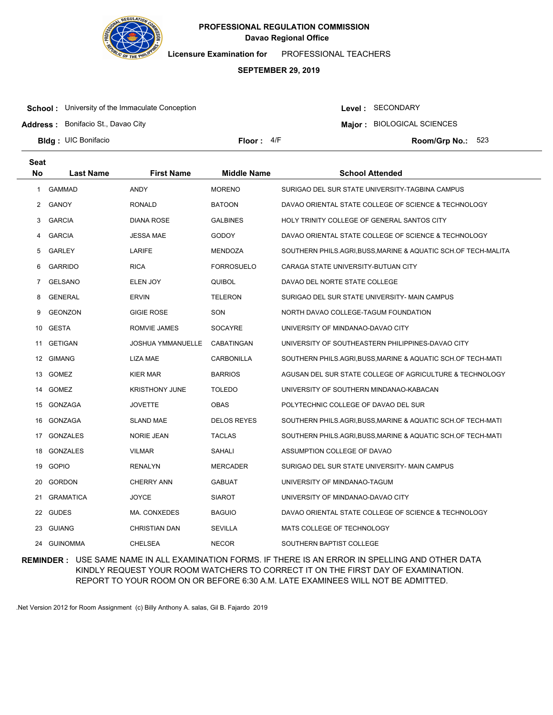

**Licensure Examination for**  PROFESSIONAL TEACHERS

### **SEPTEMBER 29, 2019**

**School:** University of the Immaculate Conception

Level : SECONDARY

**Major : BIOLOGICAL SCIENCES** 

**Address :** Bonifacio St., Davao City

**Bldg : Floor : Room/Grp No.:** UIC Bonifacio

Floor:  $4/F$  Room/Grp No.: 523

| <b>Seat</b> |                  |                          |                    |                                                              |
|-------------|------------------|--------------------------|--------------------|--------------------------------------------------------------|
| <b>No</b>   | <b>Last Name</b> | <b>First Name</b>        | <b>Middle Name</b> | <b>School Attended</b>                                       |
| 1           | <b>GAMMAD</b>    | ANDY                     | <b>MORENO</b>      | SURIGAO DEL SUR STATE UNIVERSITY-TAGBINA CAMPUS              |
| 2           | GANOY            | <b>RONALD</b>            | <b>BATOON</b>      | DAVAO ORIENTAL STATE COLLEGE OF SCIENCE & TECHNOLOGY         |
| 3           | <b>GARCIA</b>    | <b>DIANA ROSE</b>        | <b>GALBINES</b>    | HOLY TRINITY COLLEGE OF GENERAL SANTOS CITY                  |
| 4           | <b>GARCIA</b>    | <b>JESSA MAE</b>         | <b>GODOY</b>       | DAVAO ORIENTAL STATE COLLEGE OF SCIENCE & TECHNOLOGY         |
| 5           | <b>GARLEY</b>    | LARIFE                   | <b>MENDOZA</b>     | SOUTHERN PHILS.AGRI,BUSS,MARINE & AQUATIC SCH.OF TECH-MALITA |
| 6           | <b>GARRIDO</b>   | <b>RICA</b>              | <b>FORROSUELO</b>  | CARAGA STATE UNIVERSITY-BUTUAN CITY                          |
| 7           | <b>GELSANO</b>   | ELEN JOY                 | <b>QUIBOL</b>      | DAVAO DEL NORTE STATE COLLEGE                                |
| 8           | <b>GENERAL</b>   | <b>ERVIN</b>             | <b>TELERON</b>     | SURIGAO DEL SUR STATE UNIVERSITY- MAIN CAMPUS                |
| 9           | <b>GEONZON</b>   | <b>GIGIE ROSE</b>        | SON                | NORTH DAVAO COLLEGE-TAGUM FOUNDATION                         |
| 10          | GESTA            | ROMVIE JAMES             | <b>SOCAYRE</b>     | UNIVERSITY OF MINDANAO-DAVAO CITY                            |
| 11          | <b>GETIGAN</b>   | <b>JOSHUA YMMANUELLE</b> | <b>CABATINGAN</b>  | UNIVERSITY OF SOUTHEASTERN PHILIPPINES-DAVAO CITY            |
| 12          | <b>GIMANG</b>    | LIZA MAE                 | CARBONILLA         | SOUTHERN PHILS.AGRI, BUSS, MARINE & AQUATIC SCH.OF TECH-MATI |
| 13          | <b>GOMEZ</b>     | <b>KIER MAR</b>          | <b>BARRIOS</b>     | AGUSAN DEL SUR STATE COLLEGE OF AGRICULTURE & TECHNOLOGY     |
| 14          | <b>GOMEZ</b>     | <b>KRISTHONY JUNE</b>    | <b>TOLEDO</b>      | UNIVERSITY OF SOUTHERN MINDANAO-KABACAN                      |
| 15          | GONZAGA          | <b>JOVETTE</b>           | <b>OBAS</b>        | POLYTECHNIC COLLEGE OF DAVAO DEL SUR                         |
| 16          | GONZAGA          | <b>SLAND MAE</b>         | <b>DELOS REYES</b> | SOUTHERN PHILS.AGRI,BUSS,MARINE & AQUATIC SCH.OF TECH-MATI   |
| 17          | <b>GONZALES</b>  | <b>NORIE JEAN</b>        | <b>TACLAS</b>      | SOUTHERN PHILS.AGRI,BUSS,MARINE & AQUATIC SCH.OF TECH-MATI   |
|             | 18 GONZALES      | <b>VILMAR</b>            | <b>SAHALI</b>      | ASSUMPTION COLLEGE OF DAVAO                                  |
|             | 19 GOPIO         | RENALYN                  | <b>MERCADER</b>    | SURIGAO DEL SUR STATE UNIVERSITY- MAIN CAMPUS                |
| 20          | GORDON           | <b>CHERRY ANN</b>        | GABUAT             | UNIVERSITY OF MINDANAO-TAGUM                                 |
| 21          | <b>GRAMATICA</b> | <b>JOYCE</b>             | <b>SIAROT</b>      | UNIVERSITY OF MINDANAO-DAVAO CITY                            |
|             | 22 GUDES         | MA. CONXEDES             | <b>BAGUIO</b>      | DAVAO ORIENTAL STATE COLLEGE OF SCIENCE & TECHNOLOGY         |
| 23          | <b>GUIANG</b>    | <b>CHRISTIAN DAN</b>     | <b>SEVILLA</b>     | MATS COLLEGE OF TECHNOLOGY                                   |
|             | 24 GUINOMMA      | <b>CHELSEA</b>           | <b>NECOR</b>       | SOUTHERN BAPTIST COLLEGE                                     |

**REMINDER :** USE SAME NAME IN ALL EXAMINATION FORMS. IF THERE IS AN ERROR IN SPELLING AND OTHER DATA KINDLY REQUEST YOUR ROOM WATCHERS TO CORRECT IT ON THE FIRST DAY OF EXAMINATION. REPORT TO YOUR ROOM ON OR BEFORE 6:30 A.M. LATE EXAMINEES WILL NOT BE ADMITTED.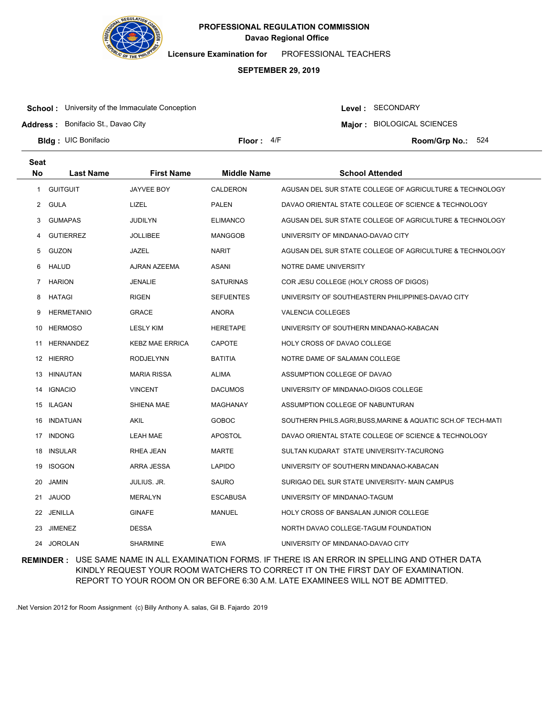

**Licensure Examination for**  PROFESSIONAL TEACHERS

### **SEPTEMBER 29, 2019**

**School:** University of the Immaculate Conception

Level : SECONDARY

**Major : BIOLOGICAL SCIENCES** 

**Address :** Bonifacio St., Davao City

**Bldg : Floor : Room/Grp No.:** UIC Bonifacio

Floor:  $4/F$  Room/Grp No.: 524

| Seat      |                   |                        |                    |                                                            |
|-----------|-------------------|------------------------|--------------------|------------------------------------------------------------|
| <b>No</b> | Last Name         | <b>First Name</b>      | <b>Middle Name</b> | <b>School Attended</b>                                     |
| 1         | <b>GUITGUIT</b>   | JAYVEE BOY             | CALDERON           | AGUSAN DEL SUR STATE COLLEGE OF AGRICULTURE & TECHNOLOGY   |
| 2         | GULA              | LIZEL                  | PALEN              | DAVAO ORIENTAL STATE COLLEGE OF SCIENCE & TECHNOLOGY       |
| 3         | <b>GUMAPAS</b>    | <b>JUDILYN</b>         | <b>ELIMANCO</b>    | AGUSAN DEL SUR STATE COLLEGE OF AGRICULTURE & TECHNOLOGY   |
| 4         | <b>GUTIERREZ</b>  | <b>JOLLIBEE</b>        | <b>MANGGOB</b>     | UNIVERSITY OF MINDANAO-DAVAO CITY                          |
| 5         | GUZON             | JAZEL                  | NARIT              | AGUSAN DEL SUR STATE COLLEGE OF AGRICULTURE & TECHNOLOGY   |
| 6         | <b>HALUD</b>      | AJRAN AZEEMA           | ASANI              | NOTRE DAME UNIVERSITY                                      |
| 7         | <b>HARION</b>     | <b>JENALIE</b>         | <b>SATURINAS</b>   | COR JESU COLLEGE (HOLY CROSS OF DIGOS)                     |
| 8         | HATAGI            | <b>RIGEN</b>           | <b>SEFUENTES</b>   | UNIVERSITY OF SOUTHEASTERN PHILIPPINES-DAVAO CITY          |
| 9         | <b>HERMETANIO</b> | GRACE                  | ANORA              | <b>VALENCIA COLLEGES</b>                                   |
| 10        | <b>HERMOSO</b>    | <b>LESLY KIM</b>       | <b>HERETAPE</b>    | UNIVERSITY OF SOUTHERN MINDANAO-KABACAN                    |
| 11        | HERNANDEZ         | <b>KEBZ MAE ERRICA</b> | <b>CAPOTE</b>      | HOLY CROSS OF DAVAO COLLEGE                                |
| 12        | HIERRO            | <b>RODJELYNN</b>       | <b>BATITIA</b>     | NOTRE DAME OF SALAMAN COLLEGE                              |
| 13        | HINAUTAN          | <b>MARIA RISSA</b>     | <b>ALIMA</b>       | ASSUMPTION COLLEGE OF DAVAO                                |
| 14        | <b>IGNACIO</b>    | <b>VINCENT</b>         | <b>DACUMOS</b>     | UNIVERSITY OF MINDANAO-DIGOS COLLEGE                       |
| 15        | ILAGAN            | SHIENA MAE             | MAGHANAY           | ASSUMPTION COLLEGE OF NABUNTURAN                           |
| 16        | INDATUAN          | AKIL                   | <b>GOBOC</b>       | SOUTHERN PHILS.AGRI,BUSS,MARINE & AQUATIC SCH.OF TECH-MATI |
| 17        | <b>INDONG</b>     | LEAH MAE               | <b>APOSTOL</b>     | DAVAO ORIENTAL STATE COLLEGE OF SCIENCE & TECHNOLOGY       |
| 18        | <b>INSULAR</b>    | RHEA JEAN              | <b>MARTE</b>       | SULTAN KUDARAT STATE UNIVERSITY-TACURONG                   |
| 19        | <b>ISOGON</b>     | ARRA JESSA             | <b>LAPIDO</b>      | UNIVERSITY OF SOUTHERN MINDANAO-KABACAN                    |
| 20        | <b>JAMIN</b>      | <b>JULIUS. JR.</b>     | <b>SAURO</b>       | SURIGAO DEL SUR STATE UNIVERSITY- MAIN CAMPUS              |
| 21        | JAUOD             | MERALYN                | ESCABUSA           | UNIVERSITY OF MINDANAO-TAGUM                               |
| 22        | JENILLA           | <b>GINAFE</b>          | <b>MANUEL</b>      | HOLY CROSS OF BANSALAN JUNIOR COLLEGE                      |
| 23        | <b>JIMENEZ</b>    | <b>DESSA</b>           |                    | NORTH DAVAO COLLEGE-TAGUM FOUNDATION                       |
| 24        | <b>JOROLAN</b>    | <b>SHARMINE</b>        | <b>EWA</b>         | UNIVERSITY OF MINDANAO-DAVAO CITY                          |

**REMINDER :** USE SAME NAME IN ALL EXAMINATION FORMS. IF THERE IS AN ERROR IN SPELLING AND OTHER DATA KINDLY REQUEST YOUR ROOM WATCHERS TO CORRECT IT ON THE FIRST DAY OF EXAMINATION. REPORT TO YOUR ROOM ON OR BEFORE 6:30 A.M. LATE EXAMINEES WILL NOT BE ADMITTED.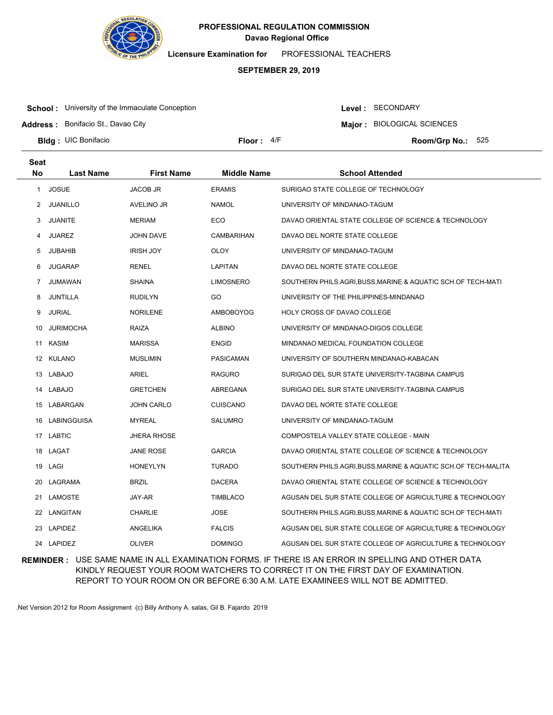

**Licensure Examination for**  PROFESSIONAL TEACHERS

### **SEPTEMBER 29, 2019**

**School:** University of the Immaculate Conception

Level : SECONDARY

**Major : BIOLOGICAL SCIENCES** 

**Address :** Bonifacio St., Davao City

**Bldg : Floor : Room/Grp No.:** UIC Bonifacio

**Seat**

Floor:  $4/F$  Room/Grp No.: 525

| συαι         |                  |                    |                    |                                                                |
|--------------|------------------|--------------------|--------------------|----------------------------------------------------------------|
| <b>No</b>    | <b>Last Name</b> | <b>First Name</b>  | <b>Middle Name</b> | <b>School Attended</b>                                         |
| $\mathbf{1}$ | JOSUE            | <b>JACOB JR</b>    | <b>ERAMIS</b>      | SURIGAO STATE COLLEGE OF TECHNOLOGY                            |
| 2            | JUANILLO         | AVELINO JR         | <b>NAMOL</b>       | UNIVERSITY OF MINDANAO-TAGUM                                   |
| 3            | <b>JUANITE</b>   | MERIAM             | ECO                | DAVAO ORIENTAL STATE COLLEGE OF SCIENCE & TECHNOLOGY           |
| 4            | <b>JUAREZ</b>    | <b>JOHN DAVE</b>   | CAMBARIHAN         | DAVAO DEL NORTE STATE COLLEGE                                  |
| 5            | <b>JUBAHIB</b>   | <b>IRISH JOY</b>   | OLOY               | UNIVERSITY OF MINDANAO-TAGUM                                   |
| 6            | <b>JUGARAP</b>   | <b>RENEL</b>       | LAPITAN            | DAVAO DEL NORTE STATE COLLEGE                                  |
| 7            | JUMAWAN          | <b>SHAINA</b>      | <b>LIMOSNERO</b>   | SOUTHERN PHILS.AGRI,BUSS,MARINE & AQUATIC SCH.OF TECH-MATI     |
| 8            | JUNTILLA         | <b>RUDILYN</b>     | GO                 | UNIVERSITY OF THE PHILIPPINES-MINDANAO                         |
| 9            | <b>JURIAL</b>    | <b>NORILENE</b>    | AMBOBOYOG          | <b>HOLY CROSS OF DAVAO COLLEGE</b>                             |
| 10           | <b>JURIMOCHA</b> | RAIZA              | <b>ALBINO</b>      | UNIVERSITY OF MINDANAO-DIGOS COLLEGE                           |
| 11           | KASIM            | <b>MARISSA</b>     | <b>ENGID</b>       | MINDANAO MEDICAL FOUNDATION COLLEGE                            |
|              | 12 KULANO        | <b>MUSLIMIN</b>    | <b>PASICAMAN</b>   | UNIVERSITY OF SOUTHERN MINDANAO-KABACAN                        |
|              | 13 LABAJO        | <b>ARIEL</b>       | <b>RAGURO</b>      | SURIGAO DEL SUR STATE UNIVERSITY-TAGBINA CAMPUS                |
| 14           | LABAJO           | <b>GRETCHEN</b>    | ABREGANA           | SURIGAO DEL SUR STATE UNIVERSITY-TAGBINA CAMPUS                |
| 15           | LABARGAN         | <b>JOHN CARLO</b>  | <b>CUISCANO</b>    | DAVAO DEL NORTE STATE COLLEGE                                  |
| 16           | LABINGGUISA      | <b>MYREAL</b>      | <b>SALUMRO</b>     | UNIVERSITY OF MINDANAO-TAGUM                                   |
|              | 17 LABTIC        | <b>JHERA RHOSE</b> |                    | COMPOSTELA VALLEY STATE COLLEGE - MAIN                         |
| 18           | LAGAT            | <b>JANE ROSE</b>   | <b>GARCIA</b>      | DAVAO ORIENTAL STATE COLLEGE OF SCIENCE & TECHNOLOGY           |
| 19           | LAGI             | <b>HONEYLYN</b>    | <b>TURADO</b>      | SOUTHERN PHILS.AGRI, BUSS, MARINE & AQUATIC SCH.OF TECH-MALITA |
| 20           | LAGRAMA          | <b>BRZIL</b>       | <b>DACERA</b>      | DAVAO ORIENTAL STATE COLLEGE OF SCIENCE & TECHNOLOGY           |
| 21           | LAMOSTE          | JAY-AR             | <b>TIMBLACO</b>    | AGUSAN DEL SUR STATE COLLEGE OF AGRICULTURE & TECHNOLOGY       |
|              | 22 LANGITAN      | <b>CHARLIE</b>     | <b>JOSE</b>        | SOUTHERN PHILS.AGRI, BUSS, MARINE & AQUATIC SCH.OF TECH-MATI   |
| 23           | LAPIDEZ          | ANGELIKA           | <b>FALCIS</b>      | AGUSAN DEL SUR STATE COLLEGE OF AGRICULTURE & TECHNOLOGY       |
|              | 24 LAPIDEZ       | <b>OLIVER</b>      | <b>DOMINGO</b>     | AGUSAN DEL SUR STATE COLLEGE OF AGRICULTURE & TECHNOLOGY       |

**REMINDER :** USE SAME NAME IN ALL EXAMINATION FORMS. IF THERE IS AN ERROR IN SPELLING AND OTHER DATA KINDLY REQUEST YOUR ROOM WATCHERS TO CORRECT IT ON THE FIRST DAY OF EXAMINATION. REPORT TO YOUR ROOM ON OR BEFORE 6:30 A.M. LATE EXAMINEES WILL NOT BE ADMITTED.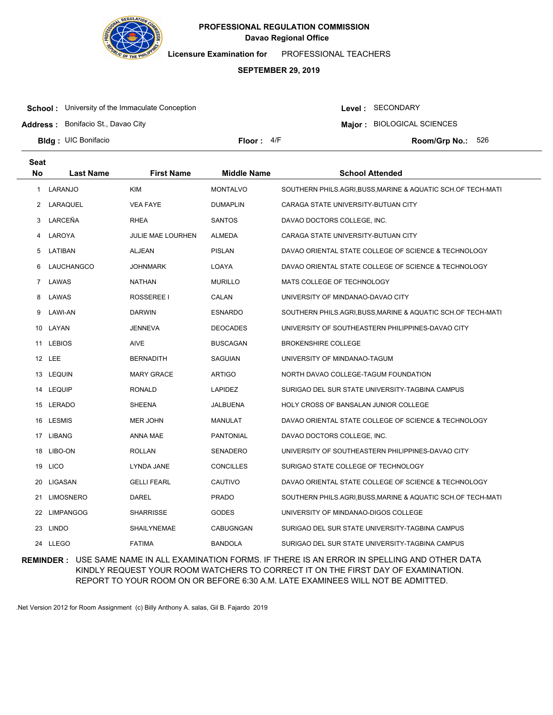

**Licensure Examination for**  PROFESSIONAL TEACHERS

### **SEPTEMBER 29, 2019**

**School:** University of the Immaculate Conception

Level : SECONDARY

**Major : BIOLOGICAL SCIENCES** 

**Address :** Bonifacio St., Davao City

**Bldg : Floor : Room/Grp No.:** UIC Bonifacio

Floor:  $4/F$  Room/Grp No.: 526

| <b>Seat</b> |                  |                          |                    |                                                              |
|-------------|------------------|--------------------------|--------------------|--------------------------------------------------------------|
| <b>No</b>   | Last Name        | <b>First Name</b>        | <b>Middle Name</b> | <b>School Attended</b>                                       |
| 1           | LARANJO          | <b>KIM</b>               | <b>MONTALVO</b>    | SOUTHERN PHILS.AGRI, BUSS, MARINE & AQUATIC SCH.OF TECH-MATI |
| 2           | LARAQUEL         | <b>VEA FAYE</b>          | <b>DUMAPLIN</b>    | CARAGA STATE UNIVERSITY-BUTUAN CITY                          |
| 3           | LARCEÑA          | <b>RHEA</b>              | <b>SANTOS</b>      | DAVAO DOCTORS COLLEGE, INC.                                  |
| 4           | LAROYA           | <b>JULIE MAE LOURHEN</b> | ALMEDA             | CARAGA STATE UNIVERSITY-BUTUAN CITY                          |
| 5           | LATIBAN          | ALJEAN                   | <b>PISLAN</b>      | DAVAO ORIENTAL STATE COLLEGE OF SCIENCE & TECHNOLOGY         |
| 6           | LAUCHANGCO       | <b>JOHNMARK</b>          | LOAYA              | DAVAO ORIENTAL STATE COLLEGE OF SCIENCE & TECHNOLOGY         |
| 7           | LAWAS            | <b>NATHAN</b>            | <b>MURILLO</b>     | MATS COLLEGE OF TECHNOLOGY                                   |
| 8           | LAWAS            | ROSSEREE I               | CALAN              | UNIVERSITY OF MINDANAO-DAVAO CITY                            |
| 9           | LAWI-AN          | <b>DARWIN</b>            | <b>ESNARDO</b>     | SOUTHERN PHILS.AGRI,BUSS,MARINE & AQUATIC SCH.OF TECH-MATI   |
| 10          | LAYAN            | <b>JENNEVA</b>           | <b>DEOCADES</b>    | UNIVERSITY OF SOUTHEASTERN PHILIPPINES-DAVAO CITY            |
| 11          | <b>LEBIOS</b>    | AIVE                     | <b>BUSCAGAN</b>    | <b>BROKENSHIRE COLLEGE</b>                                   |
|             | 12 LEE           | <b>BERNADITH</b>         | SAGUIAN            | UNIVERSITY OF MINDANAO-TAGUM                                 |
|             | 13 LEQUIN        | <b>MARY GRACE</b>        | <b>ARTIGO</b>      | NORTH DAVAO COLLEGE-TAGUM FOUNDATION                         |
| 14          | LEQUIP           | <b>RONALD</b>            | <b>LAPIDEZ</b>     | SURIGAO DEL SUR STATE UNIVERSITY-TAGBINA CAMPUS              |
|             | 15 LERADO        | SHEENA                   | JALBUENA           | HOLY CROSS OF BANSALAN JUNIOR COLLEGE                        |
|             | 16 LESMIS        | MER JOHN                 | <b>MANULAT</b>     | DAVAO ORIENTAL STATE COLLEGE OF SCIENCE & TECHNOLOGY         |
|             | 17 LIBANG        | ANNA MAE                 | <b>PANTONIAL</b>   | DAVAO DOCTORS COLLEGE, INC.                                  |
| 18          | LIBO-ON          | <b>ROLLAN</b>            | <b>SENADERO</b>    | UNIVERSITY OF SOUTHEASTERN PHILIPPINES-DAVAO CITY            |
|             | 19 LICO          | LYNDA JANE               | <b>CONCILLES</b>   | SURIGAO STATE COLLEGE OF TECHNOLOGY                          |
| 20          | LIGASAN          | <b>GELLI FEARL</b>       | CAUTIVO            | DAVAO ORIENTAL STATE COLLEGE OF SCIENCE & TECHNOLOGY         |
| 21          | <b>LIMOSNERO</b> | DAREL                    | <b>PRADO</b>       | SOUTHERN PHILS.AGRI,BUSS,MARINE & AQUATIC SCH.OF TECH-MATI   |
| 22          | <b>LIMPANGOG</b> | <b>SHARRISSE</b>         | <b>GODES</b>       | UNIVERSITY OF MINDANAO-DIGOS COLLEGE                         |
| 23          | <b>LINDO</b>     | SHAILYNEMAE              | <b>CABUGNGAN</b>   | SURIGAO DEL SUR STATE UNIVERSITY-TAGBINA CAMPUS              |
|             | 24 LLEGO         | <b>FATIMA</b>            | <b>BANDOLA</b>     | SURIGAO DEL SUR STATE UNIVERSITY-TAGBINA CAMPUS              |

**REMINDER :** USE SAME NAME IN ALL EXAMINATION FORMS. IF THERE IS AN ERROR IN SPELLING AND OTHER DATA KINDLY REQUEST YOUR ROOM WATCHERS TO CORRECT IT ON THE FIRST DAY OF EXAMINATION. REPORT TO YOUR ROOM ON OR BEFORE 6:30 A.M. LATE EXAMINEES WILL NOT BE ADMITTED.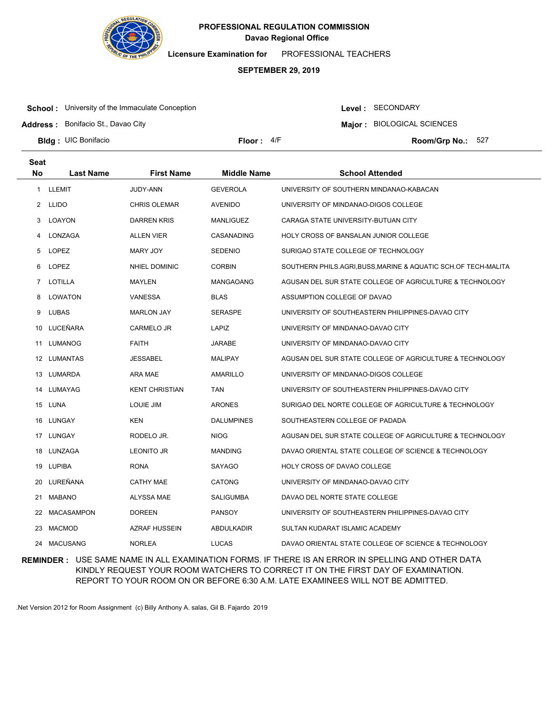

**Licensure Examination for**  PROFESSIONAL TEACHERS

### **SEPTEMBER 29, 2019**

**School:** University of the Immaculate Conception

Level : SECONDARY

**Major : BIOLOGICAL SCIENCES** 

**Address :** Bonifacio St., Davao City

**Bldg : Floor : Room/Grp No.:** UIC Bonifacio

Floor:  $4/F$  Room/Grp No.: 527

| Seat      |                  |                       |                    |                                                                |
|-----------|------------------|-----------------------|--------------------|----------------------------------------------------------------|
| <b>No</b> | <b>Last Name</b> | <b>First Name</b>     | <b>Middle Name</b> | <b>School Attended</b>                                         |
| 1         | LLEMIT           | JUDY-ANN              | <b>GEVEROLA</b>    | UNIVERSITY OF SOUTHERN MINDANAO-KABACAN                        |
| 2         | LLIDO            | <b>CHRIS OLEMAR</b>   | <b>AVENIDO</b>     | UNIVERSITY OF MINDANAO-DIGOS COLLEGE                           |
| 3         | LOAYON           | <b>DARREN KRIS</b>    | <b>MANLIGUEZ</b>   | CARAGA STATE UNIVERSITY-BUTUAN CITY                            |
| 4         | LONZAGA          | <b>ALLEN VIER</b>     | CASANADING         | HOLY CROSS OF BANSALAN JUNIOR COLLEGE                          |
| 5         | LOPEZ            | MARY JOY              | <b>SEDENIO</b>     | SURIGAO STATE COLLEGE OF TECHNOLOGY                            |
| 6         | LOPEZ            | <b>NHIEL DOMINIC</b>  | <b>CORBIN</b>      | SOUTHERN PHILS.AGRI, BUSS, MARINE & AQUATIC SCH.OF TECH-MALITA |
| 7         | LOTILLA          | MAYLEN                | MANGAOANG          | AGUSAN DEL SUR STATE COLLEGE OF AGRICULTURE & TECHNOLOGY       |
| 8         | LOWATON          | <b>VANESSA</b>        | <b>BLAS</b>        | ASSUMPTION COLLEGE OF DAVAO                                    |
| 9         | <b>LUBAS</b>     | <b>MARLON JAY</b>     | <b>SERASPE</b>     | UNIVERSITY OF SOUTHEASTERN PHILIPPINES-DAVAO CITY              |
| 10        | LUCEÑARA         | <b>CARMELO JR</b>     | LAPIZ              | UNIVERSITY OF MINDANAO-DAVAO CITY                              |
| 11        | <b>LUMANOG</b>   | <b>FAITH</b>          | <b>JARABE</b>      | UNIVERSITY OF MINDANAO-DAVAO CITY                              |
|           | 12 LUMANTAS      | JESSABEL              | <b>MALIPAY</b>     | AGUSAN DEL SUR STATE COLLEGE OF AGRICULTURE & TECHNOLOGY       |
|           | 13 LUMARDA       | ARA MAE               | <b>AMARILLO</b>    | UNIVERSITY OF MINDANAO-DIGOS COLLEGE                           |
|           | 14 LUMAYAG       | <b>KENT CHRISTIAN</b> | <b>TAN</b>         | UNIVERSITY OF SOUTHEASTERN PHILIPPINES-DAVAO CITY              |
|           | 15 LUNA          | LOUIE JIM             | <b>ARONES</b>      | SURIGAO DEL NORTE COLLEGE OF AGRICULTURE & TECHNOLOGY          |
|           | 16 LUNGAY        | KEN                   | <b>DALUMPINES</b>  | SOUTHEASTERN COLLEGE OF PADADA                                 |
|           | 17 LUNGAY        | RODELO JR.            | <b>NIOG</b>        | AGUSAN DEL SUR STATE COLLEGE OF AGRICULTURE & TECHNOLOGY       |
|           | 18 LUNZAGA       | <b>LEONITO JR</b>     | <b>MANDING</b>     | DAVAO ORIENTAL STATE COLLEGE OF SCIENCE & TECHNOLOGY           |
|           | 19 LUPIBA        | <b>RONA</b>           | <b>SAYAGO</b>      | <b>HOLY CROSS OF DAVAO COLLEGE</b>                             |
| 20        | LUREÑANA         | <b>CATHY MAE</b>      | <b>CATONG</b>      | UNIVERSITY OF MINDANAO-DAVAO CITY                              |
|           | 21 MABANO        | ALYSSA MAE            | <b>SALIGUMBA</b>   | DAVAO DEL NORTE STATE COLLEGE                                  |
| 22        | MACASAMPON       | <b>DOREEN</b>         | <b>PANSOY</b>      | UNIVERSITY OF SOUTHEASTERN PHILIPPINES-DAVAO CITY              |
| 23        | <b>MACMOD</b>    | AZRAF HUSSEIN         | <b>ABDULKADIR</b>  | SULTAN KUDARAT ISLAMIC ACADEMY                                 |
|           | 24 MACUSANG      | <b>NORLEA</b>         | <b>LUCAS</b>       | DAVAO ORIENTAL STATE COLLEGE OF SCIENCE & TECHNOLOGY           |

**REMINDER :** USE SAME NAME IN ALL EXAMINATION FORMS. IF THERE IS AN ERROR IN SPELLING AND OTHER DATA KINDLY REQUEST YOUR ROOM WATCHERS TO CORRECT IT ON THE FIRST DAY OF EXAMINATION. REPORT TO YOUR ROOM ON OR BEFORE 6:30 A.M. LATE EXAMINEES WILL NOT BE ADMITTED.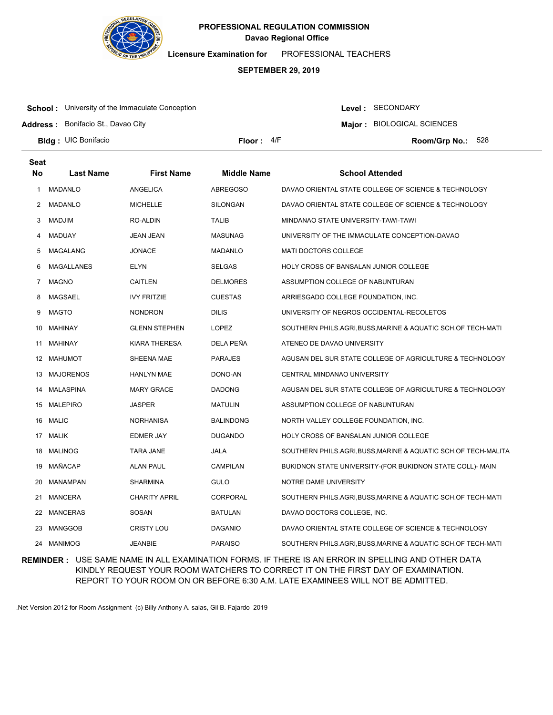

**Licensure Examination for**  PROFESSIONAL TEACHERS

### **SEPTEMBER 29, 2019**

**School:** University of the Immaculate Conception

Level : SECONDARY

**Major : BIOLOGICAL SCIENCES** 

**Address :** Bonifacio St., Davao City

**Bldg : Floor : Room/Grp No.:** UIC Bonifacio

Floor:  $4/F$  Room/Grp No.: 528

| <b>Seat</b> |                  |                      |                    |                                                                |
|-------------|------------------|----------------------|--------------------|----------------------------------------------------------------|
| <b>No</b>   | <b>Last Name</b> | <b>First Name</b>    | <b>Middle Name</b> | <b>School Attended</b>                                         |
| 1.          | MADANLO          | <b>ANGELICA</b>      | <b>ABREGOSO</b>    | DAVAO ORIENTAL STATE COLLEGE OF SCIENCE & TECHNOLOGY           |
| 2           | MADANLO          | <b>MICHELLE</b>      | <b>SILONGAN</b>    | DAVAO ORIENTAL STATE COLLEGE OF SCIENCE & TECHNOLOGY           |
| 3           | MADJIM           | RO-ALDIN             | <b>TALIB</b>       | MINDANAO STATE UNIVERSITY-TAWI-TAWI                            |
| 4           | MADUAY           | JEAN JEAN            | <b>MASUNAG</b>     | UNIVERSITY OF THE IMMACULATE CONCEPTION-DAVAO                  |
| 5           | MAGALANG         | <b>JONACE</b>        | <b>MADANLO</b>     | <b>MATI DOCTORS COLLEGE</b>                                    |
| 6           | MAGALLANES       | <b>ELYN</b>          | <b>SELGAS</b>      | HOLY CROSS OF BANSALAN JUNIOR COLLEGE                          |
| 7           | <b>MAGNO</b>     | <b>CAITLEN</b>       | <b>DELMORES</b>    | ASSUMPTION COLLEGE OF NABUNTURAN                               |
| 8           | MAGSAEL          | <b>IVY FRITZIE</b>   | <b>CUESTAS</b>     | ARRIESGADO COLLEGE FOUNDATION, INC.                            |
| 9           | <b>MAGTO</b>     | <b>NONDRON</b>       | <b>DILIS</b>       | UNIVERSITY OF NEGROS OCCIDENTAL-RECOLETOS                      |
| 10          | MAHINAY          | <b>GLENN STEPHEN</b> | <b>LOPEZ</b>       | SOUTHERN PHILS.AGRI,BUSS,MARINE & AQUATIC SCH.OF TECH-MATI     |
| 11          | MAHINAY          | KIARA THERESA        | DELA PEÑA          | ATENEO DE DAVAO UNIVERSITY                                     |
|             | 12 MAHUMOT       | SHEENA MAE           | <b>PARAJES</b>     | AGUSAN DEL SUR STATE COLLEGE OF AGRICULTURE & TECHNOLOGY       |
| 13          | MAJORENOS        | <b>HANLYN MAE</b>    | DONO-AN            | CENTRAL MINDANAO UNIVERSITY                                    |
|             | 14 MALASPINA     | <b>MARY GRACE</b>    | <b>DADONG</b>      | AGUSAN DEL SUR STATE COLLEGE OF AGRICULTURE & TECHNOLOGY       |
|             | 15 MALEPIRO      | JASPER               | <b>MATULIN</b>     | ASSUMPTION COLLEGE OF NABUNTURAN                               |
|             | 16 MALIC         | <b>NORHANISA</b>     | <b>BALINDONG</b>   | NORTH VALLEY COLLEGE FOUNDATION, INC.                          |
|             | 17 MALIK         | EDMER JAY            | <b>DUGANDO</b>     | HOLY CROSS OF BANSALAN JUNIOR COLLEGE                          |
| 18          | <b>MALINOG</b>   | <b>TARA JANE</b>     | <b>JALA</b>        | SOUTHERN PHILS.AGRI, BUSS, MARINE & AQUATIC SCH.OF TECH-MALITA |
| 19          | MAÑACAP          | ALAN PAUL            | <b>CAMPILAN</b>    | BUKIDNON STATE UNIVERSITY-(FOR BUKIDNON STATE COLL)- MAIN      |
| 20          | <b>MANAMPAN</b>  | <b>SHARMINA</b>      | GULO               | NOTRE DAME UNIVERSITY                                          |
| 21          | MANCERA          | <b>CHARITY APRIL</b> | CORPORAL           | SOUTHERN PHILS.AGRI,BUSS,MARINE & AQUATIC SCH.OF TECH-MATI     |
| 22          | <b>MANCERAS</b>  | SOSAN                | <b>BATULAN</b>     | DAVAO DOCTORS COLLEGE, INC.                                    |
| 23          | <b>MANGGOB</b>   | <b>CRISTY LOU</b>    | <b>DAGANIO</b>     | DAVAO ORIENTAL STATE COLLEGE OF SCIENCE & TECHNOLOGY           |
|             | 24 MANIMOG       | <b>JEANBIE</b>       | <b>PARAISO</b>     | SOUTHERN PHILS.AGRI.BUSS.MARINE & AQUATIC SCH.OF TECH-MATI     |

**REMINDER :** USE SAME NAME IN ALL EXAMINATION FORMS. IF THERE IS AN ERROR IN SPELLING AND OTHER DATA KINDLY REQUEST YOUR ROOM WATCHERS TO CORRECT IT ON THE FIRST DAY OF EXAMINATION. REPORT TO YOUR ROOM ON OR BEFORE 6:30 A.M. LATE EXAMINEES WILL NOT BE ADMITTED.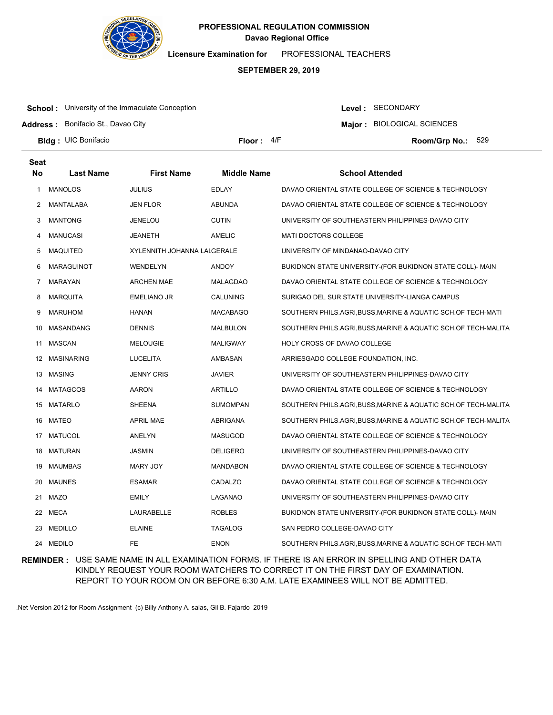

**Licensure Examination for**  PROFESSIONAL TEACHERS

### **SEPTEMBER 29, 2019**

**School:** University of the Immaculate Conception

**Address :** Bonifacio St., Davao City

Level : SECONDARY

**Major : BIOLOGICAL SCIENCES** 

**Bldg : Floor : Room/Grp No.:** UIC Bonifacio

Floor:  $4/F$  Room/Grp No.: 529

| <b>Seat</b> |                 |                             |                    |                                                                |
|-------------|-----------------|-----------------------------|--------------------|----------------------------------------------------------------|
| <b>No</b>   | Last Name       | <b>First Name</b>           | <b>Middle Name</b> | <b>School Attended</b>                                         |
| 1           | <b>MANOLOS</b>  | <b>JULIUS</b>               | <b>EDLAY</b>       | DAVAO ORIENTAL STATE COLLEGE OF SCIENCE & TECHNOLOGY           |
| 2           | MANTALABA       | <b>JEN FLOR</b>             | ABUNDA             | DAVAO ORIENTAL STATE COLLEGE OF SCIENCE & TECHNOLOGY           |
| 3           | <b>MANTONG</b>  | <b>JENELOU</b>              | <b>CUTIN</b>       | UNIVERSITY OF SOUTHEASTERN PHILIPPINES-DAVAO CITY              |
| 4           | <b>MANUCASI</b> | JEANETH                     | AMELIC             | <b>MATI DOCTORS COLLEGE</b>                                    |
| 5           | <b>MAQUITED</b> | XYLENNITH JOHANNA LALGERALE |                    | UNIVERSITY OF MINDANAO-DAVAO CITY                              |
| 6           | MARAGUINOT      | WENDELYN                    | <b>ANDOY</b>       | BUKIDNON STATE UNIVERSITY-(FOR BUKIDNON STATE COLL)- MAIN      |
| 7           | <b>MARAYAN</b>  | <b>ARCHEN MAE</b>           | MALAGDAO           | DAVAO ORIENTAL STATE COLLEGE OF SCIENCE & TECHNOLOGY           |
| 8           | <b>MARQUITA</b> | <b>EMELIANO JR</b>          | CALUNING           | SURIGAO DEL SUR STATE UNIVERSITY-LIANGA CAMPUS                 |
| 9           | <b>MARUHOM</b>  | <b>HANAN</b>                | MACABAGO           | SOUTHERN PHILS.AGRI,BUSS,MARINE & AQUATIC SCH.OF TECH-MATI     |
| 10          | MASANDANG       | <b>DENNIS</b>               | <b>MALBULON</b>    | SOUTHERN PHILS.AGRI, BUSS, MARINE & AQUATIC SCH.OF TECH-MALITA |
| 11          | MASCAN          | <b>MELOUGIE</b>             | <b>MALIGWAY</b>    | HOLY CROSS OF DAVAO COLLEGE                                    |
| 12          | MASINARING      | <b>LUCELITA</b>             | AMBASAN            | ARRIESGADO COLLEGE FOUNDATION, INC.                            |
|             | 13 MASING       | <b>JENNY CRIS</b>           | JAVIER             | UNIVERSITY OF SOUTHEASTERN PHILIPPINES-DAVAO CITY              |
| 14          | <b>MATAGCOS</b> | AARON                       | ARTILLO            | DAVAO ORIENTAL STATE COLLEGE OF SCIENCE & TECHNOLOGY           |
|             | 15 MATARLO      | <b>SHEENA</b>               | SUMOMPAN           | SOUTHERN PHILS.AGRI, BUSS, MARINE & AQUATIC SCH.OF TECH-MALITA |
|             | 16 MATEO        | <b>APRIL MAE</b>            | <b>ABRIGANA</b>    | SOUTHERN PHILS.AGRI, BUSS, MARINE & AQUATIC SCH.OF TECH-MALITA |
|             | 17 MATUCOL      | ANELYN                      | MASUGOD            | DAVAO ORIENTAL STATE COLLEGE OF SCIENCE & TECHNOLOGY           |
| 18          | MATURAN         | JASMIN                      | DELIGERO           | UNIVERSITY OF SOUTHEASTERN PHILIPPINES-DAVAO CITY              |
| 19          | MAUMBAS         | MARY JOY                    | MANDABON           | DAVAO ORIENTAL STATE COLLEGE OF SCIENCE & TECHNOLOGY           |
| 20          | <b>MAUNES</b>   | <b>ESAMAR</b>               | CADALZO            | DAVAO ORIENTAL STATE COLLEGE OF SCIENCE & TECHNOLOGY           |
| 21          | <b>MAZO</b>     | <b>EMILY</b>                | LAGANAO            | UNIVERSITY OF SOUTHEASTERN PHILIPPINES-DAVAO CITY              |
| 22          | MECA            | LAURABELLE                  | <b>ROBLES</b>      | BUKIDNON STATE UNIVERSITY-(FOR BUKIDNON STATE COLL)- MAIN      |
| 23          | <b>MEDILLO</b>  | <b>ELAINE</b>               | <b>TAGALOG</b>     | SAN PEDRO COLLEGE-DAVAO CITY                                   |
| 24          | <b>MEDILO</b>   | <b>FE</b>                   | <b>ENON</b>        | SOUTHERN PHILS.AGRI,BUSS,MARINE & AQUATIC SCH.OF TECH-MATI     |

**REMINDER :** USE SAME NAME IN ALL EXAMINATION FORMS. IF THERE IS AN ERROR IN SPELLING AND OTHER DATA KINDLY REQUEST YOUR ROOM WATCHERS TO CORRECT IT ON THE FIRST DAY OF EXAMINATION. REPORT TO YOUR ROOM ON OR BEFORE 6:30 A.M. LATE EXAMINEES WILL NOT BE ADMITTED.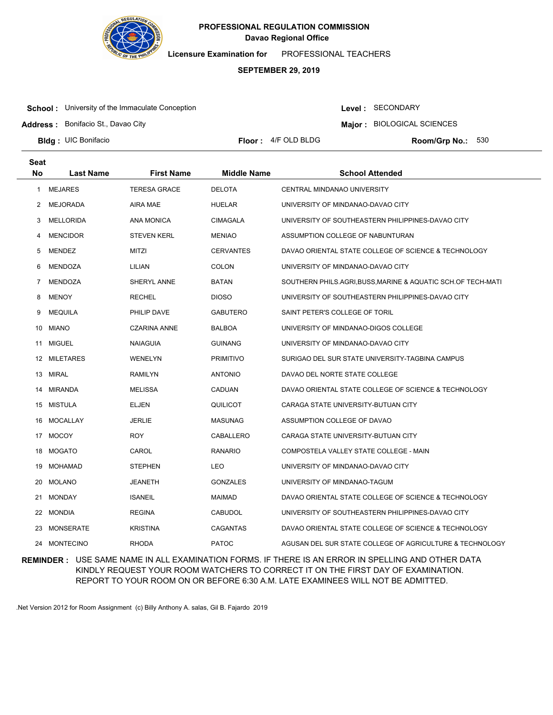

**Licensure Examination for**  PROFESSIONAL TEACHERS

### **SEPTEMBER 29, 2019**

**School:** University of the Immaculate Conception

**Address :** Bonifacio St., Davao City

Level : SECONDARY

**Major : BIOLOGICAL SCIENCES** 

**Bldg: UIC Bonifacio** 

**Floor :**  $4/F$  OLD BLDG

Room/Grp No.: 530

| <b>Seat</b> |                  |                     |                    |                                                              |
|-------------|------------------|---------------------|--------------------|--------------------------------------------------------------|
| <b>No</b>   | <b>Last Name</b> | <b>First Name</b>   | <b>Middle Name</b> | <b>School Attended</b>                                       |
| 1           | <b>MEJARES</b>   | <b>TERESA GRACE</b> | <b>DELOTA</b>      | CENTRAL MINDANAO UNIVERSITY                                  |
| 2           | MEJORADA         | AIRA MAE            | <b>HUELAR</b>      | UNIVERSITY OF MINDANAO-DAVAO CITY                            |
| 3           | <b>MELLORIDA</b> | <b>ANA MONICA</b>   | <b>CIMAGALA</b>    | UNIVERSITY OF SOUTHEASTERN PHILIPPINES-DAVAO CITY            |
| 4           | <b>MENCIDOR</b>  | <b>STEVEN KERL</b>  | <b>MENIAO</b>      | ASSUMPTION COLLEGE OF NABUNTURAN                             |
| 5           | <b>MENDEZ</b>    | MITZI               | <b>CERVANTES</b>   | DAVAO ORIENTAL STATE COLLEGE OF SCIENCE & TECHNOLOGY         |
| 6           | <b>MENDOZA</b>   | LILIAN              | <b>COLON</b>       | UNIVERSITY OF MINDANAO-DAVAO CITY                            |
| 7           | <b>MENDOZA</b>   | SHERYL ANNE         | <b>BATAN</b>       | SOUTHERN PHILS.AGRI, BUSS, MARINE & AQUATIC SCH.OF TECH-MATI |
| 8           | <b>MENOY</b>     | <b>RECHEL</b>       | <b>DIOSO</b>       | UNIVERSITY OF SOUTHEASTERN PHILIPPINES-DAVAO CITY            |
| 9           | <b>MEQUILA</b>   | PHILIP DAVE         | <b>GABUTERO</b>    | SAINT PETER'S COLLEGE OF TORIL                               |
| 10          | <b>MIANO</b>     | <b>CZARINA ANNE</b> | <b>BALBOA</b>      | UNIVERSITY OF MINDANAO-DIGOS COLLEGE                         |
| 11          | MIGUEL           | <b>NAIAGUIA</b>     | <b>GUINANG</b>     | UNIVERSITY OF MINDANAO-DAVAO CITY                            |
|             | 12 MILETARES     | WENELYN             | <b>PRIMITIVO</b>   | SURIGAO DEL SUR STATE UNIVERSITY-TAGBINA CAMPUS              |
| 13          | MIRAL            | <b>RAMILYN</b>      | <b>ANTONIO</b>     | DAVAO DEL NORTE STATE COLLEGE                                |
| 14          | MIRANDA          | <b>MELISSA</b>      | <b>CADUAN</b>      | DAVAO ORIENTAL STATE COLLEGE OF SCIENCE & TECHNOLOGY         |
|             | 15 MISTULA       | ELJEN               | QUILICOT           | CARAGA STATE UNIVERSITY-BUTUAN CITY                          |
| 16          | MOCALLAY         | <b>JERLIE</b>       | <b>MASUNAG</b>     | ASSUMPTION COLLEGE OF DAVAO                                  |
|             | 17 MOCOY         | ROY                 | CABALLERO          | CARAGA STATE UNIVERSITY-BUTUAN CITY                          |
| 18          | MOGATO           | CAROL               | <b>RANARIO</b>     | COMPOSTELA VALLEY STATE COLLEGE - MAIN                       |
| 19          | MOHAMAD          | <b>STEPHEN</b>      | LEO                | UNIVERSITY OF MINDANAO-DAVAO CITY                            |
| 20          | <b>MOLANO</b>    | JEANETH             | <b>GONZALES</b>    | UNIVERSITY OF MINDANAO-TAGUM                                 |
| 21          | MONDAY           | <b>ISANEIL</b>      | <b>MAIMAD</b>      | DAVAO ORIENTAL STATE COLLEGE OF SCIENCE & TECHNOLOGY         |
| 22          | MONDIA           | <b>REGINA</b>       | <b>CABUDOL</b>     | UNIVERSITY OF SOUTHEASTERN PHILIPPINES-DAVAO CITY            |
| 23          | MONSERATE        | <b>KRISTINA</b>     | <b>CAGANTAS</b>    | DAVAO ORIENTAL STATE COLLEGE OF SCIENCE & TECHNOLOGY         |
|             | 24 MONTECINO     | <b>RHODA</b>        | <b>PATOC</b>       | AGUSAN DEL SUR STATE COLLEGE OF AGRICULTURE & TECHNOLOGY     |

**REMINDER :** USE SAME NAME IN ALL EXAMINATION FORMS. IF THERE IS AN ERROR IN SPELLING AND OTHER DATA KINDLY REQUEST YOUR ROOM WATCHERS TO CORRECT IT ON THE FIRST DAY OF EXAMINATION. REPORT TO YOUR ROOM ON OR BEFORE 6:30 A.M. LATE EXAMINEES WILL NOT BE ADMITTED.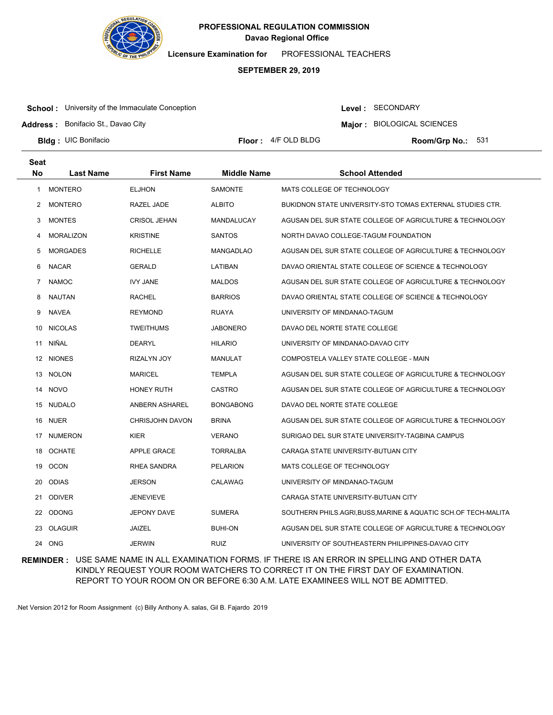

**Licensure Examination for**  PROFESSIONAL TEACHERS

### **SEPTEMBER 29, 2019**

**School:** University of the Immaculate Conception

**Address :** Bonifacio St., Davao City

Level : SECONDARY

**Major : BIOLOGICAL SCIENCES** 

**Bldg: UIC Bonifacio** 

**Floor :**  $4/F$  OLD BLDG

Room/Grp No.: 531

| <b>Seat</b>  |                  |                        |                    |                                                              |
|--------------|------------------|------------------------|--------------------|--------------------------------------------------------------|
| <b>No</b>    | <b>Last Name</b> | <b>First Name</b>      | <b>Middle Name</b> | <b>School Attended</b>                                       |
| $\mathbf{1}$ | <b>MONTERO</b>   | <b>ELJHON</b>          | <b>SAMONTE</b>     | MATS COLLEGE OF TECHNOLOGY                                   |
| 2            | <b>MONTERO</b>   | RAZEL JADE             | <b>ALBITO</b>      | BUKIDNON STATE UNIVERSITY-STO TOMAS EXTERNAL STUDIES CTR.    |
| 3            | <b>MONTES</b>    | <b>CRISOL JEHAN</b>    | MANDALUCAY         | AGUSAN DEL SUR STATE COLLEGE OF AGRICULTURE & TECHNOLOGY     |
| 4            | <b>MORALIZON</b> | <b>KRISTINE</b>        | <b>SANTOS</b>      | NORTH DAVAO COLLEGE-TAGUM FOUNDATION                         |
| 5            | <b>MORGADES</b>  | <b>RICHELLE</b>        | <b>MANGADLAO</b>   | AGUSAN DEL SUR STATE COLLEGE OF AGRICULTURE & TECHNOLOGY     |
| 6            | <b>NACAR</b>     | GERALD                 | LATIBAN            | DAVAO ORIENTAL STATE COLLEGE OF SCIENCE & TECHNOLOGY         |
| 7            | <b>NAMOC</b>     | <b>IVY JANE</b>        | <b>MALDOS</b>      | AGUSAN DEL SUR STATE COLLEGE OF AGRICULTURE & TECHNOLOGY     |
| 8            | <b>NAUTAN</b>    | <b>RACHEL</b>          | <b>BARRIOS</b>     | DAVAO ORIENTAL STATE COLLEGE OF SCIENCE & TECHNOLOGY         |
| 9            | <b>NAVEA</b>     | <b>REYMOND</b>         | <b>RUAYA</b>       | UNIVERSITY OF MINDANAO-TAGUM                                 |
| 10           | <b>NICOLAS</b>   | <b>TWEITHUMS</b>       | <b>JABONERO</b>    | DAVAO DEL NORTE STATE COLLEGE                                |
| 11           | NIÑAL            | <b>DEARYL</b>          | <b>HILARIO</b>     | UNIVERSITY OF MINDANAO-DAVAO CITY                            |
| 12           | <b>NIONES</b>    | RIZALYN JOY            | <b>MANULAT</b>     | COMPOSTELA VALLEY STATE COLLEGE - MAIN                       |
| 13           | NOLON            | <b>MARICEL</b>         | <b>TEMPLA</b>      | AGUSAN DEL SUR STATE COLLEGE OF AGRICULTURE & TECHNOLOGY     |
| 14           | <b>NOVO</b>      | HONEY RUTH             | CASTRO             | AGUSAN DEL SUR STATE COLLEGE OF AGRICULTURE & TECHNOLOGY     |
|              | 15 NUDALO        | ANBERN ASHAREL         | <b>BONGABONG</b>   | DAVAO DEL NORTE STATE COLLEGE                                |
| 16           | <b>NUER</b>      | <b>CHRISJOHN DAVON</b> | <b>BRINA</b>       | AGUSAN DEL SUR STATE COLLEGE OF AGRICULTURE & TECHNOLOGY     |
|              | 17 NUMERON       | KIER                   | <b>VERANO</b>      | SURIGAO DEL SUR STATE UNIVERSITY-TAGBINA CAMPUS              |
| 18           | <b>OCHATE</b>    | <b>APPLE GRACE</b>     | <b>TORRALBA</b>    | CARAGA STATE UNIVERSITY-BUTUAN CITY                          |
| 19           | <b>OCON</b>      | RHEA SANDRA            | <b>PELARION</b>    | MATS COLLEGE OF TECHNOLOGY                                   |
| 20           | <b>ODIAS</b>     | <b>JERSON</b>          | <b>CALAWAG</b>     | UNIVERSITY OF MINDANAO-TAGUM                                 |
| 21           | <b>ODIVER</b>    | <b>JENEVIEVE</b>       |                    | CARAGA STATE UNIVERSITY-BUTUAN CITY                          |
| 22           | <b>ODONG</b>     | <b>JEPONY DAVE</b>     | <b>SUMERA</b>      | SOUTHERN PHILS.AGRI,BUSS,MARINE & AQUATIC SCH.OF TECH-MALITA |
| 23           | <b>OLAGUIR</b>   | <b>JAIZEL</b>          | <b>BUHI-ON</b>     | AGUSAN DEL SUR STATE COLLEGE OF AGRICULTURE & TECHNOLOGY     |
| 24           | ONG              | <b>JERWIN</b>          | <b>RUIZ</b>        | UNIVERSITY OF SOUTHEASTERN PHILIPPINES-DAVAO CITY            |

**REMINDER :** USE SAME NAME IN ALL EXAMINATION FORMS. IF THERE IS AN ERROR IN SPELLING AND OTHER DATA KINDLY REQUEST YOUR ROOM WATCHERS TO CORRECT IT ON THE FIRST DAY OF EXAMINATION. REPORT TO YOUR ROOM ON OR BEFORE 6:30 A.M. LATE EXAMINEES WILL NOT BE ADMITTED.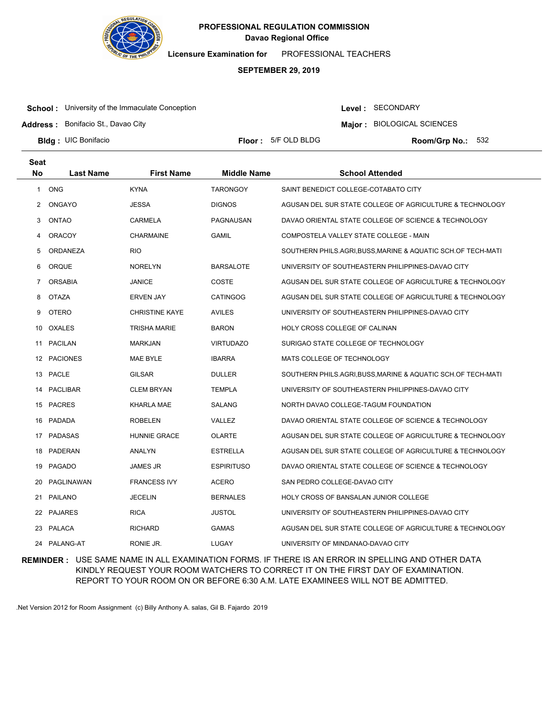

**Licensure Examination for**  PROFESSIONAL TEACHERS

### **SEPTEMBER 29, 2019**

**School:** University of the Immaculate Conception

Level : SECONDARY

**Major : BIOLOGICAL SCIENCES** 

**Address :** Bonifacio St., Davao City

**Bldg: UIC Bonifacio** 

**Floor : 5/F OLD BLDG** 

Room/Grp No.: 532

| Seat      |                  |                       |                    |                                                            |
|-----------|------------------|-----------------------|--------------------|------------------------------------------------------------|
| <b>No</b> | <b>Last Name</b> | <b>First Name</b>     | <b>Middle Name</b> | <b>School Attended</b>                                     |
| 1         | <b>ONG</b>       | <b>KYNA</b>           | <b>TARONGOY</b>    | SAINT BENEDICT COLLEGE-COTABATO CITY                       |
| 2         | ONGAYO           | <b>JESSA</b>          | <b>DIGNOS</b>      | AGUSAN DEL SUR STATE COLLEGE OF AGRICULTURE & TECHNOLOGY   |
| 3         | ONTAO            | <b>CARMELA</b>        | PAGNAUSAN          | DAVAO ORIENTAL STATE COLLEGE OF SCIENCE & TECHNOLOGY       |
| 4         | <b>ORACOY</b>    | <b>CHARMAINE</b>      | <b>GAMIL</b>       | COMPOSTELA VALLEY STATE COLLEGE - MAIN                     |
| 5         | ORDANEZA         | <b>RIO</b>            |                    | SOUTHERN PHILS.AGRI,BUSS,MARINE & AQUATIC SCH.OF TECH-MATI |
| 6         | ORQUE            | <b>NORELYN</b>        | <b>BARSALOTE</b>   | UNIVERSITY OF SOUTHEASTERN PHILIPPINES-DAVAO CITY          |
| 7         | <b>ORSABIA</b>   | <b>JANICE</b>         | COSTE              | AGUSAN DEL SUR STATE COLLEGE OF AGRICULTURE & TECHNOLOGY   |
| 8         | <b>OTAZA</b>     | <b>ERVEN JAY</b>      | <b>CATINGOG</b>    | AGUSAN DEL SUR STATE COLLEGE OF AGRICULTURE & TECHNOLOGY   |
| 9         | <b>OTERO</b>     | <b>CHRISTINE KAYE</b> | <b>AVILES</b>      | UNIVERSITY OF SOUTHEASTERN PHILIPPINES-DAVAO CITY          |
| 10        | OXALES           | <b>TRISHA MARIE</b>   | <b>BARON</b>       | HOLY CROSS COLLEGE OF CALINAN                              |
| 11        | PACILAN          | <b>MARKJAN</b>        | <b>VIRTUDAZO</b>   | SURIGAO STATE COLLEGE OF TECHNOLOGY                        |
|           | 12 PACIONES      | MAE BYLE              | <b>IBARRA</b>      | MATS COLLEGE OF TECHNOLOGY                                 |
|           | 13 PACLE         | <b>GILSAR</b>         | <b>DULLER</b>      | SOUTHERN PHILS.AGRI,BUSS,MARINE & AQUATIC SCH.OF TECH-MATI |
| 14        | PACLIBAR         | <b>CLEM BRYAN</b>     | <b>TEMPLA</b>      | UNIVERSITY OF SOUTHEASTERN PHILIPPINES-DAVAO CITY          |
|           | 15 PACRES        | KHARLA MAE            | <b>SALANG</b>      | NORTH DAVAO COLLEGE-TAGUM FOUNDATION                       |
|           | 16 PADADA        | <b>ROBELEN</b>        | VALLEZ             | DAVAO ORIENTAL STATE COLLEGE OF SCIENCE & TECHNOLOGY       |
|           | 17 PADASAS       | <b>HUNNIE GRACE</b>   | <b>OLARTE</b>      | AGUSAN DEL SUR STATE COLLEGE OF AGRICULTURE & TECHNOLOGY   |
| 18        | PADERAN          | <b>ANALYN</b>         | <b>ESTRELLA</b>    | AGUSAN DEL SUR STATE COLLEGE OF AGRICULTURE & TECHNOLOGY   |
| 19        | PAGADO           | <b>JAMES JR</b>       | <b>ESPIRITUSO</b>  | DAVAO ORIENTAL STATE COLLEGE OF SCIENCE & TECHNOLOGY       |
| 20        | PAGLINAWAN       | <b>FRANCESS IVY</b>   | <b>ACERO</b>       | SAN PEDRO COLLEGE-DAVAO CITY                               |
| 21        | PAILANO          | <b>JECELIN</b>        | <b>BERNALES</b>    | HOLY CROSS OF BANSALAN JUNIOR COLLEGE                      |
| 22        | PAJARES          | <b>RICA</b>           | <b>JUSTOL</b>      | UNIVERSITY OF SOUTHEASTERN PHILIPPINES-DAVAO CITY          |
| 23        | PALACA           | <b>RICHARD</b>        | <b>GAMAS</b>       | AGUSAN DEL SUR STATE COLLEGE OF AGRICULTURE & TECHNOLOGY   |
|           | 24 PALANG-AT     | RONIE JR.             | LUGAY              | UNIVERSITY OF MINDANAO-DAVAO CITY                          |

**REMINDER :** USE SAME NAME IN ALL EXAMINATION FORMS. IF THERE IS AN ERROR IN SPELLING AND OTHER DATA KINDLY REQUEST YOUR ROOM WATCHERS TO CORRECT IT ON THE FIRST DAY OF EXAMINATION. REPORT TO YOUR ROOM ON OR BEFORE 6:30 A.M. LATE EXAMINEES WILL NOT BE ADMITTED.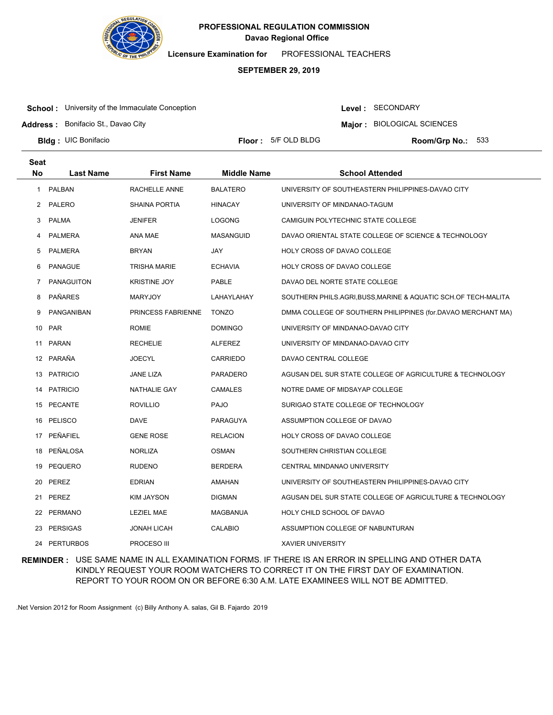

**Licensure Examination for**  PROFESSIONAL TEACHERS

### **SEPTEMBER 29, 2019**

**School:** University of the Immaculate Conception

**Address :** Bonifacio St., Davao City

Level : SECONDARY

**Major : BIOLOGICAL SCIENCES** 

**Bldg: UIC Bonifacio** 

**Floor : 5/F OLD BLDG** 

Room/Grp No.: 533

| <b>Seat</b> |                   |                           |                    |                                                                |
|-------------|-------------------|---------------------------|--------------------|----------------------------------------------------------------|
| <b>No</b>   | <b>Last Name</b>  | <b>First Name</b>         | <b>Middle Name</b> | <b>School Attended</b>                                         |
| 1           | <b>PALBAN</b>     | RACHELLE ANNE             | <b>BALATERO</b>    | UNIVERSITY OF SOUTHEASTERN PHILIPPINES-DAVAO CITY              |
| 2           | PALERO            | <b>SHAINA PORTIA</b>      | <b>HINACAY</b>     | UNIVERSITY OF MINDANAO-TAGUM                                   |
| 3           | <b>PALMA</b>      | JENIFER                   | <b>LOGONG</b>      | CAMIGUIN POLYTECHNIC STATE COLLEGE                             |
| 4           | <b>PALMERA</b>    | ANA MAE                   | <b>MASANGUID</b>   | DAVAO ORIENTAL STATE COLLEGE OF SCIENCE & TECHNOLOGY           |
| 5           | <b>PALMERA</b>    | <b>BRYAN</b>              | JAY                | HOLY CROSS OF DAVAO COLLEGE                                    |
| 6           | <b>PANAGUE</b>    | <b>TRISHA MARIE</b>       | <b>ECHAVIA</b>     | HOLY CROSS OF DAVAO COLLEGE                                    |
| 7           | <b>PANAGUITON</b> | <b>KRISTINE JOY</b>       | PABLE              | DAVAO DEL NORTE STATE COLLEGE                                  |
| 8           | <b>PAÑARES</b>    | <b>MARYJOY</b>            | LAHAYLAHAY         | SOUTHERN PHILS.AGRI, BUSS, MARINE & AQUATIC SCH.OF TECH-MALITA |
| 9           | PANGANIBAN        | <b>PRINCESS FABRIENNE</b> | <b>TONZO</b>       | DMMA COLLEGE OF SOUTHERN PHILIPPINES (for DAVAO MERCHANT MA)   |
| 10          | <b>PAR</b>        | <b>ROMIE</b>              | <b>DOMINGO</b>     | UNIVERSITY OF MINDANAO-DAVAO CITY                              |
| 11          | <b>PARAN</b>      | <b>RECHELIE</b>           | <b>ALFEREZ</b>     | UNIVERSITY OF MINDANAO-DAVAO CITY                              |
| 12          | PARAÑA            | <b>JOECYL</b>             | <b>CARRIEDO</b>    | DAVAO CENTRAL COLLEGE                                          |
| 13          | <b>PATRICIO</b>   | JANE LIZA                 | <b>PARADERO</b>    | AGUSAN DEL SUR STATE COLLEGE OF AGRICULTURE & TECHNOLOGY       |
| 14          | <b>PATRICIO</b>   | <b>NATHALIE GAY</b>       | <b>CAMALES</b>     | NOTRE DAME OF MIDSAYAP COLLEGE                                 |
|             | 15 PECANTE        | <b>ROVILLIO</b>           | <b>PAJO</b>        | SURIGAO STATE COLLEGE OF TECHNOLOGY                            |
| 16          | PELISCO           | DAVE                      | PARAGUYA           | ASSUMPTION COLLEGE OF DAVAO                                    |
|             | 17 PEÑAFIEL       | <b>GENE ROSE</b>          | <b>RELACION</b>    | HOLY CROSS OF DAVAO COLLEGE                                    |
| 18          | PEÑALOSA          | <b>NORLIZA</b>            | <b>OSMAN</b>       | SOUTHERN CHRISTIAN COLLEGE                                     |
| 19          | PEQUERO           | <b>RUDENO</b>             | <b>BERDERA</b>     | CENTRAL MINDANAO UNIVERSITY                                    |
| 20          | PEREZ             | <b>EDRIAN</b>             | <b>AMAHAN</b>      | UNIVERSITY OF SOUTHEASTERN PHILIPPINES-DAVAO CITY              |
| 21          | PEREZ             | KIM JAYSON                | <b>DIGMAN</b>      | AGUSAN DEL SUR STATE COLLEGE OF AGRICULTURE & TECHNOLOGY       |
| 22          | <b>PERMANO</b>    | <b>LEZIEL MAE</b>         | MAGBANUA           | HOLY CHILD SCHOOL OF DAVAO                                     |
| 23          | <b>PERSIGAS</b>   | <b>JONAH LICAH</b>        | <b>CALABIO</b>     | ASSUMPTION COLLEGE OF NABUNTURAN                               |
| 24          | <b>PERTURBOS</b>  | PROCESO III               |                    | <b>XAVIER UNIVERSITY</b>                                       |

**REMINDER :** USE SAME NAME IN ALL EXAMINATION FORMS. IF THERE IS AN ERROR IN SPELLING AND OTHER DATA KINDLY REQUEST YOUR ROOM WATCHERS TO CORRECT IT ON THE FIRST DAY OF EXAMINATION. REPORT TO YOUR ROOM ON OR BEFORE 6:30 A.M. LATE EXAMINEES WILL NOT BE ADMITTED.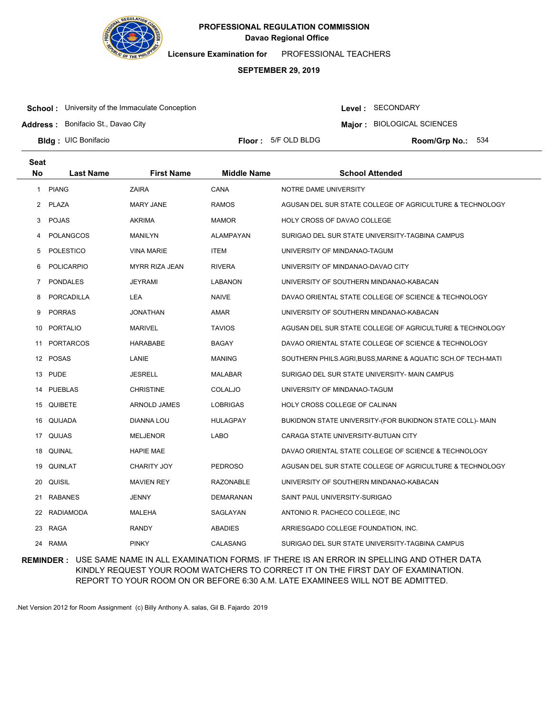

**Licensure Examination for**  PROFESSIONAL TEACHERS

### **SEPTEMBER 29, 2019**

**School:** University of the Immaculate Conception

**Address :** Bonifacio St., Davao City

Level : SECONDARY

**Major : BIOLOGICAL SCIENCES** 

**Bldg: UIC Bonifacio** 

**Floor : 5/F OLD BLDG** 

Room/Grp No.: 534

| <b>Seat</b> |                   |                    |                    |                                                            |
|-------------|-------------------|--------------------|--------------------|------------------------------------------------------------|
| <b>No</b>   | <b>Last Name</b>  | <b>First Name</b>  | <b>Middle Name</b> | <b>School Attended</b>                                     |
| 1           | <b>PIANG</b>      | <b>ZAIRA</b>       | <b>CANA</b>        | NOTRE DAME UNIVERSITY                                      |
| 2           | PLAZA             | <b>MARY JANE</b>   | <b>RAMOS</b>       | AGUSAN DEL SUR STATE COLLEGE OF AGRICULTURE & TECHNOLOGY   |
| 3           | <b>POJAS</b>      | <b>AKRIMA</b>      | <b>MAMOR</b>       | <b>HOLY CROSS OF DAVAO COLLEGE</b>                         |
| 4           | <b>POLANGCOS</b>  | <b>MANILYN</b>     | ALAMPAYAN          | SURIGAO DEL SUR STATE UNIVERSITY-TAGBINA CAMPUS            |
| 5           | <b>POLESTICO</b>  | <b>VINA MARIE</b>  | <b>ITEM</b>        | UNIVERSITY OF MINDANAO-TAGUM                               |
| 6           | <b>POLICARPIO</b> | MYRR RIZA JEAN     | <b>RIVERA</b>      | UNIVERSITY OF MINDANAO-DAVAO CITY                          |
| 7           | <b>PONDALES</b>   | <b>JEYRAMI</b>     | <b>LABANON</b>     | UNIVERSITY OF SOUTHERN MINDANAO-KABACAN                    |
| 8           | <b>PORCADILLA</b> | LEA                | <b>NAIVE</b>       | DAVAO ORIENTAL STATE COLLEGE OF SCIENCE & TECHNOLOGY       |
| 9           | <b>PORRAS</b>     | <b>JONATHAN</b>    | AMAR               | UNIVERSITY OF SOUTHERN MINDANAO-KABACAN                    |
| 10          | <b>PORTALIO</b>   | <b>MARIVEL</b>     | <b>TAVIOS</b>      | AGUSAN DEL SUR STATE COLLEGE OF AGRICULTURE & TECHNOLOGY   |
| 11          | <b>PORTARCOS</b>  | <b>HARABABE</b>    | <b>BAGAY</b>       | DAVAO ORIENTAL STATE COLLEGE OF SCIENCE & TECHNOLOGY       |
|             | 12 POSAS          | LANIE              | <b>MANING</b>      | SOUTHERN PHILS.AGRI,BUSS,MARINE & AQUATIC SCH.OF TECH-MATI |
|             | 13 PUDE           | JESRELL            | <b>MALABAR</b>     | SURIGAO DEL SUR STATE UNIVERSITY- MAIN CAMPUS              |
| 14          | PUEBLAS           | <b>CHRISTINE</b>   | COLALJO            | UNIVERSITY OF MINDANAO-TAGUM                               |
|             | 15 QUIBETE        | ARNOLD JAMES       | <b>LOBRIGAS</b>    | HOLY CROSS COLLEGE OF CALINAN                              |
| 16          | QUIJADA           | DIANNA LOU         | <b>HULAGPAY</b>    | BUKIDNON STATE UNIVERSITY-(FOR BUKIDNON STATE COLL)- MAIN  |
|             | 17 QUIJAS         | <b>MELJENOR</b>    | LABO               | CARAGA STATE UNIVERSITY-BUTUAN CITY                        |
| 18          | QUINAL            | <b>HAPIE MAE</b>   |                    | DAVAO ORIENTAL STATE COLLEGE OF SCIENCE & TECHNOLOGY       |
| 19          | QUINLAT           | <b>CHARITY JOY</b> | <b>PEDROSO</b>     | AGUSAN DEL SUR STATE COLLEGE OF AGRICULTURE & TECHNOLOGY   |
| 20          | QUISIL            | <b>MAVIEN REY</b>  | RAZONABLE          | UNIVERSITY OF SOUTHERN MINDANAO-KABACAN                    |
| 21          | <b>RABANES</b>    | <b>JENNY</b>       | <b>DEMARANAN</b>   | SAINT PAUL UNIVERSITY-SURIGAO                              |
| 22          | RADIAMODA         | <b>MALEHA</b>      | SAGLAYAN           | ANTONIO R. PACHECO COLLEGE, INC                            |
| 23          | RAGA              | <b>RANDY</b>       | ABADIES            | ARRIESGADO COLLEGE FOUNDATION, INC.                        |
|             | 24 RAMA           | <b>PINKY</b>       | CALASANG           | SURIGAO DEL SUR STATE UNIVERSITY-TAGBINA CAMPUS            |

**REMINDER :** USE SAME NAME IN ALL EXAMINATION FORMS. IF THERE IS AN ERROR IN SPELLING AND OTHER DATA KINDLY REQUEST YOUR ROOM WATCHERS TO CORRECT IT ON THE FIRST DAY OF EXAMINATION. REPORT TO YOUR ROOM ON OR BEFORE 6:30 A.M. LATE EXAMINEES WILL NOT BE ADMITTED.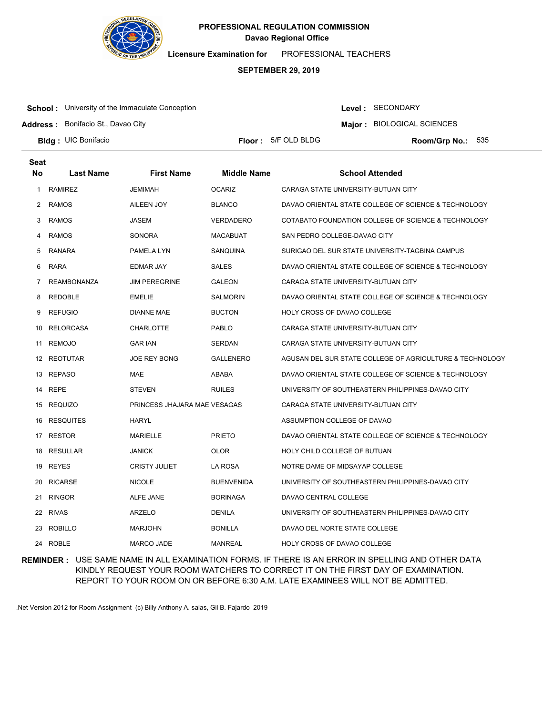

**Licensure Examination for**  PROFESSIONAL TEACHERS

### **SEPTEMBER 29, 2019**

**School:** University of the Immaculate Conception

**Address :** Bonifacio St., Davao City

Level : SECONDARY

**Major : BIOLOGICAL SCIENCES** 

**Bldg: UIC Bonifacio** 

**Floor : 5/F OLD BLDG** 

Room/Grp No.: 535

| <b>Seat</b>    |                    |                              |                    |                                                          |
|----------------|--------------------|------------------------------|--------------------|----------------------------------------------------------|
| <b>No</b>      | Last Name          | <b>First Name</b>            | <b>Middle Name</b> | <b>School Attended</b>                                   |
| 1              | <b>RAMIREZ</b>     | <b>JEMIMAH</b>               | <b>OCARIZ</b>      | CARAGA STATE UNIVERSITY-BUTUAN CITY                      |
| $\overline{2}$ | RAMOS              | AILEEN JOY                   | <b>BLANCO</b>      | DAVAO ORIENTAL STATE COLLEGE OF SCIENCE & TECHNOLOGY     |
| 3              | <b>RAMOS</b>       | <b>JASEM</b>                 | VERDADERO          | COTABATO FOUNDATION COLLEGE OF SCIENCE & TECHNOLOGY      |
| 4              | <b>RAMOS</b>       | <b>SONORA</b>                | <b>MACABUAT</b>    | SAN PEDRO COLLEGE-DAVAO CITY                             |
| 5              | RANARA             | PAMELA LYN                   | SANQUINA           | SURIGAO DEL SUR STATE UNIVERSITY-TAGBINA CAMPUS          |
| 6              | <b>RARA</b>        | EDMAR JAY                    | <b>SALES</b>       | DAVAO ORIENTAL STATE COLLEGE OF SCIENCE & TECHNOLOGY     |
| 7              | <b>REAMBONANZA</b> | <b>JIM PEREGRINE</b>         | <b>GALEON</b>      | CARAGA STATE UNIVERSITY-BUTUAN CITY                      |
| 8              | <b>REDOBLE</b>     | <b>EMELIE</b>                | <b>SALMORIN</b>    | DAVAO ORIENTAL STATE COLLEGE OF SCIENCE & TECHNOLOGY     |
| 9              | <b>REFUGIO</b>     | <b>DIANNE MAE</b>            | <b>BUCTON</b>      | HOLY CROSS OF DAVAO COLLEGE                              |
| 10             | RELORCASA          | <b>CHARLOTTE</b>             | <b>PABLO</b>       | CARAGA STATE UNIVERSITY-BUTUAN CITY                      |
| 11             | <b>REMOJO</b>      | <b>GAR IAN</b>               | <b>SERDAN</b>      | CARAGA STATE UNIVERSITY-BUTUAN CITY                      |
|                | 12 REOTUTAR        | <b>JOE REY BONG</b>          | <b>GALLENERO</b>   | AGUSAN DEL SUR STATE COLLEGE OF AGRICULTURE & TECHNOLOGY |
| 13             | <b>REPASO</b>      | MAE                          | ABABA              | DAVAO ORIENTAL STATE COLLEGE OF SCIENCE & TECHNOLOGY     |
| 14             | <b>REPE</b>        | <b>STEVEN</b>                | <b>RUILES</b>      | UNIVERSITY OF SOUTHEASTERN PHILIPPINES-DAVAO CITY        |
|                | 15 REQUIZO         | PRINCESS JHAJARA MAE VESAGAS |                    | CARAGA STATE UNIVERSITY-BUTUAN CITY                      |
| 16             | <b>RESQUITES</b>   | <b>HARYL</b>                 |                    | ASSUMPTION COLLEGE OF DAVAO                              |
|                | 17 RESTOR          | <b>MARIELLE</b>              | <b>PRIETO</b>      | DAVAO ORIENTAL STATE COLLEGE OF SCIENCE & TECHNOLOGY     |
| 18             | RESULLAR           | <b>JANICK</b>                | <b>OLOR</b>        | HOLY CHILD COLLEGE OF BUTUAN                             |
| 19             | <b>REYES</b>       | <b>CRISTY JULIET</b>         | LA ROSA            | NOTRE DAME OF MIDSAYAP COLLEGE                           |
| 20             | <b>RICARSE</b>     | <b>NICOLE</b>                | <b>BUENVENIDA</b>  | UNIVERSITY OF SOUTHEASTERN PHILIPPINES-DAVAO CITY        |
| 21             | <b>RINGOR</b>      | ALFE JANE                    | <b>BORINAGA</b>    | DAVAO CENTRAL COLLEGE                                    |
| 22             | <b>RIVAS</b>       | <b>ARZELO</b>                | <b>DENILA</b>      | UNIVERSITY OF SOUTHEASTERN PHILIPPINES-DAVAO CITY        |
| 23             | <b>ROBILLO</b>     | <b>MARJOHN</b>               | <b>BONILLA</b>     | DAVAO DEL NORTE STATE COLLEGE                            |
|                | 24 ROBLE           | <b>MARCO JADE</b>            | <b>MANREAL</b>     | <b>HOLY CROSS OF DAVAO COLLEGE</b>                       |

**REMINDER :** USE SAME NAME IN ALL EXAMINATION FORMS. IF THERE IS AN ERROR IN SPELLING AND OTHER DATA KINDLY REQUEST YOUR ROOM WATCHERS TO CORRECT IT ON THE FIRST DAY OF EXAMINATION. REPORT TO YOUR ROOM ON OR BEFORE 6:30 A.M. LATE EXAMINEES WILL NOT BE ADMITTED.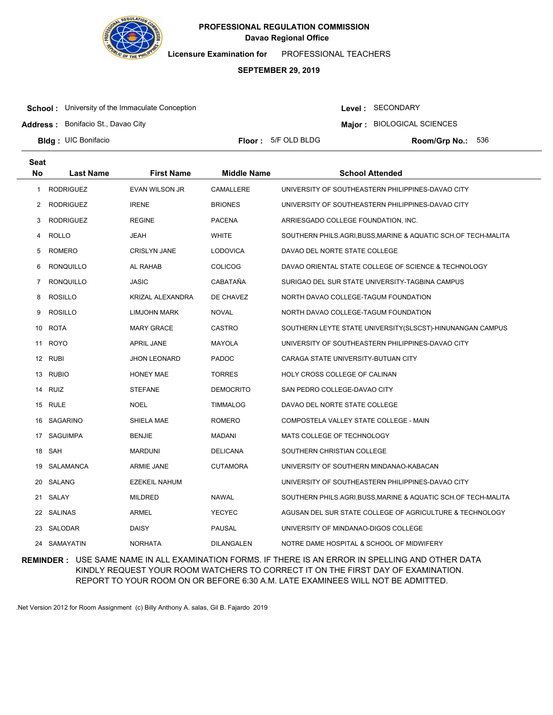

**Licensure Examination for**  PROFESSIONAL TEACHERS

### **SEPTEMBER 29, 2019**

**School:** University of the Immaculate Conception

**Address :** Bonifacio St., Davao City

Level : SECONDARY

**Major : BIOLOGICAL SCIENCES** 

**Bldg: UIC Bonifacio** 

**Floor : 5/F OLD BLDG** 

Room/Grp No.: 536

| <b>Seat</b> |                  |                       |                    |                                                                |
|-------------|------------------|-----------------------|--------------------|----------------------------------------------------------------|
| <b>No</b>   | <b>Last Name</b> | <b>First Name</b>     | <b>Middle Name</b> | <b>School Attended</b>                                         |
| 1           | <b>RODRIGUEZ</b> | <b>EVAN WILSON JR</b> | CAMALLERE          | UNIVERSITY OF SOUTHEASTERN PHILIPPINES-DAVAO CITY              |
| 2           | <b>RODRIGUEZ</b> | <b>IRENE</b>          | <b>BRIONES</b>     | UNIVERSITY OF SOUTHEASTERN PHILIPPINES-DAVAO CITY              |
| 3           | <b>RODRIGUEZ</b> | <b>REGINE</b>         | <b>PACENA</b>      | ARRIESGADO COLLEGE FOUNDATION, INC.                            |
| 4           | <b>ROLLO</b>     | JEAH                  | <b>WHITE</b>       | SOUTHERN PHILS.AGRI, BUSS, MARINE & AQUATIC SCH.OF TECH-MALITA |
| 5           | ROMERO           | <b>CRISLYN JANE</b>   | <b>LODOVICA</b>    | DAVAO DEL NORTE STATE COLLEGE                                  |
| 6           | RONQUILLO        | AL RAHAB              | <b>COLICOG</b>     | DAVAO ORIENTAL STATE COLLEGE OF SCIENCE & TECHNOLOGY           |
| 7           | <b>RONQUILLO</b> | JASIC                 | CABATAÑA           | SURIGAO DEL SUR STATE UNIVERSITY-TAGBINA CAMPUS                |
| 8           | <b>ROSILLO</b>   | KRIZAL ALEXANDRA      | DE CHAVEZ          | NORTH DAVAO COLLEGE-TAGUM FOUNDATION                           |
| 9           | <b>ROSILLO</b>   | LIMJOHN MARK          | <b>NOVAL</b>       | NORTH DAVAO COLLEGE-TAGUM FOUNDATION                           |
|             | 10 ROTA          | <b>MARY GRACE</b>     | <b>CASTRO</b>      | SOUTHERN LEYTE STATE UNIVERSITY(SLSCST)-HINUNANGAN CAMPUS      |
|             | 11 ROYO          | <b>APRIL JANE</b>     | <b>MAYOLA</b>      | UNIVERSITY OF SOUTHEASTERN PHILIPPINES-DAVAO CITY              |
|             | 12 RUBI          | <b>JHON LEONARD</b>   | <b>PADOC</b>       | CARAGA STATE UNIVERSITY-BUTUAN CITY                            |
|             | 13 RUBIO         | <b>HONEY MAE</b>      | <b>TORRES</b>      | HOLY CROSS COLLEGE OF CALINAN                                  |
|             | 14 RUIZ          | <b>STEFANE</b>        | DEMOCRITO          | SAN PEDRO COLLEGE-DAVAO CITY                                   |
|             | 15 RULE          | <b>NOEL</b>           | <b>TIMMALOG</b>    | DAVAO DEL NORTE STATE COLLEGE                                  |
|             | 16 SAGARINO      | SHIELA MAE            | ROMERO             | COMPOSTELA VALLEY STATE COLLEGE - MAIN                         |
|             | 17 SAGUIMPA      | <b>BENJIE</b>         | MADANI             | MATS COLLEGE OF TECHNOLOGY                                     |
|             | 18 SAH           | <b>MARDUNI</b>        | <b>DELICANA</b>    | SOUTHERN CHRISTIAN COLLEGE                                     |
| 19          | SALAMANCA        | ARMIE JANE            | <b>CUTAMORA</b>    | UNIVERSITY OF SOUTHERN MINDANAO-KABACAN                        |
|             | 20 SALANG        | <b>EZEKEIL NAHUM</b>  |                    | UNIVERSITY OF SOUTHEASTERN PHILIPPINES-DAVAO CITY              |
|             | 21 SALAY         | <b>MILDRED</b>        | NAWAL              | SOUTHERN PHILS.AGRI,BUSS,MARINE & AQUATIC SCH.OF TECH-MALITA   |
|             | 22 SALINAS       | <b>ARMEL</b>          | <b>YECYEC</b>      | AGUSAN DEL SUR STATE COLLEGE OF AGRICULTURE & TECHNOLOGY       |
|             | 23 SALODAR       | <b>DAISY</b>          | <b>PAUSAL</b>      | UNIVERSITY OF MINDANAO-DIGOS COLLEGE                           |
|             | 24 SAMAYATIN     | <b>NORHATA</b>        | <b>DILANGALEN</b>  | NOTRE DAME HOSPITAL & SCHOOL OF MIDWIFERY                      |

**REMINDER :** USE SAME NAME IN ALL EXAMINATION FORMS. IF THERE IS AN ERROR IN SPELLING AND OTHER DATA KINDLY REQUEST YOUR ROOM WATCHERS TO CORRECT IT ON THE FIRST DAY OF EXAMINATION. REPORT TO YOUR ROOM ON OR BEFORE 6:30 A.M. LATE EXAMINEES WILL NOT BE ADMITTED.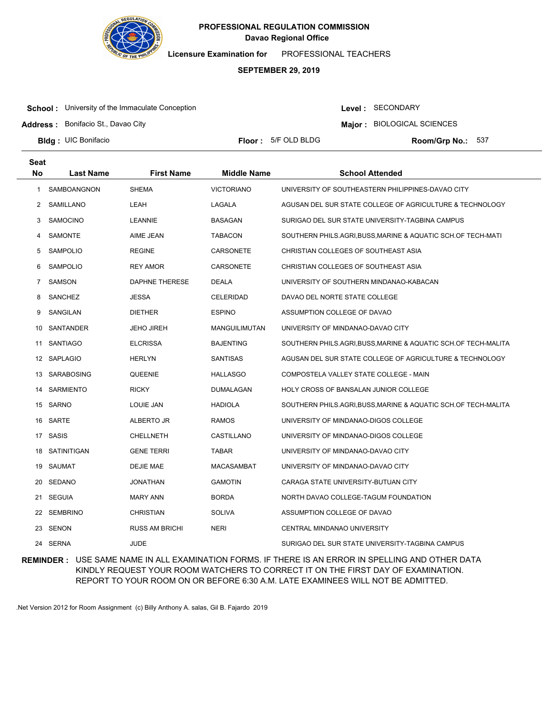

**Licensure Examination for**  PROFESSIONAL TEACHERS

### **SEPTEMBER 29, 2019**

**School:** University of the Immaculate Conception

Level : SECONDARY

**Major : BIOLOGICAL SCIENCES** 

**Address :** Bonifacio St., Davao City

**Bldg: UIC Bonifacio** 

**Floor : 5/F OLD BLDG** 

Room/Grp No.: 537

| <b>Seat</b> |                    |                       |                      |                                                              |
|-------------|--------------------|-----------------------|----------------------|--------------------------------------------------------------|
| <b>No</b>   | <b>Last Name</b>   | <b>First Name</b>     | <b>Middle Name</b>   | <b>School Attended</b>                                       |
| 1           | <b>SAMBOANGNON</b> | <b>SHEMA</b>          | <b>VICTORIANO</b>    | UNIVERSITY OF SOUTHEASTERN PHILIPPINES-DAVAO CITY            |
| 2           | SAMILLANO          | LEAH                  | LAGALA               | AGUSAN DEL SUR STATE COLLEGE OF AGRICULTURE & TECHNOLOGY     |
| 3           | <b>SAMOCINO</b>    | <b>LEANNIE</b>        | <b>BASAGAN</b>       | SURIGAO DEL SUR STATE UNIVERSITY-TAGBINA CAMPUS              |
| 4           | SAMONTE            | AIME JEAN             | <b>TABACON</b>       | SOUTHERN PHILS.AGRI,BUSS,MARINE & AQUATIC SCH.OF TECH-MATI   |
| 5           | <b>SAMPOLIO</b>    | <b>REGINE</b>         | CARSONETE            | CHRISTIAN COLLEGES OF SOUTHEAST ASIA                         |
| 6           | <b>SAMPOLIO</b>    | <b>REY AMOR</b>       | <b>CARSONETE</b>     | CHRISTIAN COLLEGES OF SOUTHEAST ASIA                         |
| 7           | SAMSON             | DAPHNE THERESE        | <b>DEALA</b>         | UNIVERSITY OF SOUTHERN MINDANAO-KABACAN                      |
| 8           | <b>SANCHEZ</b>     | <b>JESSA</b>          | <b>CELERIDAD</b>     | DAVAO DEL NORTE STATE COLLEGE                                |
| 9           | SANGILAN           | <b>DIETHER</b>        | <b>ESPINO</b>        | ASSUMPTION COLLEGE OF DAVAO                                  |
| 10          | SANTANDER          | <b>JEHO JIREH</b>     | <b>MANGUILIMUTAN</b> | UNIVERSITY OF MINDANAO-DAVAO CITY                            |
| 11          | <b>SANTIAGO</b>    | <b>ELCRISSA</b>       | <b>BAJENTING</b>     | SOUTHERN PHILS.AGRI.BUSS.MARINE & AQUATIC SCH.OF TECH-MALITA |
|             | 12 SAPLAGIO        | <b>HERLYN</b>         | <b>SANTISAS</b>      | AGUSAN DEL SUR STATE COLLEGE OF AGRICULTURE & TECHNOLOGY     |
|             | 13 SARABOSING      | QUEENIE               | <b>HALLASGO</b>      | COMPOSTELA VALLEY STATE COLLEGE - MAIN                       |
| 14          | <b>SARMIENTO</b>   | <b>RICKY</b>          | <b>DUMALAGAN</b>     | <b>HOLY CROSS OF BANSALAN JUNIOR COLLEGE</b>                 |
|             | 15 SARNO           | LOUIE JAN             | <b>HADIOLA</b>       | SOUTHERN PHILS.AGRI,BUSS,MARINE & AQUATIC SCH.OF TECH-MALITA |
| 16          | SARTE              | ALBERTO JR            | <b>RAMOS</b>         | UNIVERSITY OF MINDANAO-DIGOS COLLEGE                         |
|             | 17 SASIS           | CHELLNETH             | CASTILLANO           | UNIVERSITY OF MINDANAO-DIGOS COLLEGE                         |
| 18          | SATINITIGAN        | <b>GENE TERRI</b>     | <b>TABAR</b>         | UNIVERSITY OF MINDANAO-DAVAO CITY                            |
| 19          | SAUMAT             | <b>DEJIE MAE</b>      | <b>MACASAMBAT</b>    | UNIVERSITY OF MINDANAO-DAVAO CITY                            |
| 20          | SEDANO             | <b>JONATHAN</b>       | <b>GAMOTIN</b>       | CARAGA STATE UNIVERSITY-BUTUAN CITY                          |
| 21          | SEGUIA             | <b>MARY ANN</b>       | <b>BORDA</b>         | NORTH DAVAO COLLEGE-TAGUM FOUNDATION                         |
| 22          | <b>SEMBRINO</b>    | <b>CHRISTIAN</b>      | <b>SOLIVA</b>        | ASSUMPTION COLLEGE OF DAVAO                                  |
| 23          | SENON              | <b>RUSS AM BRICHI</b> | <b>NERI</b>          | CENTRAL MINDANAO UNIVERSITY                                  |
|             | 24 SERNA           | <b>JUDE</b>           |                      | SURIGAO DEL SUR STATE UNIVERSITY-TAGBINA CAMPUS              |

**REMINDER :** USE SAME NAME IN ALL EXAMINATION FORMS. IF THERE IS AN ERROR IN SPELLING AND OTHER DATA KINDLY REQUEST YOUR ROOM WATCHERS TO CORRECT IT ON THE FIRST DAY OF EXAMINATION. REPORT TO YOUR ROOM ON OR BEFORE 6:30 A.M. LATE EXAMINEES WILL NOT BE ADMITTED.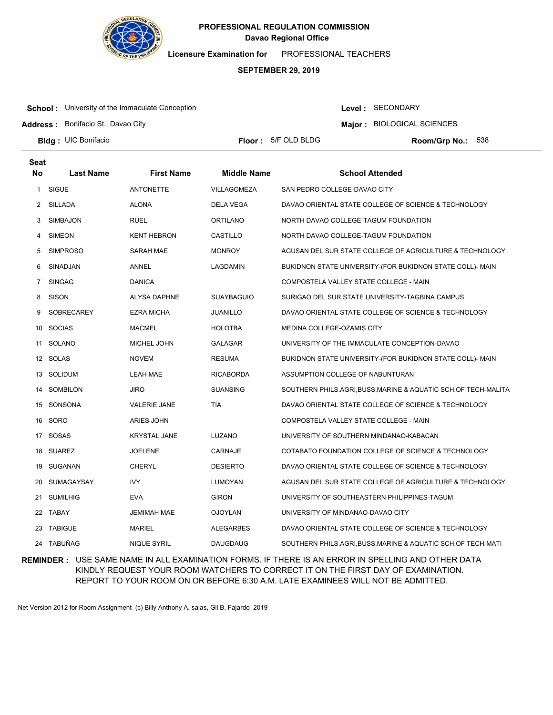

**Licensure Examination for**  PROFESSIONAL TEACHERS

### **SEPTEMBER 29, 2019**

**School:** University of the Immaculate Conception

**Address :** Bonifacio St., Davao City

Level : SECONDARY

**Major : BIOLOGICAL SCIENCES** 

**Bldg: UIC Bonifacio** 

**Floor : 5/F OLD BLDG** 

Room/Grp No.: 538

| <b>Seat</b> |                  |                     |                    |                                                                |
|-------------|------------------|---------------------|--------------------|----------------------------------------------------------------|
| <b>No</b>   | <b>Last Name</b> | <b>First Name</b>   | <b>Middle Name</b> | <b>School Attended</b>                                         |
| 1           | SIGUE            | <b>ANTONETTE</b>    | VILLAGOMEZA        | SAN PEDRO COLLEGE-DAVAO CITY                                   |
| 2           | SILLADA          | <b>ALONA</b>        | DELA VEGA          | DAVAO ORIENTAL STATE COLLEGE OF SCIENCE & TECHNOLOGY           |
| 3           | <b>SIMBAJON</b>  | <b>RUEL</b>         | <b>ORTILANO</b>    | NORTH DAVAO COLLEGE-TAGUM FOUNDATION                           |
| 4           | <b>SIMEON</b>    | <b>KENT HEBRON</b>  | CASTILLO           | NORTH DAVAO COLLEGE-TAGUM FOUNDATION                           |
| 5           | <b>SIMPROSO</b>  | SARAH MAE           | <b>MONROY</b>      | AGUSAN DEL SUR STATE COLLEGE OF AGRICULTURE & TECHNOLOGY       |
| 6           | SINADJAN         | ANNEL               | LAGDAMIN           | BUKIDNON STATE UNIVERSITY-(FOR BUKIDNON STATE COLL)- MAIN      |
| 7           | <b>SINGAG</b>    | <b>DANICA</b>       |                    | COMPOSTELA VALLEY STATE COLLEGE - MAIN                         |
| 8           | <b>SISON</b>     | ALYSA DAPHNE        | <b>SUAYBAGUIO</b>  | SURIGAO DEL SUR STATE UNIVERSITY-TAGBINA CAMPUS                |
| 9           | SOBRECAREY       | <b>EZRA MICHA</b>   | JUANILLO           | DAVAO ORIENTAL STATE COLLEGE OF SCIENCE & TECHNOLOGY           |
| 10          | <b>SOCIAS</b>    | <b>MACMEL</b>       | <b>HOLOTBA</b>     | MEDINA COLLEGE-OZAMIS CITY                                     |
| 11          | SOLANO           | MICHEL JOHN         | GALAGAR            | UNIVERSITY OF THE IMMACULATE CONCEPTION-DAVAO                  |
|             | 12 SOLAS         | <b>NOVEM</b>        | <b>RESUMA</b>      | BUKIDNON STATE UNIVERSITY-(FOR BUKIDNON STATE COLL)- MAIN      |
| 13          | <b>SOLIDUM</b>   | <b>LEAH MAE</b>     | <b>RICABORDA</b>   | ASSUMPTION COLLEGE OF NABUNTURAN                               |
| 14          | SOMBILON         | <b>JIRO</b>         | <b>SUANSING</b>    | SOUTHERN PHILS.AGRI, BUSS, MARINE & AQUATIC SCH.OF TECH-MALITA |
|             | 15 SONSONA       | <b>VALERIE JANE</b> | TIA                | DAVAO ORIENTAL STATE COLLEGE OF SCIENCE & TECHNOLOGY           |
|             | 16 SORO          | <b>ARIES JOHN</b>   |                    | COMPOSTELA VALLEY STATE COLLEGE - MAIN                         |
|             | 17 SOSAS         | <b>KRYSTAL JANE</b> | LUZANO             | UNIVERSITY OF SOUTHERN MINDANAO-KABACAN                        |
|             | 18 SUAREZ        | <b>JOELENE</b>      | CARNAJE            | COTABATO FOUNDATION COLLEGE OF SCIENCE & TECHNOLOGY            |
| 19          | SUGANAN          | <b>CHERYL</b>       | <b>DESIERTO</b>    | DAVAO ORIENTAL STATE COLLEGE OF SCIENCE & TECHNOLOGY           |
| 20          | SUMAGAYSAY       | IVY.                | LUMOYAN            | AGUSAN DEL SUR STATE COLLEGE OF AGRICULTURE & TECHNOLOGY       |
| 21          | <b>SUMILHIG</b>  | <b>EVA</b>          | <b>GIRON</b>       | UNIVERSITY OF SOUTHEASTERN PHILIPPINES-TAGUM                   |
| 22          | TABAY            | <b>JEMIMAH MAE</b>  | <b>OJOYLAN</b>     | UNIVERSITY OF MINDANAO-DAVAO CITY                              |
| 23          | <b>TABIGUE</b>   | MARIEL              | <b>ALEGARBES</b>   | DAVAO ORIENTAL STATE COLLEGE OF SCIENCE & TECHNOLOGY           |
|             | 24 TABUÑAG       | <b>NIQUE SYRIL</b>  | <b>DAUGDAUG</b>    | SOUTHERN PHILS.AGRI,BUSS,MARINE & AQUATIC SCH.OF TECH-MATI     |

**REMINDER :** USE SAME NAME IN ALL EXAMINATION FORMS. IF THERE IS AN ERROR IN SPELLING AND OTHER DATA KINDLY REQUEST YOUR ROOM WATCHERS TO CORRECT IT ON THE FIRST DAY OF EXAMINATION. REPORT TO YOUR ROOM ON OR BEFORE 6:30 A.M. LATE EXAMINEES WILL NOT BE ADMITTED.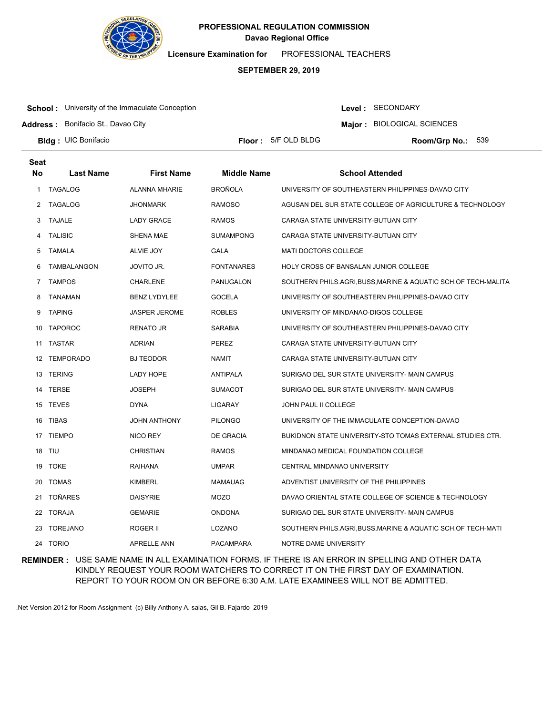

**Licensure Examination for**  PROFESSIONAL TEACHERS

### **SEPTEMBER 29, 2019**

**School:** University of the Immaculate Conception

Level : SECONDARY

**Major : BIOLOGICAL SCIENCES** 

**Address :** Bonifacio St., Davao City

**Bldg: UIC Bonifacio** 

**Floor : 5/F OLD BLDG** 

Room/Grp No.: 539

| Seat      |                    |                      |                    |                                                                |
|-----------|--------------------|----------------------|--------------------|----------------------------------------------------------------|
| <b>No</b> | <b>Last Name</b>   | <b>First Name</b>    | <b>Middle Name</b> | <b>School Attended</b>                                         |
| 1         | <b>TAGALOG</b>     | <b>ALANNA MHARIE</b> | <b>BROÑOLA</b>     | UNIVERSITY OF SOUTHEASTERN PHILIPPINES-DAVAO CITY              |
| 2         | <b>TAGALOG</b>     | <b>JHONMARK</b>      | <b>RAMOSO</b>      | AGUSAN DEL SUR STATE COLLEGE OF AGRICULTURE & TECHNOLOGY       |
| 3         | TAJALE             | <b>LADY GRACE</b>    | <b>RAMOS</b>       | CARAGA STATE UNIVERSITY-BUTUAN CITY                            |
| 4         | <b>TALISIC</b>     | SHENA MAE            | <b>SUMAMPONG</b>   | CARAGA STATE UNIVERSITY-BUTUAN CITY                            |
| 5         | <b>TAMALA</b>      | ALVIE JOY            | <b>GALA</b>        | <b>MATI DOCTORS COLLEGE</b>                                    |
| 6         | <b>TAMBALANGON</b> | JOVITO JR.           | <b>FONTANARES</b>  | <b>HOLY CROSS OF BANSALAN JUNIOR COLLEGE</b>                   |
| 7         | <b>TAMPOS</b>      | <b>CHARLENE</b>      | PANUGALON          | SOUTHERN PHILS.AGRI, BUSS, MARINE & AQUATIC SCH.OF TECH-MALITA |
| 8         | <b>TANAMAN</b>     | <b>BENZ LYDYLEE</b>  | <b>GOCELA</b>      | UNIVERSITY OF SOUTHEASTERN PHILIPPINES-DAVAO CITY              |
| 9         | <b>TAPING</b>      | <b>JASPER JEROME</b> | <b>ROBLES</b>      | UNIVERSITY OF MINDANAO-DIGOS COLLEGE                           |
|           | 10 TAPOROC         | <b>RENATO JR</b>     | <b>SARABIA</b>     | UNIVERSITY OF SOUTHEASTERN PHILIPPINES-DAVAO CITY              |
|           | 11 TASTAR          | <b>ADRIAN</b>        | <b>PEREZ</b>       | CARAGA STATE UNIVERSITY-BUTUAN CITY                            |
|           | 12 TEMPORADO       | <b>BJ TEODOR</b>     | <b>NAMIT</b>       | CARAGA STATE UNIVERSITY-BUTUAN CITY                            |
|           | 13 TERING          | LADY HOPE            | <b>ANTIPALA</b>    | SURIGAO DEL SUR STATE UNIVERSITY- MAIN CAMPUS                  |
|           | 14 TERSE           | <b>JOSEPH</b>        | <b>SUMACOT</b>     | SURIGAO DEL SUR STATE UNIVERSITY- MAIN CAMPUS                  |
|           | 15 TEVES           | <b>DYNA</b>          | LIGARAY            | JOHN PAUL II COLLEGE                                           |
|           | 16 TIBAS           | <b>JOHN ANTHONY</b>  | <b>PILONGO</b>     | UNIVERSITY OF THE IMMACULATE CONCEPTION-DAVAO                  |
|           | 17 TIEMPO          | NICO REY             | DE GRACIA          | BUKIDNON STATE UNIVERSITY-STO TOMAS EXTERNAL STUDIES CTR.      |
|           | 18 TIU             | <b>CHRISTIAN</b>     | <b>RAMOS</b>       | MINDANAO MEDICAL FOUNDATION COLLEGE                            |
| 19        | <b>TOKE</b>        | <b>RAIHANA</b>       | <b>UMPAR</b>       | CENTRAL MINDANAO UNIVERSITY                                    |
| 20        | <b>TOMAS</b>       | <b>KIMBERL</b>       | MAMAUAG            | ADVENTIST UNIVERSITY OF THE PHILIPPINES                        |
| 21        | <b>TOÑARES</b>     | <b>DAISYRIE</b>      | <b>MOZO</b>        | DAVAO ORIENTAL STATE COLLEGE OF SCIENCE & TECHNOLOGY           |
| 22        | TORAJA             | <b>GEMARIE</b>       | <b>ONDONA</b>      | SURIGAO DEL SUR STATE UNIVERSITY- MAIN CAMPUS                  |
| 23        | <b>TOREJANO</b>    | ROGER II             | LOZANO             | SOUTHERN PHILS.AGRI,BUSS,MARINE & AQUATIC SCH.OF TECH-MATI     |
|           | 24 TORIO           | <b>APRELLE ANN</b>   | <b>PACAMPARA</b>   | NOTRE DAME UNIVERSITY                                          |

**REMINDER :** USE SAME NAME IN ALL EXAMINATION FORMS. IF THERE IS AN ERROR IN SPELLING AND OTHER DATA KINDLY REQUEST YOUR ROOM WATCHERS TO CORRECT IT ON THE FIRST DAY OF EXAMINATION. REPORT TO YOUR ROOM ON OR BEFORE 6:30 A.M. LATE EXAMINEES WILL NOT BE ADMITTED.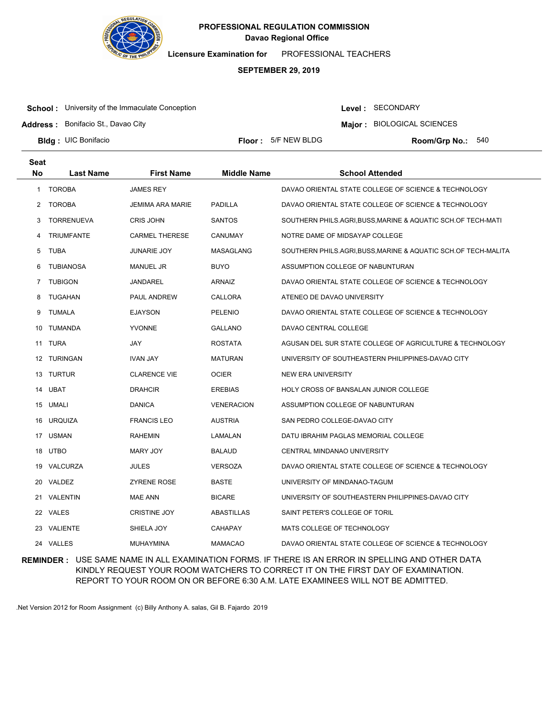

**Licensure Examination for**  PROFESSIONAL TEACHERS

### **SEPTEMBER 29, 2019**

**School:** University of the Immaculate Conception

**Address :** Bonifacio St., Davao City

Level : SECONDARY

**Major : BIOLOGICAL SCIENCES** 

**Bldg: UIC Bonifacio** 

**Floor :** 5/F NEW BLDG

Room/Grp No.: 540

| <b>Seat</b> |                   |                       |                    |                                                                |
|-------------|-------------------|-----------------------|--------------------|----------------------------------------------------------------|
| <b>No</b>   | <b>Last Name</b>  | <b>First Name</b>     | <b>Middle Name</b> | <b>School Attended</b>                                         |
| 1           | <b>TOROBA</b>     | <b>JAMES REY</b>      |                    | DAVAO ORIENTAL STATE COLLEGE OF SCIENCE & TECHNOLOGY           |
| 2           | <b>TOROBA</b>     | JEMIMA ARA MARIE      | PADILLA            | DAVAO ORIENTAL STATE COLLEGE OF SCIENCE & TECHNOLOGY           |
| 3           | <b>TORRENUEVA</b> | <b>CRIS JOHN</b>      | <b>SANTOS</b>      | SOUTHERN PHILS.AGRI,BUSS,MARINE & AQUATIC SCH.OF TECH-MATI     |
| 4           | <b>TRIUMFANTE</b> | <b>CARMEL THERESE</b> | CANUMAY            | NOTRE DAME OF MIDSAYAP COLLEGE                                 |
| 5           | <b>TUBA</b>       | JUNARIE JOY           | MASAGLANG          | SOUTHERN PHILS.AGRI, BUSS, MARINE & AQUATIC SCH.OF TECH-MALITA |
| 6           | <b>TUBIANOSA</b>  | <b>MANUEL JR</b>      | <b>BUYO</b>        | ASSUMPTION COLLEGE OF NABUNTURAN                               |
| 7           | <b>TUBIGON</b>    | JANDAREL              | <b>ARNAIZ</b>      | DAVAO ORIENTAL STATE COLLEGE OF SCIENCE & TECHNOLOGY           |
| 8           | <b>TUGAHAN</b>    | PAUL ANDREW           | CALLORA            | ATENEO DE DAVAO UNIVERSITY                                     |
| 9           | <b>TUMALA</b>     | <b>EJAYSON</b>        | <b>PELENIO</b>     | DAVAO ORIENTAL STATE COLLEGE OF SCIENCE & TECHNOLOGY           |
| 10          | TUMANDA           | <b>YVONNE</b>         | <b>GALLANO</b>     | DAVAO CENTRAL COLLEGE                                          |
|             | 11 TURA           | JAY                   | <b>ROSTATA</b>     | AGUSAN DEL SUR STATE COLLEGE OF AGRICULTURE & TECHNOLOGY       |
|             | 12 TURINGAN       | <b>IVAN JAY</b>       | <b>MATURAN</b>     | UNIVERSITY OF SOUTHEASTERN PHILIPPINES-DAVAO CITY              |
|             | 13 TURTUR         | <b>CLARENCE VIE</b>   | <b>OCIER</b>       | <b>NEW ERA UNIVERSITY</b>                                      |
|             | 14 UBAT           | <b>DRAHCIR</b>        | <b>EREBIAS</b>     | HOLY CROSS OF BANSALAN JUNIOR COLLEGE                          |
| 15          | UMALI             | <b>DANICA</b>         | <b>VENERACION</b>  | ASSUMPTION COLLEGE OF NABUNTURAN                               |
| 16          | <b>URQUIZA</b>    | <b>FRANCIS LEO</b>    | <b>AUSTRIA</b>     | SAN PEDRO COLLEGE-DAVAO CITY                                   |
|             | 17 USMAN          | <b>RAHEMIN</b>        | LAMALAN            | DATU IBRAHIM PAGLAS MEMORIAL COLLEGE                           |
| 18          | <b>UTBO</b>       | <b>MARY JOY</b>       | <b>BALAUD</b>      | CENTRAL MINDANAO UNIVERSITY                                    |
|             | 19 VALCURZA       | <b>JULES</b>          | <b>VERSOZA</b>     | DAVAO ORIENTAL STATE COLLEGE OF SCIENCE & TECHNOLOGY           |
|             | 20 VALDEZ         | <b>ZYRENE ROSE</b>    | <b>BASTE</b>       | UNIVERSITY OF MINDANAO-TAGUM                                   |
|             | 21 VALENTIN       | <b>MAE ANN</b>        | <b>BICARE</b>      | UNIVERSITY OF SOUTHEASTERN PHILIPPINES-DAVAO CITY              |
|             | 22 VALES          | <b>CRISTINE JOY</b>   | <b>ABASTILLAS</b>  | SAINT PETER'S COLLEGE OF TORIL                                 |
|             | 23 VALIENTE       | SHIELA JOY            | <b>CAHAPAY</b>     | MATS COLLEGE OF TECHNOLOGY                                     |
|             | 24 VALLES         | <b>MUHAYMINA</b>      | <b>MAMACAO</b>     | DAVAO ORIENTAL STATE COLLEGE OF SCIENCE & TECHNOLOGY           |

**REMINDER :** USE SAME NAME IN ALL EXAMINATION FORMS. IF THERE IS AN ERROR IN SPELLING AND OTHER DATA KINDLY REQUEST YOUR ROOM WATCHERS TO CORRECT IT ON THE FIRST DAY OF EXAMINATION. REPORT TO YOUR ROOM ON OR BEFORE 6:30 A.M. LATE EXAMINEES WILL NOT BE ADMITTED.